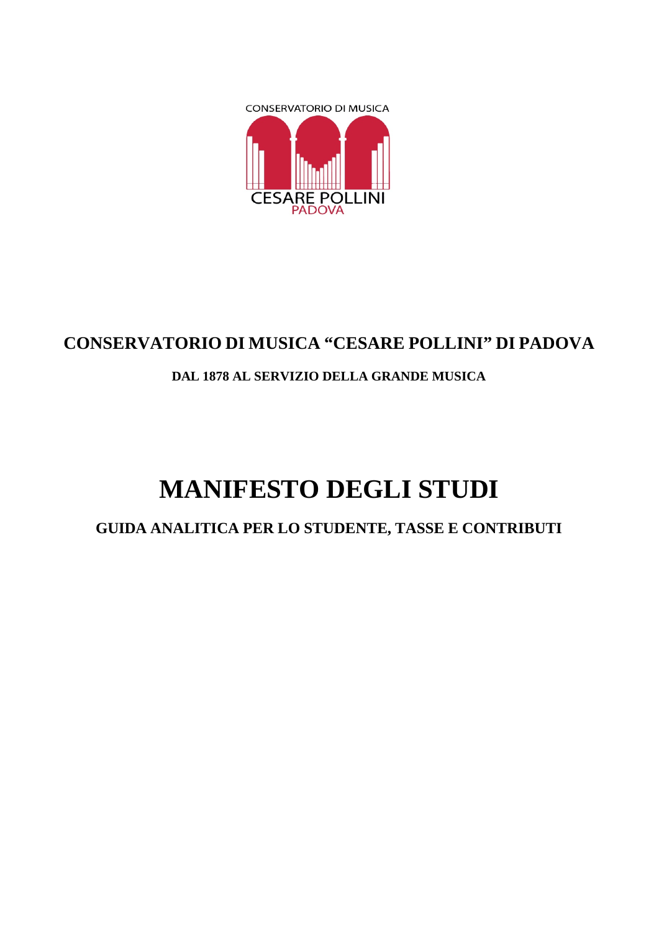

# **CONSERVATORIO DI MUSICA "CESARE POLLINI" DI PADOVA**

# **DAL 1878 AL SERVIZIO DELLA GRANDE MUSICA**

# **MANIFESTO DEGLI STUDI**

**GUIDA ANALITICA PER LO STUDENTE, TASSE E CONTRIBUTI**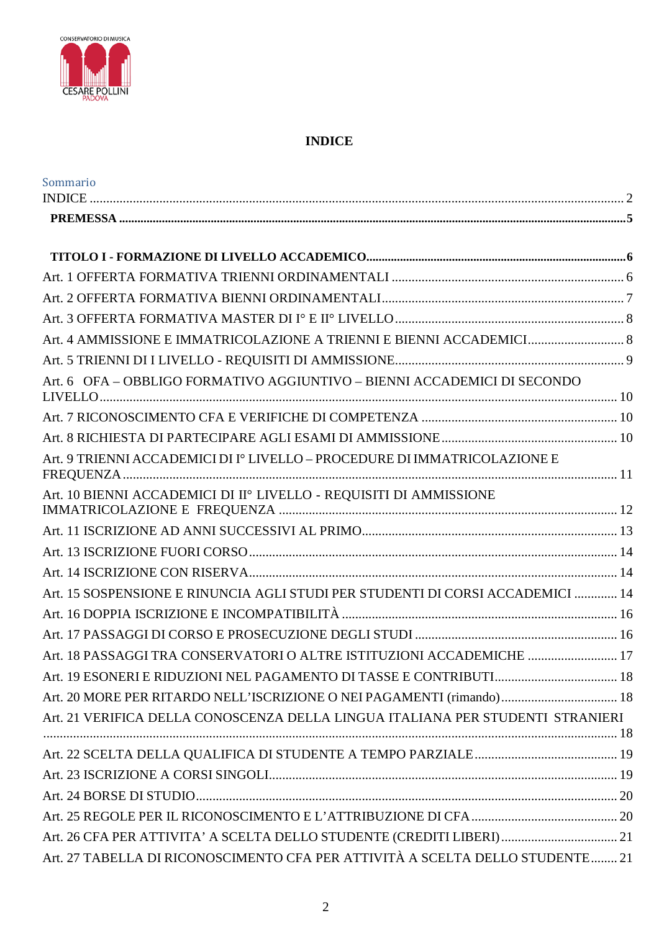

## **INDICE**

<span id="page-1-0"></span>

| Sommario                                                                       |  |
|--------------------------------------------------------------------------------|--|
|                                                                                |  |
|                                                                                |  |
|                                                                                |  |
|                                                                                |  |
|                                                                                |  |
|                                                                                |  |
| Art. 4 AMMISSIONE E IMMATRICOLAZIONE A TRIENNI E BIENNI ACCADEMICI 8           |  |
|                                                                                |  |
| Art. 6 OFA - OBBLIGO FORMATIVO AGGIUNTIVO - BIENNI ACCADEMICI DI SECONDO       |  |
|                                                                                |  |
|                                                                                |  |
| Art. 9 TRIENNI ACCADEMICI DI Iº LIVELLO – PROCEDURE DI IMMATRICOLAZIONE E      |  |
| Art. 10 BIENNI ACCADEMICI DI II <sup>°</sup> LIVELLO - REQUISITI DI AMMISSIONE |  |
|                                                                                |  |
|                                                                                |  |
|                                                                                |  |
| Art. 15 SOSPENSIONE E RINUNCIA AGLI STUDI PER STUDENTI DI CORSI ACCADEMICI  14 |  |
|                                                                                |  |
|                                                                                |  |
| Art. 18 PASSAGGI TRA CONSERVATORI O ALTRE ISTITUZIONI ACCADEMICHE  17          |  |
|                                                                                |  |
| Art. 20 MORE PER RITARDO NELL'ISCRIZIONE O NEI PAGAMENTI (rimando) 18          |  |
| Art. 21 VERIFICA DELLA CONOSCENZA DELLA LINGUA ITALIANA PER STUDENTI STRANIERI |  |
|                                                                                |  |
|                                                                                |  |
|                                                                                |  |
|                                                                                |  |
|                                                                                |  |
| Art. 26 CFA PER ATTIVITA' A SCELTA DELLO STUDENTE (CREDITI LIBERI) 21          |  |
| Art. 27 TABELLA DI RICONOSCIMENTO CFA PER ATTIVITÀ A SCELTA DELLO STUDENTE 21  |  |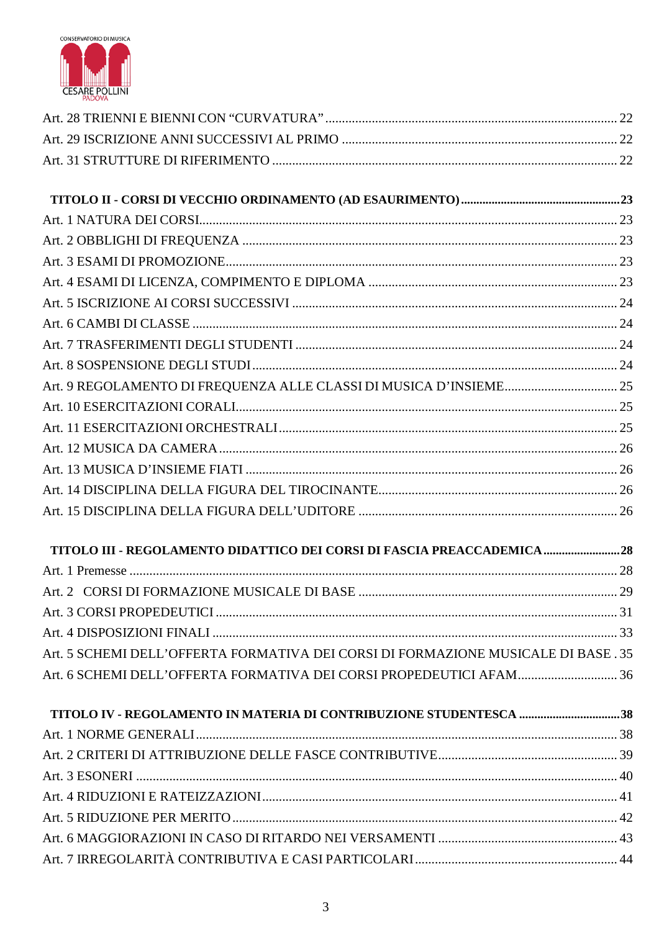

| TITOLO III - REGOLAMENTO DIDATTICO DEI CORSI DI FASCIA PREACCADEMICA 28           |  |
|-----------------------------------------------------------------------------------|--|
|                                                                                   |  |
|                                                                                   |  |
|                                                                                   |  |
|                                                                                   |  |
| Art. 5 SCHEMI DELL'OFFERTA FORMATIVA DEI CORSI DI FORMAZIONE MUSICALE DI BASE. 35 |  |
|                                                                                   |  |
| TITOLO IV - REGOLAMENTO IN MATERIA DI CONTRIBUZIONE STUDENTESCA 38                |  |
|                                                                                   |  |
|                                                                                   |  |
|                                                                                   |  |
|                                                                                   |  |
|                                                                                   |  |
|                                                                                   |  |
|                                                                                   |  |
|                                                                                   |  |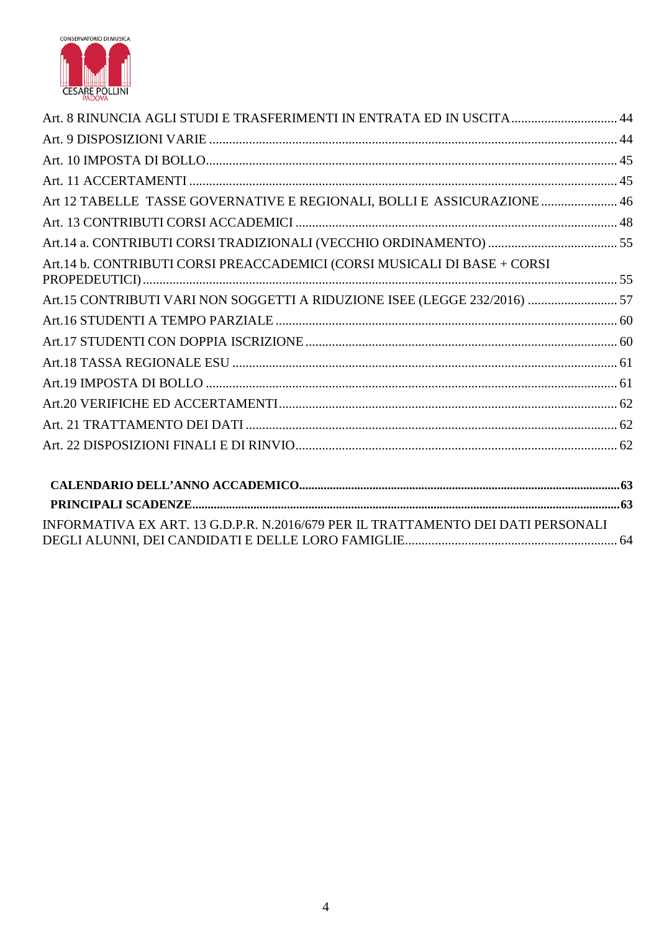

| Art. 8 RINUNCIA AGLI STUDI E TRASFERIMENTI IN ENTRATA ED IN USCITA 44            |  |
|----------------------------------------------------------------------------------|--|
|                                                                                  |  |
|                                                                                  |  |
|                                                                                  |  |
| Art 12 TABELLE TASSE GOVERNATIVE E REGIONALI, BOLLI E ASSICURAZIONE  46          |  |
|                                                                                  |  |
|                                                                                  |  |
| Art.14 b. CONTRIBUTI CORSI PREACCADEMICI (CORSI MUSICALI DI BASE + CORSI         |  |
| Art.15 CONTRIBUTI VARI NON SOGGETTI A RIDUZIONE ISEE (LEGGE 232/2016)  57        |  |
|                                                                                  |  |
|                                                                                  |  |
|                                                                                  |  |
|                                                                                  |  |
|                                                                                  |  |
|                                                                                  |  |
|                                                                                  |  |
|                                                                                  |  |
|                                                                                  |  |
| INFORMATIVA EX ART. 13 G.D.P.R. N.2016/679 PER IL TRATTAMENTO DEI DATI PERSONALI |  |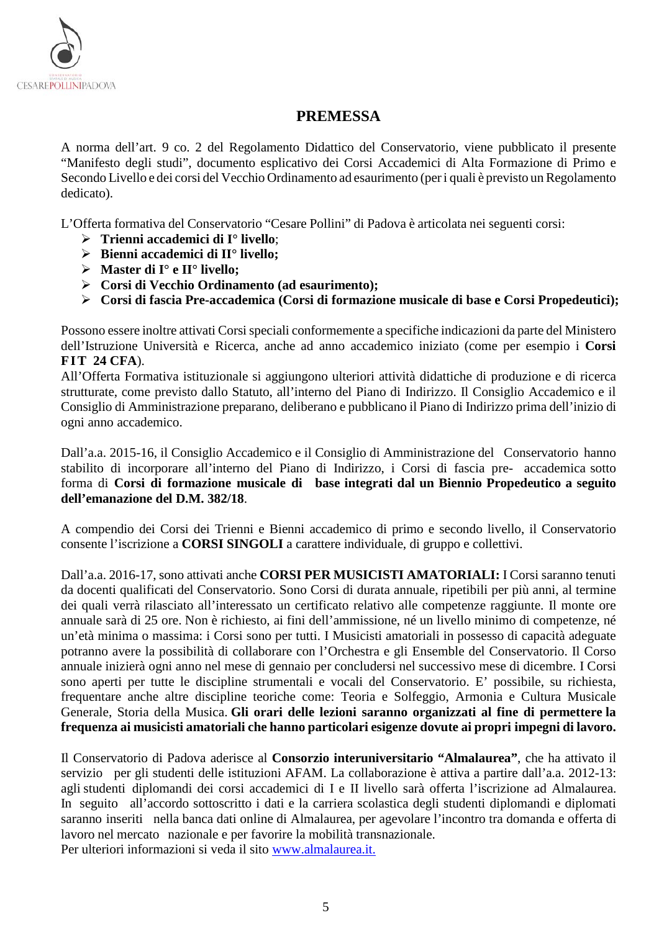

## **PREMESSA**

<span id="page-4-0"></span>A norma dell'art. 9 co. 2 del Regolamento Didattico del Conservatorio, viene pubblicato il presente "Manifesto degli studi", documento esplicativo dei Corsi Accademici di Alta Formazione di Primo e Secondo Livello e dei corsi del Vecchio Ordinamento ad esaurimento (per i quali è previsto un Regolamento dedicato).

L'Offerta formativa del Conservatorio "Cesare Pollini" di Padova è articolata nei seguenti corsi:

- **Trienni accademici di I° livello**;
- **Bienni accademici di II° livello;**
- **Master di I° e II° livello;**
- **Corsi di Vecchio Ordinamento (ad esaurimento);**
- **Corsi di fascia Pre-accademica (Corsi di formazione musicale di base e Corsi Propedeutici);**

Possono essere inoltre attivati Corsi speciali conformemente a specifiche indicazioni da parte del Ministero dell'Istruzione Università e Ricerca, anche ad anno accademico iniziato (come per esempio i **Corsi FIT 24 CFA**).

All'Offerta Formativa istituzionale si aggiungono ulteriori attività didattiche di produzione e di ricerca strutturate, come previsto dallo Statuto, all'interno del Piano di Indirizzo. Il Consiglio Accademico e il Consiglio di Amministrazione preparano, deliberano e pubblicano il Piano di Indirizzo prima dell'inizio di ogni anno accademico.

Dall'a.a. 2015-16, il Consiglio Accademico e il Consiglio di Amministrazione del Conservatorio hanno stabilito di incorporare all'interno del Piano di Indirizzo, i Corsi di fascia pre- accademica sotto forma di **Corsi di formazione musicale di base integrati dal un Biennio Propedeutico a seguito dell'emanazione del D.M. 382/18**.

A compendio dei Corsi dei Trienni e Bienni accademico di primo e secondo livello, il Conservatorio consente l'iscrizione a **CORSI SINGOLI** a carattere individuale, di gruppo e collettivi.

Dall'a.a. 2016-17, sono attivati anche **CORSI PER MUSICISTI AMATORIALI:** I Corsi saranno tenuti da docenti qualificati del Conservatorio. Sono Corsi di durata annuale, ripetibili per più anni, al termine dei quali verrà rilasciato all'interessato un certificato relativo alle competenze raggiunte. Il monte ore annuale sarà di 25 ore. Non è richiesto, ai fini dell'ammissione, né un livello minimo di competenze, né un'età minima o massima: i Corsi sono per tutti. I Musicisti amatoriali in possesso di capacità adeguate potranno avere la possibilità di collaborare con l'Orchestra e gli Ensemble del Conservatorio. Il Corso annuale inizierà ogni anno nel mese di gennaio per concludersi nel successivo mese di dicembre. I Corsi sono aperti per tutte le discipline strumentali e vocali del Conservatorio. E' possibile, su richiesta, frequentare anche altre discipline teoriche come: Teoria e Solfeggio, Armonia e Cultura Musicale Generale, Storia della Musica. **Gli orari delle lezioni saranno organizzati al fine di permettere la frequenza ai musicisti amatoriali che hanno particolari esigenze dovute ai propri impegni di lavoro.**

Il Conservatorio di Padova aderisce al **Consorzio interuniversitario "Almalaurea"**, che ha attivato il servizio per gli studenti delle istituzioni AFAM. La collaborazione è attiva a partire dall'a.a. 2012-13: agli studenti diplomandi dei corsi accademici di I e II livello sarà offerta l'iscrizione ad Almalaurea. In seguito all'accordo sottoscritto i dati e la carriera scolastica degli studenti diplomandi e diplomati saranno inseriti nella banca dati online di Almalaurea, per agevolare l'incontro tra domanda e offerta di lavoro nel mercato nazionale e per favorire la mobilità transnazionale. Per ulteriori informazioni si veda il sito [www.almalaurea.it.](http://www.almalaurea.it/)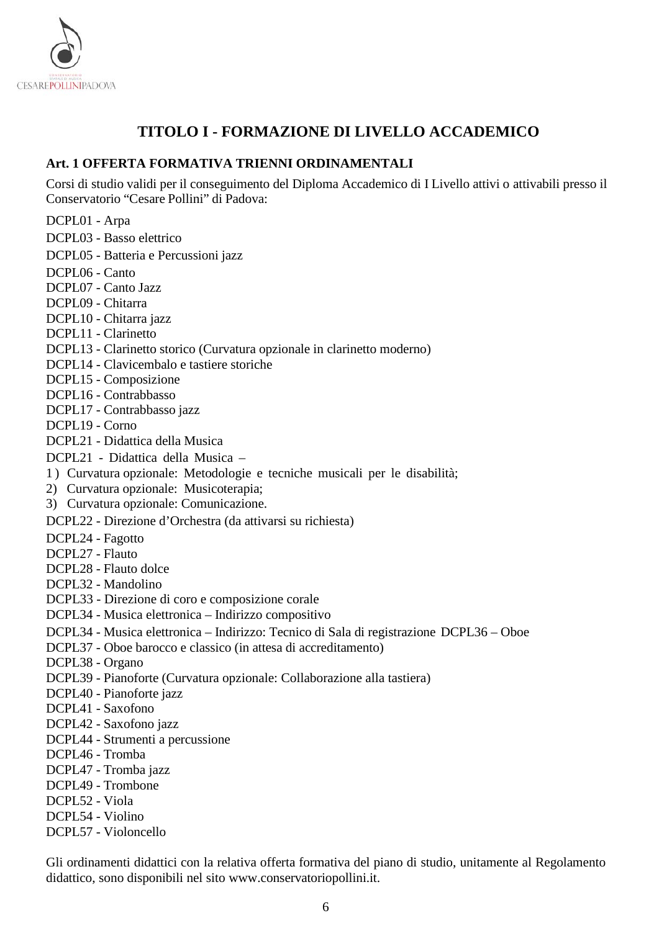

# **TITOLO I - FORMAZIONE DI LIVELLO ACCADEMICO**

#### <span id="page-5-1"></span><span id="page-5-0"></span>**Art. 1 OFFERTA FORMATIVA TRIENNI ORDINAMENTALI**

Corsi di studio validi per il conseguimento del Diploma Accademico di I Livello attivi o attivabili presso il Conservatorio "Cesare Pollini" di Padova:

DCPL01 - Arpa

- DCPL03 Basso elettrico
- DCPL05 Batteria e Percussioni jazz
- DCPL06 Canto
- DCPL07 Canto Jazz
- DCPL09 Chitarra
- DCPL10 Chitarra jazz
- DCPL11 Clarinetto
- DCPL13 Clarinetto storico (Curvatura opzionale in clarinetto moderno)
- DCPL14 Clavicembalo e tastiere storiche
- DCPL15 Composizione
- DCPL16 Contrabbasso
- DCPL17 Contrabbasso jazz
- DCPL19 Corno
- DCPL21 Didattica della Musica
- DCPL21 Didattica della Musica –
- 1) Curvatura opzionale: Metodologie e tecniche musicali per le disabilità;
- 2) Curvatura opzionale: Musicoterapia;
- 3) Curvatura opzionale: Comunicazione.
- DCPL22 Direzione d'Orchestra (da attivarsi su richiesta)
- DCPL24 Fagotto
- DCPL27 Flauto
- DCPL28 Flauto dolce
- DCPL32 Mandolino
- DCPL33 Direzione di coro e composizione corale
- DCPL34 Musica elettronica Indirizzo compositivo
- DCPL34 Musica elettronica Indirizzo: Tecnico di Sala di registrazione DCPL36 Oboe
- DCPL37 Oboe barocco e classico (in attesa di accreditamento)
- DCPL38 Organo
- DCPL39 Pianoforte (Curvatura opzionale: Collaborazione alla tastiera)
- DCPL40 Pianoforte jazz
- DCPL41 Saxofono
- DCPL42 Saxofono jazz
- DCPL44 Strumenti a percussione
- DCPL46 Tromba
- DCPL47 Tromba jazz
- DCPL49 Trombone
- DCPL52 Viola
- DCPL54 Violino
- DCPL57 Violoncello

Gli ordinamenti didattici con la relativa offerta formativa del piano di studio, unitamente al Regolamento didattico, sono disponibili nel sito [www.conservatoriopollini.it.](http://www.conservatoriopollini.it/)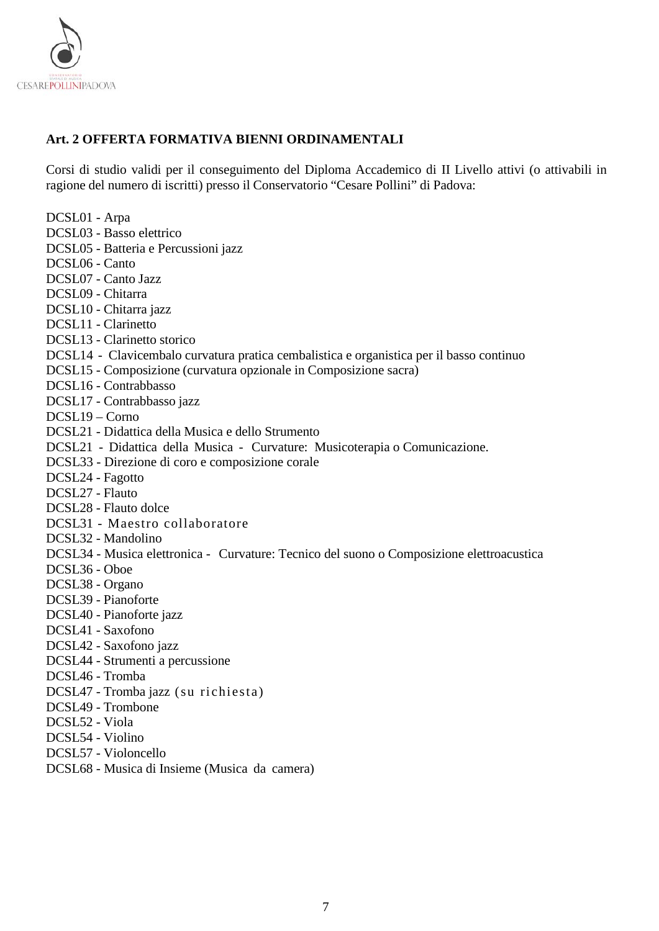

## <span id="page-6-0"></span>**Art. 2 OFFERTA FORMATIVA BIENNI ORDINAMENTALI**

Corsi di studio validi per il conseguimento del Diploma Accademico di II Livello attivi (o attivabili in ragione del numero di iscritti) presso il Conservatorio "Cesare Pollini" di Padova:

| DCSL01 - Arpa                                                                             |
|-------------------------------------------------------------------------------------------|
| DCSL03 - Basso elettrico                                                                  |
| DCSL05 - Batteria e Percussioni jazz                                                      |
| DCSL06 - Canto                                                                            |
| DCSL07 - Canto Jazz                                                                       |
| DCSL09 - Chitarra                                                                         |
| DCSL10 - Chitarra jazz                                                                    |
| DCSL11 - Clarinetto                                                                       |
| DCSL13 - Clarinetto storico                                                               |
| DCSL14 - Clavicembalo curvatura pratica cembalistica e organistica per il basso continuo  |
| DCSL15 - Composizione (curvatura opzionale in Composizione sacra)                         |
| DCSL16 - Contrabbasso                                                                     |
| DCSL17 - Contrabbasso jazz                                                                |
| $DCSL19 - Conv$                                                                           |
| DCSL21 - Didattica della Musica e dello Strumento                                         |
| DCSL21 - Didattica della Musica - Curvature: Musicoterapia o Comunicazione.               |
| DCSL33 - Direzione di coro e composizione corale                                          |
| DCSL24 - Fagotto                                                                          |
| DCSL27 - Flauto                                                                           |
| DCSL28 - Flauto dolce                                                                     |
| DCSL31 - Maestro collaboratore                                                            |
| DCSL32 - Mandolino                                                                        |
| DCSL34 - Musica elettronica - Curvature: Tecnico del suono o Composizione elettroacustica |
| DCSL36 - Oboe                                                                             |
| DCSL38 - Organo                                                                           |
| DCSL39 - Pianoforte                                                                       |
| DCSL40 - Pianoforte jazz                                                                  |
| DCSL41 - Saxofono                                                                         |
| DCSL42 - Saxofono jazz                                                                    |
| DCSL44 - Strumenti a percussione                                                          |
| DCSL46 - Tromba                                                                           |
| DCSL47 - Tromba jazz (su richiesta)                                                       |
| DCSL49 - Trombone                                                                         |
| DCSL52 - Viola                                                                            |
| DCSL54 - Violino                                                                          |
| DCSL57 - Violoncello                                                                      |
| DCSL68 - Musica di Insieme (Musica da camera)                                             |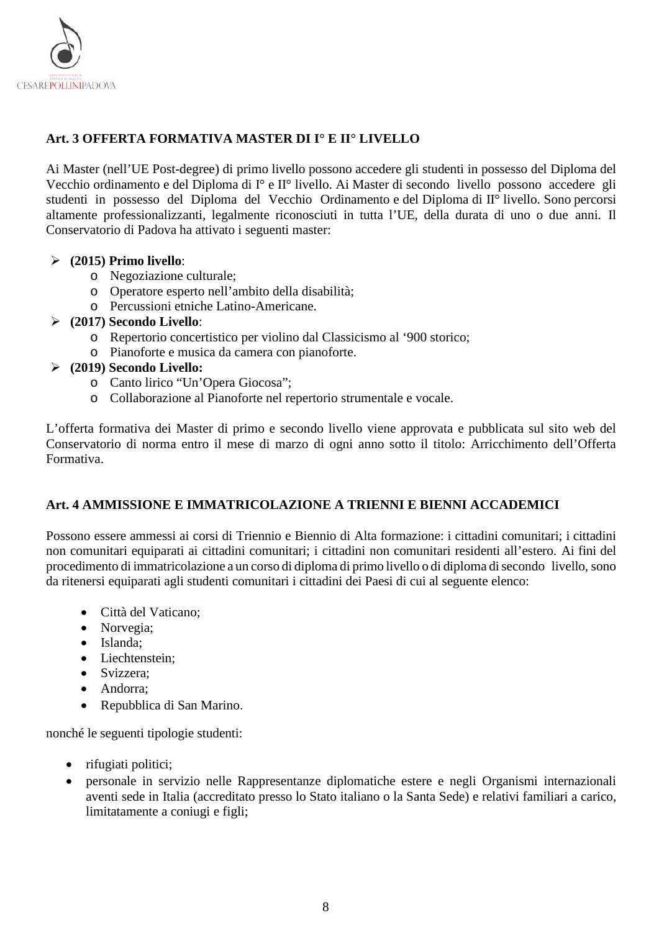

## <span id="page-7-0"></span>**Art. 3 OFFERTA FORMATIVA MASTER DI I° E II° LIVELLO**

Ai Master (nell'UE Post-degree) di primo livello possono accedere gli studenti in possesso del Diploma del Vecchio ordinamento e del Diploma di I° e II° livello. Ai Master di secondo livello possono accedere gli studenti in possesso del Diploma del Vecchio Ordinamento e del Diploma di II° livello. Sono percorsi altamente professionalizzanti, legalmente riconosciuti in tutta l'UE, della durata di uno o due anni. Il Conservatorio di Padova ha attivato i seguenti master:

## **(2015) Primo livello**:

- o Negoziazione culturale;
- o Operatore esperto nell'ambito della disabilità;
- o Percussioni etniche Latino-Americane.

## **(2017) Secondo Livello**:

- o Repertorio concertistico per violino dal Classicismo al '900 storico;
- o Pianoforte e musica da camera con pianoforte.

## **(2019) Secondo Livello:**

- o Canto lirico "Un'Opera Giocosa";
- o Collaborazione al Pianoforte nel repertorio strumentale e vocale.

L'offerta formativa dei Master di primo e secondo livello viene approvata e pubblicata sul sito web del Conservatorio di norma entro il mese di marzo di ogni anno sotto il titolo: Arricchimento dell'Offerta Formativa.

## <span id="page-7-1"></span>**Art. 4 AMMISSIONE E IMMATRICOLAZIONE A TRIENNI E BIENNI ACCADEMICI**

Possono essere ammessi ai corsi di Triennio e Biennio di Alta formazione: i cittadini comunitari; i cittadini non comunitari equiparati ai cittadini comunitari; i cittadini non comunitari residenti all'estero. Ai fini del procedimento di immatricolazione a un corso di diploma di primo livello o di diploma disecondo livello, sono da ritenersi equiparati agli studenti comunitari i cittadini dei Paesi di cui al seguente elenco:

- Città del Vaticano;
- Norvegia;
- Islanda;
- Liechtenstein;
- Svizzera:
- Andorra;
- Repubblica di San Marino.

nonché le seguenti tipologie studenti:

- rifugiati politici;
- personale in servizio nelle Rappresentanze diplomatiche estere e negli Organismi internazionali aventi sede in Italia (accreditato presso lo Stato italiano o la Santa Sede) e relativi familiari a carico, limitatamente a coniugi e figli;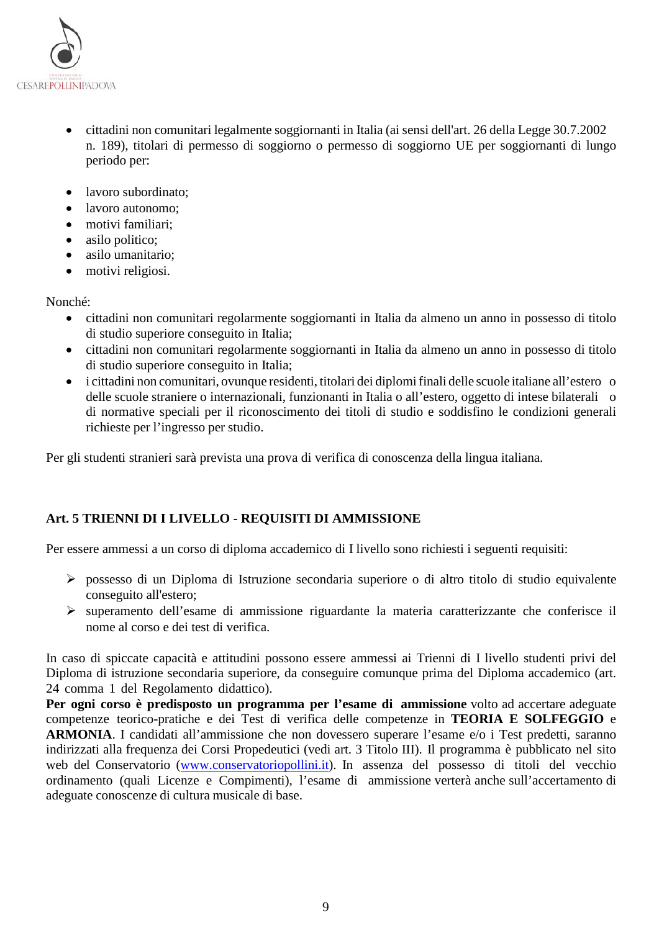

- cittadini non comunitari legalmente soggiornanti in Italia (ai sensi dell'art. 26 della Legge 30.7.2002 n. 189), titolari di permesso di soggiorno o permesso di soggiorno UE per soggiornanti di lungo periodo per:
- lavoro subordinato;
- lavoro autonomo;
- motivi familiari;
- asilo politico;
- asilo umanitario;
- motivi religiosi.

#### Nonché:

- cittadini non comunitari regolarmente soggiornanti in Italia da almeno un anno in possesso di titolo di studio superiore conseguito in Italia;
- cittadini non comunitari regolarmente soggiornanti in Italia da almeno un anno in possesso di titolo di studio superiore conseguito in Italia;
- i cittadini non comunitari, ovunque residenti, titolari dei diplomifinali delle scuole italiane all'estero o delle scuole straniere o internazionali, funzionanti in Italia o all'estero, oggetto di intese bilaterali o di normative speciali per il riconoscimento dei titoli di studio e soddisfino le condizioni generali richieste per l'ingresso per studio.

Per gli studenti stranieri sarà prevista una prova di verifica di conoscenza della lingua italiana.

## <span id="page-8-0"></span>**Art. 5 TRIENNI DI I LIVELLO - REQUISITI DI AMMISSIONE**

Per essere ammessi a un corso di diploma accademico di I livello sono richiesti i seguenti requisiti:

- possesso di un Diploma di Istruzione secondaria superiore o di altro titolo di studio equivalente conseguito all'estero;
- superamento dell'esame di ammissione riguardante la materia caratterizzante che conferisce il nome al corso e dei test di verifica.

In caso di spiccate capacità e attitudini possono essere ammessi ai Trienni di I livello studenti privi del Diploma di istruzione secondaria superiore, da conseguire comunque prima del Diploma accademico (art. 24 comma 1 del Regolamento didattico).

**Per ogni corso è predisposto un programma per l'esame di ammissione** volto ad accertare adeguate competenze teorico-pratiche e dei Test di verifica delle competenze in **TEORIA E SOLFEGGIO** e **ARMONIA**. I candidati all'ammissione che non dovessero superare l'esame e/o i Test predetti, saranno indirizzati alla frequenza dei Corsi Propedeutici (vedi art. 3 Titolo III). Il programma è pubblicato nel sito web del Conservatorio [\(www.conservatoriopollini.it\)](http://www.conservatoriopollini.it/). In assenza del possesso di titoli del vecchio ordinamento (quali Licenze e Compimenti), l'esame di ammissione verterà anche sull'accertamento di adeguate conoscenze di cultura musicale di base.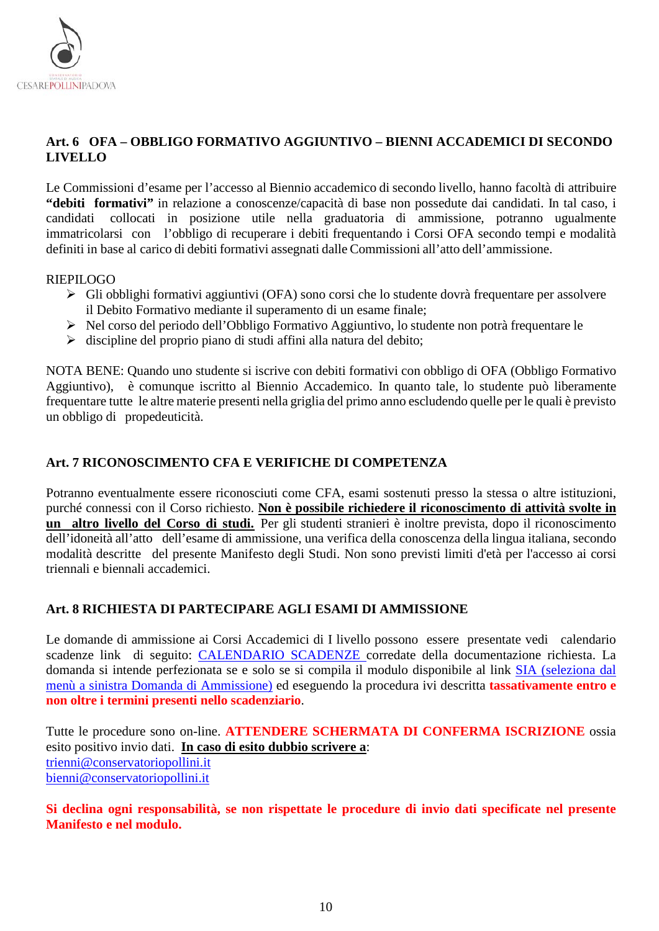

## <span id="page-9-0"></span>**Art. 6 OFA – OBBLIGO FORMATIVO AGGIUNTIVO – BIENNI ACCADEMICI DI SECONDO LIVELLO**

Le Commissioni d'esame per l'accesso al Biennio accademico di secondo livello, hanno facoltà di attribuire **"debiti formativi"** in relazione a conoscenze/capacità di base non possedute dai candidati. In tal caso, i collocati in posizione utile nella graduatoria di ammissione, potranno ugualmente immatricolarsi con l'obbligo di recuperare i debiti frequentando i Corsi OFA secondo tempi e modalità definiti in base al carico di debiti formativi assegnati dalle Commissioni all'atto dell'ammissione.

#### RIEPILOGO

- Gli obblighi formativi aggiuntivi (OFA) sono corsi che lo studente dovrà frequentare per assolvere il Debito Formativo mediante il superamento di un esame finale;
- Nel corso del periodo dell'Obbligo Formativo Aggiuntivo, lo studente non potrà frequentare le
- $\triangleright$  discipline del proprio piano di studi affini alla natura del debito;

NOTA BENE: Quando uno studente si iscrive con debiti formativi con obbligo di OFA (Obbligo Formativo Aggiuntivo), è comunque iscritto al Biennio Accademico. In quanto tale, lo studente può liberamente frequentare tutte le altre materie presenti nella griglia del primo anno escludendo quelle per le quali è previsto un obbligo di propedeuticità.

#### <span id="page-9-1"></span>**Art. 7 RICONOSCIMENTO CFA E VERIFICHE DI COMPETENZA**

Potranno eventualmente essere riconosciuti come CFA, esami sostenuti presso la stessa o altre istituzioni, purché connessi con il Corso richiesto. **Non è possibile richiedere il riconoscimento di attività svolte in un altro livello del Corso di studi.** Per gli studenti stranieri è inoltre prevista, dopo il riconoscimento dell'idoneità all'atto dell'esame di ammissione, una verifica della conoscenza della lingua italiana, secondo modalità descritte del presente Manifesto degli Studi. Non sono previsti limiti d'età per l'accesso ai corsi triennali e biennali accademici.

#### <span id="page-9-2"></span>**Art. 8 RICHIESTA DI PARTECIPARE AGLI ESAMI DI AMMISSIONE**

Le domande di ammissione ai Corsi Accademici di I livello possono essere presentate vedi calendario scadenze link di seguito: [CALENDARIO SCADENZE](https://www.conservatoriopollini.it/site/it/didattica-scadenziario/) corredate della documentazione richiesta. La domanda si intende perfezionata se e solo se si compila il modulo disponibile al link [SIA](https://siapd.conservatoriodimusica.it/users/login) (seleziona dal menù a sinistra Domanda di Ammissione) ed eseguendo la procedura ivi descritta **tassativamente entro e non oltre i termini presenti nello scadenziario**.

Tutte le procedure sono on-line. **ATTENDERE SCHERMATA DI CONFERMA ISCRIZIONE** ossia esito positivo invio dati. **In caso di esito dubbio scrivere a**: [trienni@conservatoriopollini.it](mailto:trienni@conservatoriopollini.it) [bienni@conservatoriopollini.it](mailto:bienni@conservatoriopollini.it)

#### **Si declina ogni responsabilità, se non rispettate le procedure di invio dati specificate nel presente Manifesto e nel modulo.**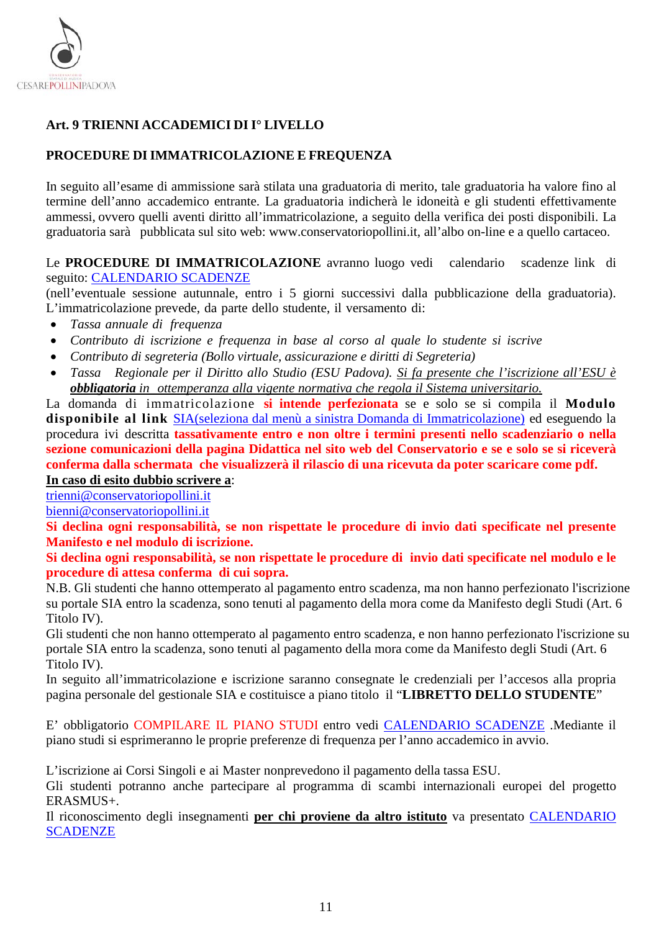

## <span id="page-10-0"></span>**Art. 9 TRIENNI ACCADEMICI DI I° LIVELLO**

## **PROCEDURE DIIMMATRICOLAZIONE E FREQUENZA**

In seguito all'esame di ammissione sarà stilata una graduatoria di merito, tale graduatoria ha valore fino al termine dell'anno accademico entrante. La graduatoria indicherà le idoneità e gli studenti effettivamente ammessi, ovvero quelli aventi diritto all'immatricolazione, a seguito della verifica dei posti disponibili. La graduatoria sarà pubblicata sul sito web: [www.conservatoriopollini.it,](http://www.conservatoriopollini.it/) all'albo on-line e a quello cartaceo.

#### Le **PROCEDURE DI IMMATRICOLAZIONE** avranno luogo vedi calendario scadenze link di seguito: [CALENDARIO SCADENZE](https://www.conservatoriopollini.it/site/it/didattica-scadenziario/)

(nell'eventuale sessione autunnale, entro i 5 giorni successivi dalla pubblicazione della graduatoria). L'immatricolazione prevede, da parte dello studente, il versamento di:

- *Tassa annuale di frequenza*
- *Contributo di iscrizione e frequenza in base al corso al quale lo studente si iscrive*
- *Contributo di segreteria (Bollo virtuale, assicurazione e diritti di Segreteria)*
- *Tassa Regionale per il Diritto allo Studio (ESU Padova). Si fa presente che l'iscrizione all'ESU è obbligatoria in ottemperanza alla vigente normativa che regola il Sistema universitario.*

La domanda di immatricolazione **si intende perfezionata** se e solo se si compila il **Modulo disponibile al link** [SIA\(](https://siapd.conservatoriodimusica.it/preiscriptions/login)seleziona dal menù a sinistra Domanda di Immatricolazione) ed eseguendo la procedura ivi descritta **tassativamente entro e non oltre i termini presenti nello scadenziario o nella sezione comunicazioni della pagina Didattica nel sito web del Conservatorio e se e solo se si riceverà conferma dalla schermata che visualizzerà il rilascio di una ricevuta da poter scaricare come pdf. In caso di esito dubbio scrivere a**:

[trienni@conservatoriopollini.it](mailto:trienni@conservatoriopollini.it)

[bienni@conservatoriopollini.it](mailto:bienni@conservatoriopollini.it)

**Si declina ogni responsabilità, se non rispettate le procedure di invio dati specificate nel presente Manifesto e nel modulo di iscrizione.**

**Si declina ogni responsabilità, se non rispettate le procedure di invio dati specificate nel modulo e le procedure di attesa conferma di cui sopra.** 

N.B. Gli studenti che hanno ottemperato al pagamento entro scadenza, ma non hanno perfezionato l'iscrizione su portale SIA entro la scadenza, sono tenuti al pagamento della mora come da Manifesto degli Studi (Art. 6 Titolo IV).

Gli studenti che non hanno ottemperato al pagamento entro scadenza, e non hanno perfezionato l'iscrizione su portale SIA entro la scadenza, sono tenuti al pagamento della mora come da Manifesto degli Studi (Art. 6 Titolo IV).

In seguito all'immatricolazione e iscrizione saranno consegnate le credenziali per l'accesos alla propria pagina personale del gestionale SIA e costituisce a piano titolo il "**LIBRETTO DELLO STUDENTE**"

E' obbligatorio COMPILARE IL PIANO STUDI entro vedi [CALENDARIO SCADENZE](https://www.conservatoriopollini.it/site/it/didattica-scadenziario/) .Mediante il piano studi si esprimeranno le proprie preferenze di frequenza per l'anno accademico in avvio.

L'iscrizione ai Corsi Singoli e ai Master nonprevedono il pagamento della tassa ESU.

Gli studenti potranno anche partecipare al programma di scambi internazionali europei del progetto ERASMUS+.

Il riconoscimento degli insegnamenti **per chi proviene da altro istituto** va presentato [CALENDARIO](https://www.conservatoriopollini.it/site/it/didattica-scadenziario/)  **[SCADENZE](https://www.conservatoriopollini.it/site/it/didattica-scadenziario/)**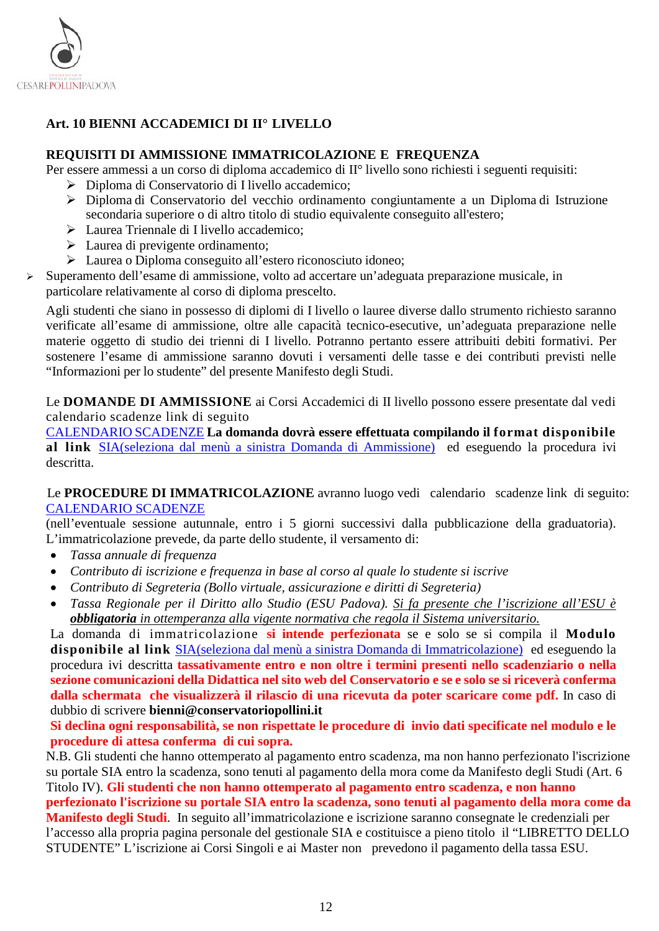

## <span id="page-11-0"></span>**Art. 10 BIENNI ACCADEMICI DI II° LIVELLO**

#### **REQUISITI DI AMMISSIONE IMMATRICOLAZIONE E FREQUENZA**

Per essere ammessi a un corso di diploma accademico di II° livello sono richiesti i seguenti requisiti:

- Diploma di Conservatorio di I livello accademico;
- Diploma di Conservatorio del vecchio ordinamento congiuntamente a un Diploma di Istruzione secondaria superiore o di altro titolo di studio equivalente conseguito all'estero;
- Laurea Triennale di I livello accademico;
- > Laurea di previgente ordinamento;
- Laurea o Diploma conseguito all'estero riconosciuto idoneo;
- Superamento dell'esame di ammissione, volto ad accertare un'adeguata preparazione musicale, in particolare relativamente al corso di diploma prescelto.

Agli studenti che siano in possesso di diplomi di I livello o lauree diverse dallo strumento richiesto saranno verificate all'esame di ammissione, oltre alle capacità tecnico-esecutive, un'adeguata preparazione nelle materie oggetto di studio dei trienni di I livello. Potranno pertanto essere attribuiti debiti formativi. Per sostenere l'esame di ammissione saranno dovuti i versamenti delle tasse e dei contributi previsti nelle "Informazioni per lo studente" del presente Manifesto degli Studi.

Le **DOMANDE DI AMMISSIONE** ai Corsi Accademici di II livello possono essere presentate dal vedi calendario scadenze link di seguito

[CALENDARIO SCADENZE](https://www.conservatoriopollini.it/site/it/didattica-scadenziario/) **La domanda dovrà essere effettuata compilando il format disponibile al link** [SIA\(](https://siapd.conservatoriodimusica.it/preiscriptions/login)seleziona dal menù a sinistra Domanda di Ammissione) ed eseguendo la procedura ivi descritta.

 Le **PROCEDURE DI IMMATRICOLAZIONE** avranno luogo vedi calendario scadenze link di seguito: [CALENDARIO SCADENZE](https://www.conservatoriopollini.it/site/it/didattica-scadenziario/)

(nell'eventuale sessione autunnale, entro i 5 giorni successivi dalla pubblicazione della graduatoria). L'immatricolazione prevede, da parte dello studente, il versamento di:

- *Tassa annuale di frequenza*
- *Contributo di iscrizione e frequenza in base al corso al quale lo studente si iscrive*
- *Contributo di Segreteria (Bollo virtuale, assicurazione e diritti di Segreteria)*
- *Tassa Regionale per il Diritto allo Studio (ESU Padova). Si fa presente che l'iscrizione all'ESU è obbligatoria in ottemperanza alla vigente normativa che regola il Sistema universitario.*

La domanda di immatricolazione **si intende perfezionata** se e solo se si compila il **Modulo disponibile al link** [SIA\(](https://siapd.conservatoriodimusica.it/preiscriptions/login)seleziona dal menù a sinistra Domanda di Immatricolazione) ed eseguendo la procedura ivi descritta **tassativamente entro e non oltre i termini presenti nello scadenziario o nella sezione comunicazioni della Didattica nel sito web del Conservatorio e se e solo se si riceverà conferma dalla schermata che visualizzerà il rilascio di una ricevuta da poter scaricare come pdf.** In caso di dubbio di scrivere **bienni@conservatoriopollini.it**

**Si declina ogni responsabilità, se non rispettate le procedure di invio dati specificate nel modulo e le procedure di attesa conferma di cui sopra.** 

N.B. Gli studenti che hanno ottemperato al pagamento entro scadenza, ma non hanno perfezionato l'iscrizione su portale SIA entro la scadenza, sono tenuti al pagamento della mora come da Manifesto degli Studi (Art. 6 Titolo IV). **Gli studenti che non hanno ottemperato al pagamento entro scadenza, e non hanno perfezionato l'iscrizione su portale SIA entro la scadenza, sono tenuti al pagamento della mora come da Manifesto degli Studi**. In seguito all'immatricolazione e iscrizione saranno consegnate le credenziali per l'accesso alla propria pagina personale del gestionale SIA e costituisce a pieno titolo il "LIBRETTO DELLO STUDENTE" L'iscrizione ai Corsi Singoli e ai Master non prevedono il pagamento della tassa ESU.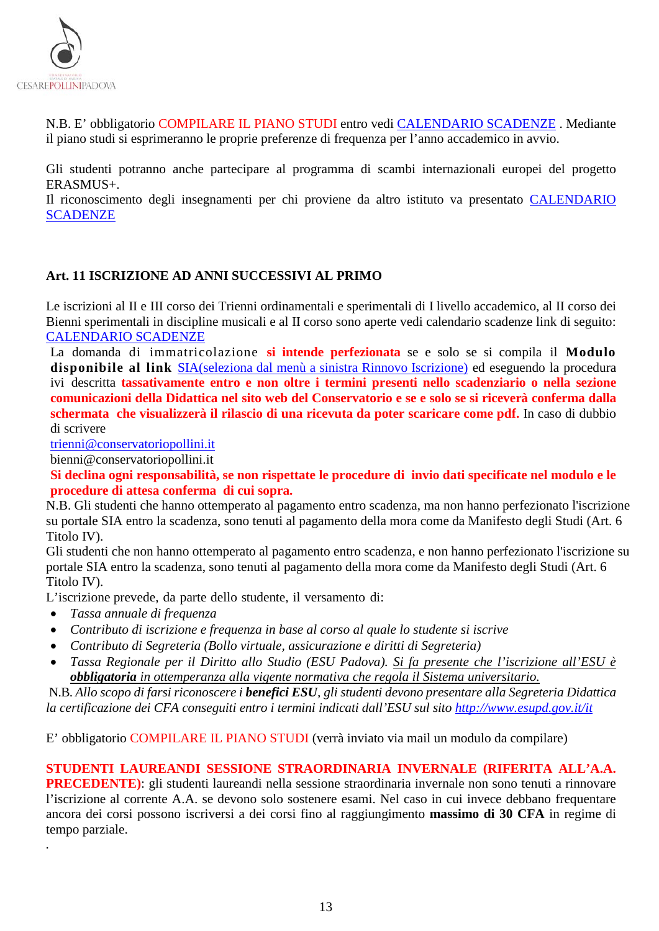

N.B. E' obbligatorio COMPILARE IL PIANO STUDI entro vedi [CALENDARIO SCADENZE](https://www.conservatoriopollini.it/site/it/didattica-scadenziario/) . Mediante il piano studi si esprimeranno le proprie preferenze di frequenza per l'anno accademico in avvio.

Gli studenti potranno anche partecipare al programma di scambi internazionali europei del progetto ERASMUS+.

Il riconoscimento degli insegnamenti per chi proviene da altro istituto va presentato [CALENDARIO](https://www.conservatoriopollini.it/site/it/didattica-scadenziario/)  **[SCADENZE](https://www.conservatoriopollini.it/site/it/didattica-scadenziario/)** 

#### <span id="page-12-0"></span>**Art. 11 ISCRIZIONE AD ANNI SUCCESSIVI AL PRIMO**

Le iscrizioni al II e III corso dei Trienni ordinamentali e sperimentali di I livello accademico, al II corso dei Bienni sperimentali in discipline musicali e al II corso sono aperte vedi calendario scadenze link di seguito: [CALENDARIO SCADENZE](https://www.conservatoriopollini.it/site/it/didattica-scadenziario/)

La domanda di immatricolazione **si intende perfezionata** se e solo se si compila il **Modulo disponibile al link** [SIA\(](https://siapd.conservatoriodimusica.it/preiscriptions/login)seleziona dal menù a sinistra Rinnovo Iscrizione) ed eseguendo la procedura ivi descritta **tassativamente entro e non oltre i termini presenti nello scadenziario o nella sezione comunicazioni della Didattica nel sito web del Conservatorio e se e solo se si riceverà conferma dalla schermata che visualizzerà il rilascio di una ricevuta da poter scaricare come pdf.** In caso di dubbio di scrivere

[trienni@conservatoriopollini.it](mailto:trienni@conservatoriopollini.it)

bienni@conservatoriopollini.it

**Si declina ogni responsabilità, se non rispettate le procedure di invio dati specificate nel modulo e le procedure di attesa conferma di cui sopra.** 

N.B. Gli studenti che hanno ottemperato al pagamento entro scadenza, ma non hanno perfezionato l'iscrizione su portale SIA entro la scadenza, sono tenuti al pagamento della mora come da Manifesto degli Studi (Art. 6 Titolo IV).

Gli studenti che non hanno ottemperato al pagamento entro scadenza, e non hanno perfezionato l'iscrizione su portale SIA entro la scadenza, sono tenuti al pagamento della mora come da Manifesto degli Studi (Art. 6 Titolo IV).

L'iscrizione prevede, da parte dello studente, il versamento di:

• *Tassa annuale di frequenza*

*.*

- *Contributo di iscrizione e frequenza in base al corso al quale lo studente si iscrive*
- *Contributo di Segreteria (Bollo virtuale, assicurazione e diritti di Segreteria)*
- *Tassa Regionale per il Diritto allo Studio (ESU Padova). Si fa presente che l'iscrizione all'ESU è obbligatoria in ottemperanza alla vigente normativa che regola il Sistema universitario.*

N.B. *Allo scopo di farsi riconoscere i benefici ESU, gli studenti devono presentare alla Segreteria Didattica la certificazione dei CFA conseguiti entro i termini indicati dall'ESU sul sito<http://www.esupd.gov.it/it>*

E' obbligatorio COMPILARE IL PIANO STUDI (verrà inviato via mail un modulo da compilare)

**STUDENTI LAUREANDI SESSIONE STRAORDINARIA INVERNALE (RIFERITA ALL'A.A. PRECEDENTE)**: gli studenti laureandi nella sessione straordinaria invernale non sono tenuti a rinnovare l'iscrizione al corrente A.A. se devono solo sostenere esami. Nel caso in cui invece debbano frequentare ancora dei corsi possono iscriversi a dei corsi fino al raggiungimento **massimo di 30 CFA** in regime di tempo parziale.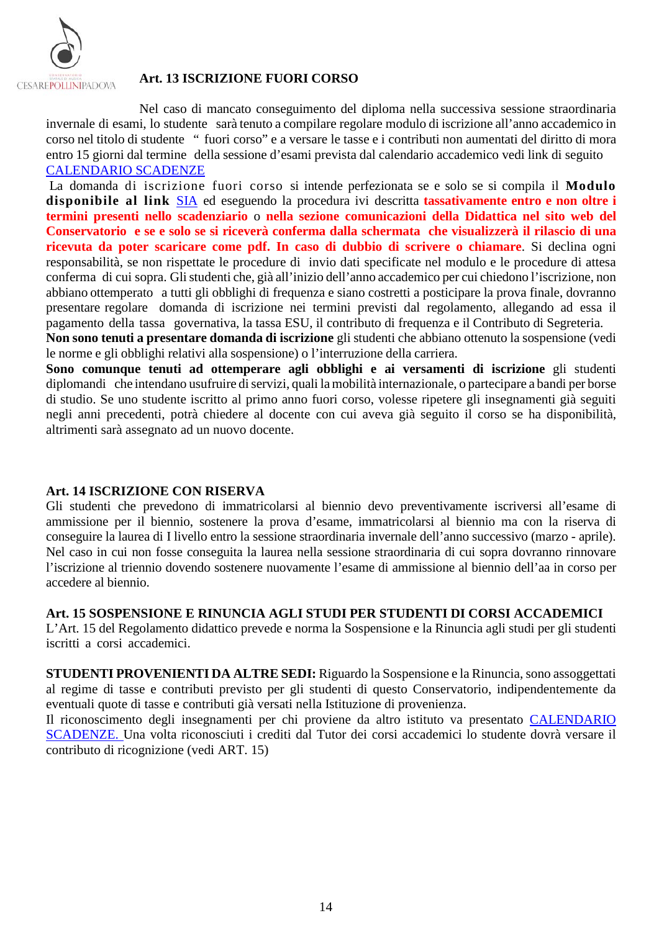

#### <span id="page-13-0"></span>**Art. 13 ISCRIZIONE FUORI CORSO**

Nel caso di mancato conseguimento del diploma nella successiva sessione straordinaria invernale di esami, lo studente sarà tenuto a compilare regolare modulo di iscrizione all'anno accademico in corso nel titolo di studente " fuori corso" e a versare le tasse e i contributi non aumentati del diritto di mora entro 15 giorni dal termine della sessione d'esami prevista dal calendario accademico vedi link di seguito [CALENDARIO SCADENZE](https://www.conservatoriopollini.it/site/it/didattica-scadenziario/)

La domanda di iscrizione fuori corso si intende perfezionata se e solo se si compila il **Modulo disponibile al link** [SIA](https://siapd.conservatoriodimusica.it/preiscriptions/login) ed eseguendo la procedura ivi descritta **tassativamente entro e non oltre i termini presenti nello scadenziario** o **nella sezione comunicazioni della Didattica nel sito web del Conservatorio e se e solo se si riceverà conferma dalla schermata che visualizzerà il rilascio di una ricevuta da poter scaricare come pdf. In caso di dubbio di scrivere o chiamare**. Si declina ogni responsabilità, se non rispettate le procedure di invio dati specificate nel modulo e le procedure di attesa conferma di cui sopra. Glistudenti che, già all'inizio dell'anno accademico per cui chiedono l'iscrizione, non abbiano ottemperato a tutti gli obblighi di frequenza e siano costretti a posticipare la prova finale, dovranno presentare regolare domanda di iscrizione nei termini previsti dal regolamento, allegando ad essa il pagamento della tassa governativa, la tassa ESU, il contributo di frequenza e il Contributo di Segreteria.

**Non sono tenuti a presentare domanda di iscrizione** gli studenti che abbiano ottenuto la sospensione (vedi le norme e gli obblighi relativi alla sospensione) o l'interruzione della carriera.

**Sono comunque tenuti ad ottemperare agli obblighi e ai versamenti di iscrizione** gli studenti diplomandi che intendano usufruire diservizi, quali la mobilità internazionale, o partecipare a bandi per borse di studio. Se uno studente iscritto al primo anno fuori corso, volesse ripetere gli insegnamenti già seguiti negli anni precedenti, potrà chiedere al docente con cui aveva già seguito il corso se ha disponibilità, altrimenti sarà assegnato ad un nuovo docente.

#### <span id="page-13-1"></span>**Art. 14 ISCRIZIONE CON RISERVA**

Gli studenti che prevedono di immatricolarsi al biennio devo preventivamente iscriversi all'esame di ammissione per il biennio, sostenere la prova d'esame, immatricolarsi al biennio ma con la riserva di conseguire la laurea di I livello entro la sessione straordinaria invernale dell'anno successivo (marzo - aprile). Nel caso in cui non fosse conseguita la laurea nella sessione straordinaria di cui sopra dovranno rinnovare l'iscrizione al triennio dovendo sostenere nuovamente l'esame di ammissione al biennio dell'aa in corso per accedere al biennio.

#### <span id="page-13-2"></span>**Art. 15 SOSPENSIONE E RINUNCIA AGLI STUDI PER STUDENTI DI CORSI ACCADEMICI**

L'Art. 15 del Regolamento didattico prevede e norma la Sospensione e la Rinuncia agli studi per gli studenti iscritti a corsi accademici.

**STUDENTI PROVENIENTI DA ALTRE SEDI:** Riguardo la Sospensione e la Rinuncia, sono assoggettati al regime di tasse e contributi previsto per gli studenti di questo Conservatorio, indipendentemente da eventuali quote di tasse e contributi già versati nella Istituzione di provenienza.

Il riconoscimento degli insegnamenti per chi proviene da altro istituto va presentato [CALENDARIO](https://www.conservatoriopollini.it/site/it/didattica-scadenziario/)  [SCADENZE.](https://www.conservatoriopollini.it/site/it/didattica-scadenziario/) Una volta riconosciuti i crediti dal Tutor dei corsi accademici lo studente dovrà versare il contributo di ricognizione (vedi ART. 15)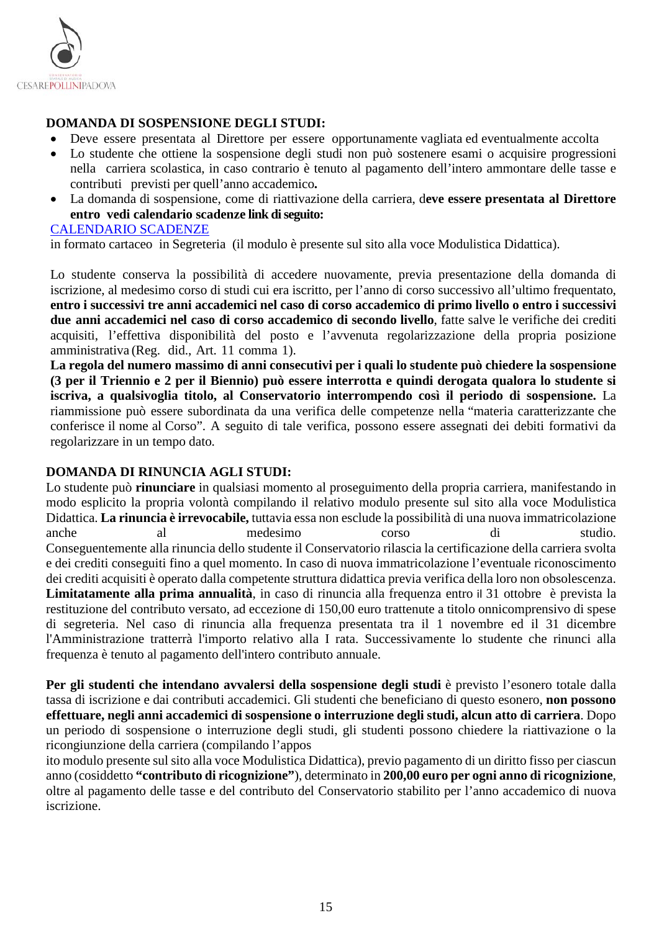

### **DOMANDA DI SOSPENSIONE DEGLI STUDI:**

- Deve essere presentata al Direttore per essere opportunamente vagliata ed eventualmente accolta
- Lo studente che ottiene la sospensione degli studi non può sostenere esami o acquisire progressioni nella carriera scolastica, in caso contrario è tenuto al pagamento dell'intero ammontare delle tasse e contributi previsti per quell'anno accademico**.**
- La domanda di sospensione, come di riattivazione della carriera, d**eve essere presentata al Direttore entro vedi calendario scadenze link di seguito:**

#### [CALENDARIO SCADENZE](https://www.conservatoriopollini.it/site/it/didattica-scadenziario/)

in formato cartaceo in Segreteria (il modulo è presente sul sito alla voce Modulistica Didattica).

Lo studente conserva la possibilità di accedere nuovamente, previa presentazione della domanda di iscrizione, al medesimo corso di studi cui era iscritto, per l'anno di corso successivo all'ultimo frequentato, entro i successivi tre anni accademici nel caso di corso accademico di primo livello o entro i successivi **due anni accademici nel caso di corso accademico di secondo livello**, fatte salve le verifiche dei crediti acquisiti, l'effettiva disponibilità del posto e l'avvenuta regolarizzazione della propria posizione amministrativa (Reg. did., Art. 11 comma 1).

**La regola del numero massimo di anni consecutivi per i quali lo studente può chiedere la sospensione (3 per il Triennio e 2 per il Biennio) può essere interrotta e quindi derogata qualora lo studente si iscriva, a qualsivoglia titolo, al Conservatorio interrompendo così il periodo di sospensione.** La riammissione può essere subordinata da una verifica delle competenze nella "materia caratterizzante che conferisce il nome al Corso". A seguito di tale verifica, possono essere assegnati dei debiti formativi da regolarizzare in un tempo dato.

#### **DOMANDA DI RINUNCIA AGLI STUDI:**

Lo studente può **rinunciare** in qualsiasi momento al proseguimento della propria carriera, manifestando in modo esplicito la propria volontà compilando il relativo modulo presente sul sito alla voce Modulistica Didattica. **La rinuncia è irrevocabile,** tuttavia essa non esclude la possibilità di una nuova immatricolazione anche al medesimo corso di studio. Conseguentemente alla rinuncia dello studente il Conservatorio rilascia la certificazione della carriera svolta e dei crediti conseguiti fino a quel momento. In caso di nuova immatricolazione l'eventuale riconoscimento dei crediti acquisiti è operato dalla competente struttura didattica previa verifica della loro non obsolescenza. **Limitatamente alla prima annualità**, in caso di rinuncia alla frequenza entro il 31 ottobre è prevista la restituzione del contributo versato, ad eccezione di 150,00 euro trattenute a titolo onnicomprensivo di spese di segreteria. Nel caso di rinuncia alla frequenza presentata tra il 1 novembre ed il 31 dicembre l'Amministrazione tratterrà l'importo relativo alla I rata. Successivamente lo studente che rinunci alla frequenza è tenuto al pagamento dell'intero contributo annuale.

**Per gli studenti che intendano avvalersi della sospensione degli studi** è previsto l'esonero totale dalla tassa di iscrizione e dai contributi accademici. Gli studenti che beneficiano di questo esonero, **non possono effettuare, negli anni accademici di sospensione o interruzione degli studi, alcun atto di carriera**. Dopo un periodo di sospensione o interruzione degli studi, gli studenti possono chiedere la riattivazione o la ricongiunzione della carriera (compilando l'appos

ito modulo presente sul sito alla voce Modulistica Didattica), previo pagamento di un diritto fisso per ciascun anno (cosiddetto **"contributo di ricognizione"**), determinato in **200,00 euro per ogni anno di ricognizione**, oltre al pagamento delle tasse e del contributo del Conservatorio stabilito per l'anno accademico di nuova iscrizione.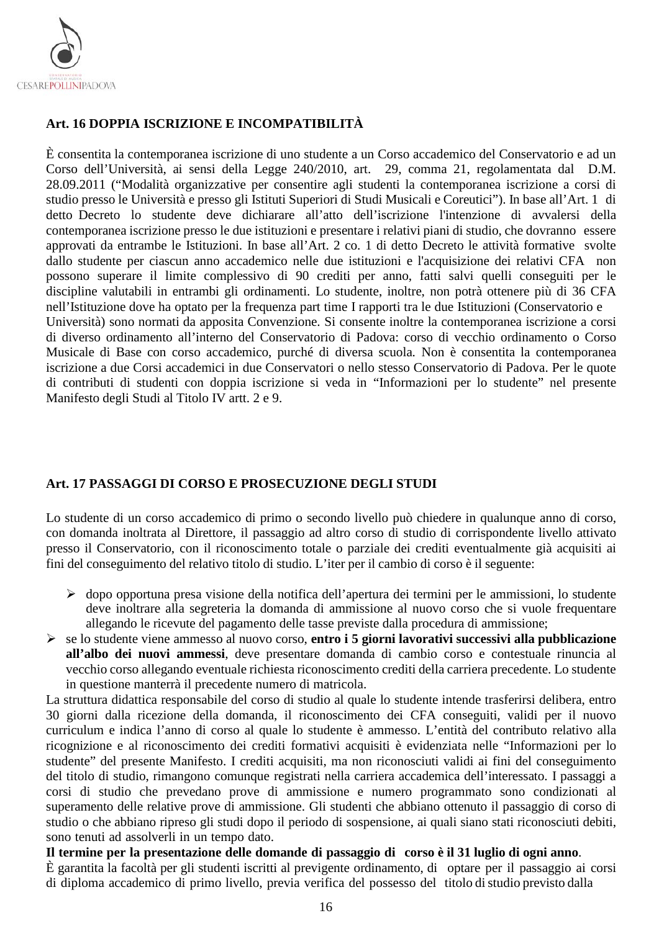

## <span id="page-15-0"></span>**Art. 16 DOPPIA ISCRIZIONE E INCOMPATIBILITÀ**

È consentita la contemporanea iscrizione di uno studente a un Corso accademico del Conservatorio e ad un Corso dell'Università, ai sensi della Legge 240/2010, art. 29, comma 21, regolamentata dal D.M. 28.09.2011 ("Modalità organizzative per consentire agli studenti la contemporanea iscrizione a corsi di studio presso le Università e presso gli Istituti Superiori di Studi Musicali e Coreutici"). In base all'Art. 1 di detto Decreto lo studente deve dichiarare all'atto dell'iscrizione l'intenzione di avvalersi della contemporanea iscrizione presso le due istituzioni e presentare i relativi piani di studio, che dovranno essere approvati da entrambe le Istituzioni. In base all'Art. 2 co. 1 di detto Decreto le attività formative svolte dallo studente per ciascun anno accademico nelle due istituzioni e l'acquisizione dei relativi CFA non possono superare il limite complessivo di 90 crediti per anno, fatti salvi quelli conseguiti per le discipline valutabili in entrambi gli ordinamenti. Lo studente, inoltre, non potrà ottenere più di 36 CFA nell'Istituzione dove ha optato per la frequenza part time I rapporti tra le due Istituzioni (Conservatorio e Università) sono normati da apposita Convenzione. Si consente inoltre la contemporanea iscrizione a corsi di diverso ordinamento all'interno del Conservatorio di Padova: corso di vecchio ordinamento o Corso Musicale di Base con corso accademico, purché di diversa scuola. Non è consentita la contemporanea iscrizione a due Corsi accademici in due Conservatori o nello stesso Conservatorio di Padova. Per le quote di contributi di studenti con doppia iscrizione si veda in "Informazioni per lo studente" nel presente Manifesto degli Studi al Titolo IV artt. 2 e 9.

## <span id="page-15-1"></span>**Art. 17 PASSAGGI DI CORSO E PROSECUZIONE DEGLI STUDI**

Lo studente di un corso accademico di primo o secondo livello può chiedere in qualunque anno di corso, con domanda inoltrata al Direttore, il passaggio ad altro corso di studio di corrispondente livello attivato presso il Conservatorio, con il riconoscimento totale o parziale dei crediti eventualmente già acquisiti ai fini del conseguimento del relativo titolo di studio. L'iter per il cambio di corso è il seguente:

- dopo opportuna presa visione della notifica dell'apertura dei termini per le ammissioni, lo studente deve inoltrare alla segreteria la domanda di ammissione al nuovo corso che si vuole frequentare allegando le ricevute del pagamento delle tasse previste dalla procedura di ammissione;
- se lo studente viene ammesso al nuovo corso, **entro i 5 giorni lavorativi successivi alla pubblicazione all'albo dei nuovi ammessi**, deve presentare domanda di cambio corso e contestuale rinuncia al vecchio corso allegando eventuale richiesta riconoscimento crediti della carriera precedente. Lo studente in questione manterrà il precedente numero di matricola.

La struttura didattica responsabile del corso di studio al quale lo studente intende trasferirsi delibera, entro 30 giorni dalla ricezione della domanda, il riconoscimento dei CFA conseguiti, validi per il nuovo curriculum e indica l'anno di corso al quale lo studente è ammesso. L'entità del contributo relativo alla ricognizione e al riconoscimento dei crediti formativi acquisiti è evidenziata nelle "Informazioni per lo studente" del presente Manifesto. I crediti acquisiti, ma non riconosciuti validi ai fini del conseguimento del titolo di studio, rimangono comunque registrati nella carriera accademica dell'interessato. I passaggi a corsi di studio che prevedano prove di ammissione e numero programmato sono condizionati al superamento delle relative prove di ammissione. Gli studenti che abbiano ottenuto il passaggio di corso di studio o che abbiano ripreso gli studi dopo il periodo di sospensione, ai quali siano stati riconosciuti debiti, sono tenuti ad assolverli in un tempo dato.

**Il termine per la presentazione delle domande di passaggio di corso è il 31 luglio di ogni anno**. È garantita la facoltà per gli studenti iscritti al previgente ordinamento, di optare per il passaggio ai corsi di diploma accademico di primo livello, previa verifica del possesso del titolo distudio previsto dalla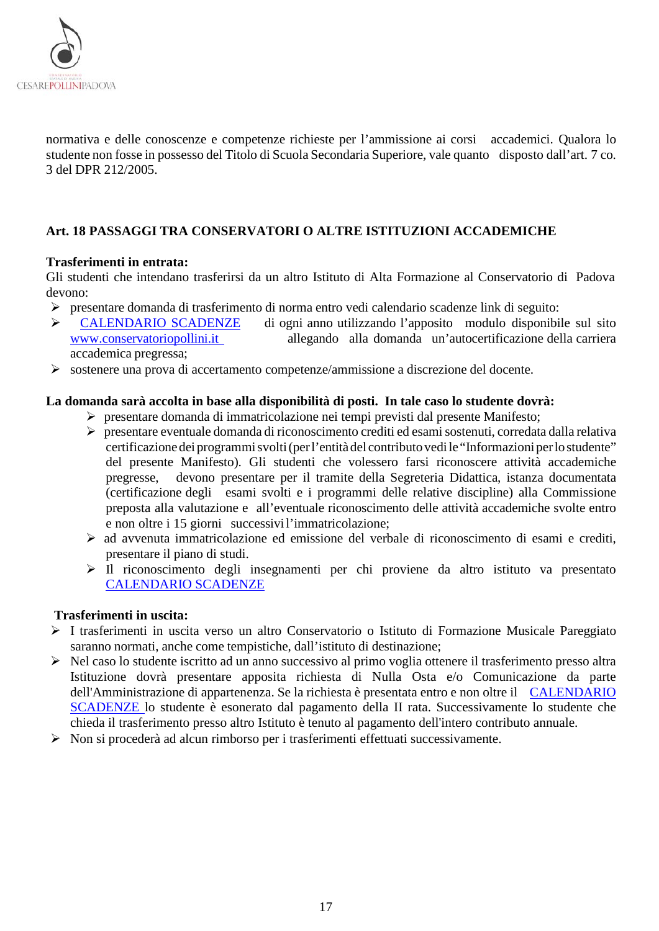

normativa e delle conoscenze e competenze richieste per l'ammissione ai corsi accademici. Qualora lo studente non fosse in possesso del Titolo di Scuola Secondaria Superiore, vale quanto disposto dall'art. 7 co. 3 del DPR 212/2005.

## <span id="page-16-0"></span>**Art. 18 PASSAGGI TRA CONSERVATORI O ALTRE ISTITUZIONI ACCADEMICHE**

#### **Trasferimenti in entrata:**

Gli studenti che intendano trasferirsi da un altro Istituto di Alta Formazione al Conservatorio di Padova devono:

- > presentare domanda di trasferimento di norma entro vedi calendario scadenze link di seguito:<br>
> CALENDARIO SCADENZE di ogni anno utilizzando l'apposito modulo disponibil
- > [CALENDARIO SCADENZE](https://www.conservatoriopollini.it/site/it/didattica-scadenziario/) di ogni anno utilizzando l'apposito modulo disponibile sul sito<br>www.conservatoriopollini.it allegando alla domanda un'autocertificazione della carriera allegando alla domanda un'autocertificazione della carriera accademica pregressa;
- sostenere una prova di accertamento competenze/ammissione a discrezione del docente.

#### **La domanda sarà accolta in base alla disponibilità di posti. In tale caso lo studente dovrà:**

- presentare domanda di immatricolazione nei tempi previsti dal presente Manifesto;
- presentare eventuale domanda di riconoscimento crediti ed esamisostenuti, corredata dalla relativa certificazione dei programmi svolti (per l'entità del contributo vedi le "Informazioni per lo studente" del presente Manifesto). Gli studenti che volessero farsi riconoscere attività accademiche pregresse, devono presentare per il tramite della Segreteria Didattica, istanza documentata (certificazione degli esami svolti e i programmi delle relative discipline) alla Commissione preposta alla valutazione e all'eventuale riconoscimento delle attività accademiche svolte entro e non oltre i 15 giorni successivil'immatricolazione;
- $\triangleright$  ad avvenuta immatricolazione ed emissione del verbale di riconoscimento di esami e crediti, presentare il piano di studi.
- Il riconoscimento degli insegnamenti per chi proviene da altro istituto va presentato [CALENDARIO SCADENZE](https://www.conservatoriopollini.it/site/it/didattica-scadenziario/)

#### **Trasferimenti in uscita:**

- I trasferimenti in uscita verso un altro Conservatorio o Istituto di Formazione Musicale Pareggiato saranno normati, anche come tempistiche, dall'istituto di destinazione;
- Nel caso lo studente iscritto ad un anno successivo al primo voglia ottenere il trasferimento presso altra Istituzione dovrà presentare apposita richiesta di Nulla Osta e/o Comunicazione da parte dell'Amministrazione di appartenenza. Se la richiesta è presentata entro e non oltre il CALENDARIO [SCADENZE](https://www.conservatoriopollini.it/site/it/didattica-scadenziario/) lo studente è esonerato dal pagamento della II rata. Successivamente lo studente che chieda il trasferimento presso altro Istituto è tenuto al pagamento dell'intero contributo annuale.
- <span id="page-16-1"></span>Non si procederà ad alcun rimborso per i trasferimenti effettuati successivamente.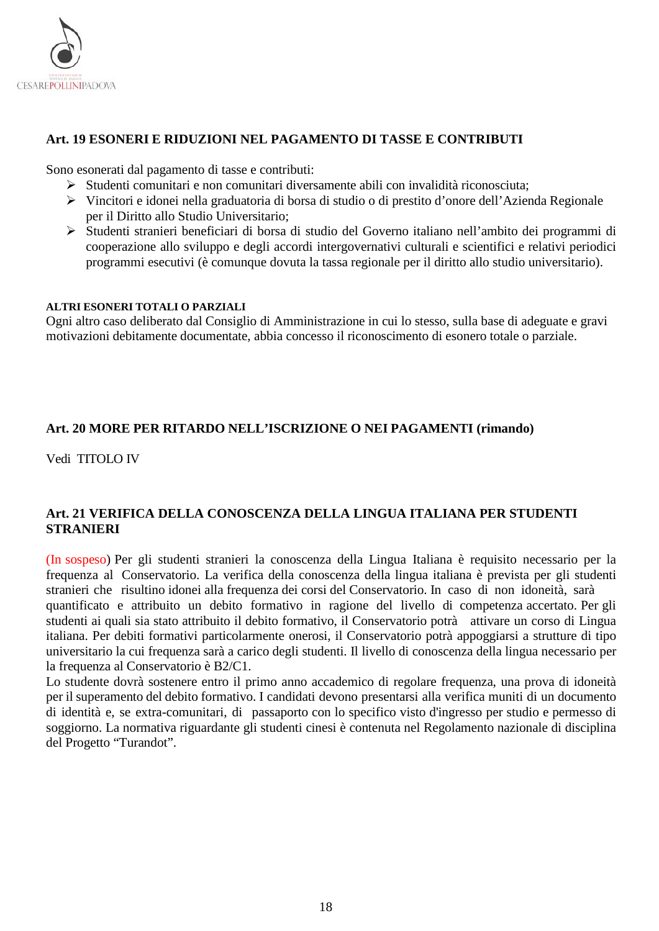

## **Art. 19 ESONERI E RIDUZIONI NEL PAGAMENTO DI TASSE E CONTRIBUTI**

Sono esonerati dal pagamento di tasse e contributi:

- $\triangleright$  Studenti comunitari e non comunitari diversamente abili con invalidità riconosciuta;
- Vincitori e idonei nella graduatoria di borsa di studio o di prestito d'onore dell'Azienda Regionale per il Diritto allo Studio Universitario;
- Studenti stranieri beneficiari di borsa di studio del Governo italiano nell'ambito dei programmi di cooperazione allo sviluppo e degli accordi intergovernativi culturali e scientifici e relativi periodici programmi esecutivi (è comunque dovuta la tassa regionale per il diritto allo studio universitario).

#### **ALTRI ESONERI TOTALI O PARZIALI**

Ogni altro caso deliberato dal Consiglio di Amministrazione in cui lo stesso, sulla base di adeguate e gravi motivazioni debitamente documentate, abbia concesso il riconoscimento di esonero totale o parziale.

## <span id="page-17-0"></span>**Art. 20 MORE PER RITARDO NELL'ISCRIZIONE O NEI PAGAMENTI (rimando)**

Vedi TITOLO IV

#### <span id="page-17-1"></span>**Art. 21 VERIFICA DELLA CONOSCENZA DELLA LINGUA ITALIANA PER STUDENTI STRANIERI**

(In sospeso) Per gli studenti stranieri la conoscenza della Lingua Italiana è requisito necessario per la frequenza al Conservatorio. La verifica della conoscenza della lingua italiana è prevista per gli studenti stranieri che risultino idonei alla frequenza dei corsi del Conservatorio. In caso di non idoneità, sarà quantificato e attribuito un debito formativo in ragione del livello di competenza accertato. Per gli studenti ai quali sia stato attribuito il debito formativo, il Conservatorio potrà attivare un corso di Lingua italiana. Per debiti formativi particolarmente onerosi, il Conservatorio potrà appoggiarsi a strutture di tipo universitario la cui frequenza sarà a carico degli studenti. Il livello di conoscenza della lingua necessario per la frequenza al Conservatorio è B2/C1.

Lo studente dovrà sostenere entro il primo anno accademico di regolare frequenza, una prova di idoneità per il superamento del debito formativo. I candidati devono presentarsi alla verifica muniti di un documento di identità e, se extra-comunitari, di passaporto con lo specifico visto d'ingresso per studio e permesso di soggiorno. La normativa riguardante gli studenti cinesi è contenuta nel Regolamento nazionale di disciplina del Progetto "Turandot".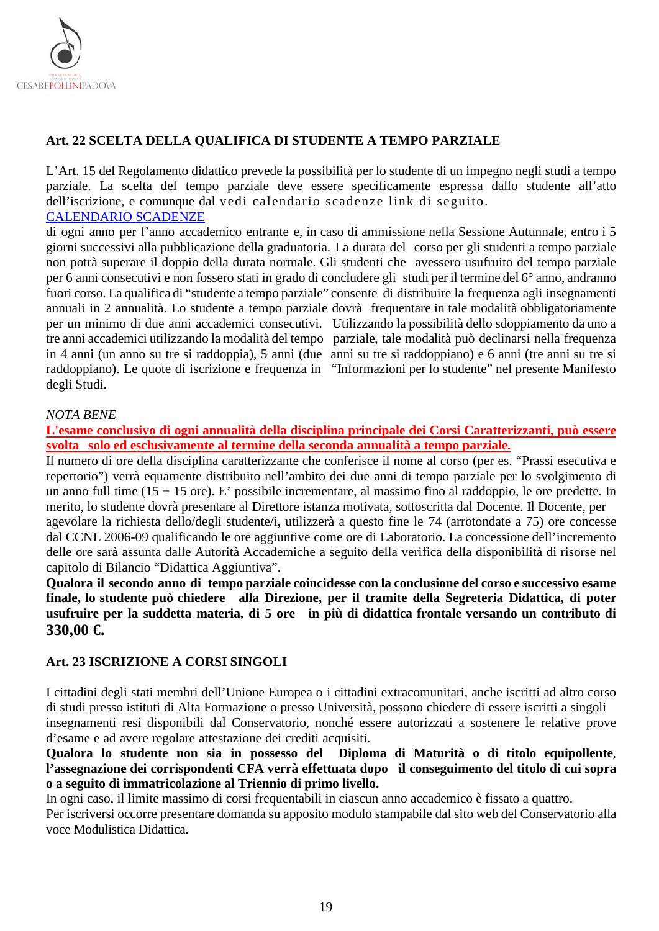

## <span id="page-18-0"></span>**Art. 22 SCELTA DELLA QUALIFICA DI STUDENTE A TEMPO PARZIALE**

L'Art. 15 del Regolamento didattico prevede la possibilità per lo studente di un impegno negli studi a tempo parziale. La scelta del tempo parziale deve essere specificamente espressa dallo studente all'atto dell'iscrizione, e comunque dal vedi calendario scadenze link di seguito. [CALENDARIO SCADENZE](https://www.conservatoriopollini.it/site/it/didattica-scadenziario/)

di ogni anno per l'anno accademico entrante e, in caso di ammissione nella Sessione Autunnale, entro i 5 giorni successivi alla pubblicazione della graduatoria. La durata del corso per gli studenti a tempo parziale non potrà superare il doppio della durata normale. Gli studenti che avessero usufruito del tempo parziale per 6 anni consecutivi e non fossero stati in grado di concludere gli studi per il termine del 6° anno, andranno fuori corso. La qualifica di "studente a tempo parziale" consente di distribuire la frequenza agli insegnamenti annuali in 2 annualità. Lo studente a tempo parziale dovrà frequentare in tale modalità obbligatoriamente per un minimo di due anni accademici consecutivi. Utilizzando la possibilità dello sdoppiamento da uno a tre anni accademici utilizzando la modalità del tempo parziale, tale modalità può declinarsi nella frequenza in 4 anni (un anno su tre si raddoppia), 5 anni (due anni su tre si raddoppiano) e 6 anni (tre anni su tre si raddoppiano). Le quote di iscrizione e frequenza in "Informazioni per lo studente" nel presente Manifesto degli Studi.

#### *NOTA BENE*

**L'esame conclusivo di ogni annualità della disciplina principale dei Corsi Caratterizzanti, può essere svolta solo ed esclusivamente al termine della seconda annualità a tempo parziale.**

Il numero di ore della disciplina caratterizzante che conferisce il nome al corso (per es. "Prassi esecutiva e repertorio") verrà equamente distribuito nell'ambito dei due anni di tempo parziale per lo svolgimento di un anno full time (15 + 15 ore). E' possibile incrementare, al massimo fino al raddoppio, le ore predette. In merito, lo studente dovrà presentare al Direttore istanza motivata, sottoscritta dal Docente. Il Docente, per agevolare la richiesta dello/degli studente/i, utilizzerà a questo fine le 74 (arrotondate a 75) ore concesse

dal CCNL 2006-09 qualificando le ore aggiuntive come ore di Laboratorio. La concessione dell'incremento delle ore sarà assunta dalle Autorità Accademiche a seguito della verifica della disponibilità di risorse nel capitolo di Bilancio "Didattica Aggiuntiva".

**Qualora il secondo anno di tempo parziale coincidesse con la conclusione del corso e successivo esame finale, lo studente può chiedere alla Direzione, per il tramite della Segreteria Didattica, di poter usufruire per la suddetta materia, di 5 ore in più di didattica frontale versando un contributo di 330,00 €.**

#### <span id="page-18-1"></span>**Art. 23 ISCRIZIONE A CORSI SINGOLI**

I cittadini degli stati membri dell'Unione Europea o i cittadini extracomunitari, anche iscritti ad altro corso di studi presso istituti di Alta Formazione o presso Università, possono chiedere di essere iscritti a singoli insegnamenti resi disponibili dal Conservatorio, nonché essere autorizzati a sostenere le relative prove d'esame e ad avere regolare attestazione dei crediti acquisiti.

**Qualora lo studente non sia in possesso del Diploma di Maturità o di titolo equipollente**, **l'assegnazione dei corrispondenti CFA verrà effettuata dopo il conseguimento del titolo di cui sopra o a seguito di immatricolazione al Triennio di primo livello.**

In ogni caso, il limite massimo di corsi frequentabili in ciascun anno accademico è fissato a quattro. Per iscriversi occorre presentare domanda su apposito modulo stampabile dal sito web del Conservatorio alla voce Modulistica Didattica.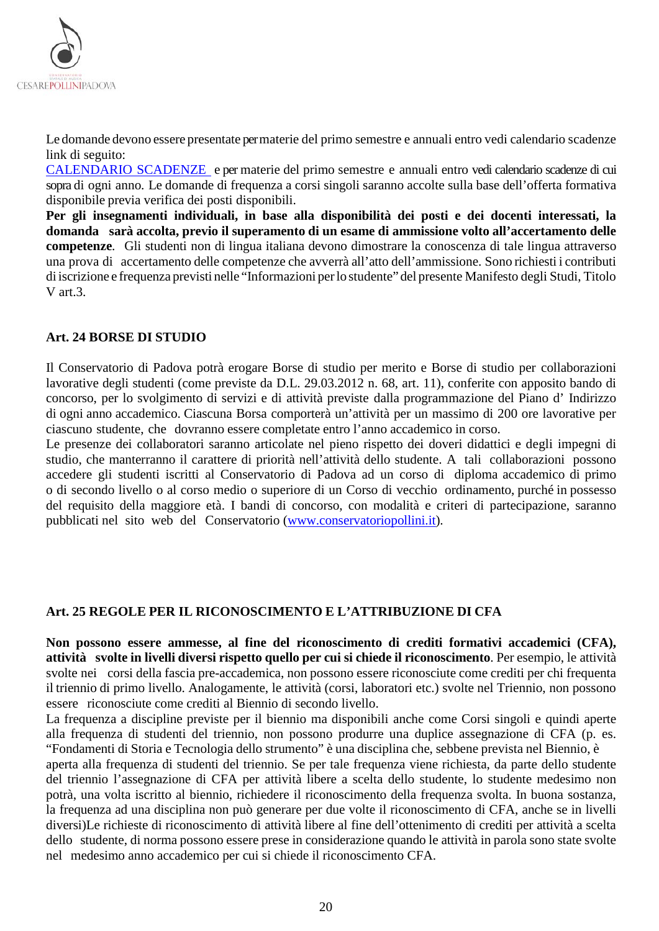

Le domande devono essere presentate permaterie del primo semestre e annuali entro vedi calendario scadenze link di seguito:

[CALENDARIO SCADENZE](https://www.conservatoriopollini.it/site/it/didattica-scadenziario/) e per materie del primo semestre e annuali entro vedi calendario scadenze di cui sopra di ogni anno. Le domande di frequenza a corsi singoli saranno accolte sulla base dell'offerta formativa disponibile previa verifica dei posti disponibili.

**Per gli insegnamenti individuali, in base alla disponibilità dei posti e dei docenti interessati, la domanda sarà accolta, previo il superamento di un esame di ammissione volto all'accertamento delle competenze**. Gli studenti non di lingua italiana devono dimostrare la conoscenza di tale lingua attraverso una prova di accertamento delle competenze che avverrà all'atto dell'ammissione. Sono richiesti i contributi di iscrizione e frequenza previsti nelle "Informazioni perlo studente" del presente Manifesto degli Studi, Titolo V art.3.

## <span id="page-19-0"></span>**Art. 24 BORSE DI STUDIO**

Il Conservatorio di Padova potrà erogare Borse di studio per merito e Borse di studio per collaborazioni lavorative degli studenti (come previste da D.L. 29.03.2012 n. 68, art. 11), conferite con apposito bando di concorso, per lo svolgimento di servizi e di attività previste dalla programmazione del Piano d' Indirizzo di ogni anno accademico. Ciascuna Borsa comporterà un'attività per un massimo di 200 ore lavorative per ciascuno studente, che dovranno essere completate entro l'anno accademico in corso.

Le presenze dei collaboratori saranno articolate nel pieno rispetto dei doveri didattici e degli impegni di studio, che manterranno il carattere di priorità nell'attività dello studente. A tali collaborazioni possono accedere gli studenti iscritti al Conservatorio di Padova ad un corso di diploma accademico di primo o di secondo livello o al corso medio o superiore di un Corso di vecchio ordinamento, purché in possesso del requisito della maggiore età. I bandi di concorso, con modalità e criteri di partecipazione, saranno pubblicati nel sito web del Conservatorio [\(www.conservatoriopollini.it\)](http://www.conservatoriopollini.it/).

#### <span id="page-19-1"></span>**Art. 25 REGOLE PER IL RICONOSCIMENTO E L'ATTRIBUZIONE DI CFA**

**Non possono essere ammesse, al fine del riconoscimento di crediti formativi accademici (CFA), attività svolte in livelli diversi rispetto quello per cui si chiede il riconoscimento**. Per esempio, le attività svolte nei corsi della fascia pre-accademica, non possono essere riconosciute come crediti per chi frequenta il triennio di primo livello. Analogamente, le attività (corsi, laboratori etc.) svolte nel Triennio, non possono essere riconosciute come crediti al Biennio di secondo livello.

La frequenza a discipline previste per il biennio ma disponibili anche come Corsi singoli e quindi aperte alla frequenza di studenti del triennio, non possono produrre una duplice assegnazione di CFA (p. es. "Fondamenti di Storia e Tecnologia dello strumento" è una disciplina che, sebbene prevista nel Biennio, è

aperta alla frequenza di studenti del triennio. Se per tale frequenza viene richiesta, da parte dello studente del triennio l'assegnazione di CFA per attività libere a scelta dello studente, lo studente medesimo non potrà, una volta iscritto al biennio, richiedere il riconoscimento della frequenza svolta. In buona sostanza, la frequenza ad una disciplina non può generare per due volte il riconoscimento di CFA, anche se in livelli diversi)Le richieste di riconoscimento di attività libere al fine dell'ottenimento di crediti per attività a scelta dello studente, di norma possono essere prese in considerazione quando le attività in parola sono state svolte nel medesimo anno accademico per cui si chiede il riconoscimento CFA.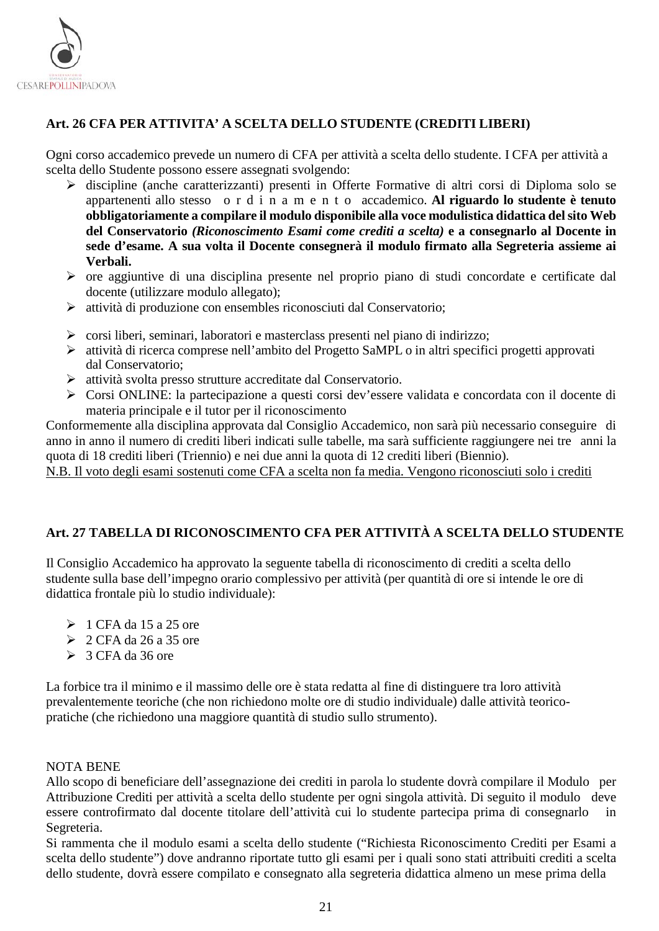

## <span id="page-20-0"></span>**Art. 26 CFA PER ATTIVITA' A SCELTA DELLO STUDENTE (CREDITI LIBERI)**

Ogni corso accademico prevede un numero di CFA per attività a scelta dello studente. I CFA per attività a scelta dello Studente possono essere assegnati svolgendo:

- discipline (anche caratterizzanti) presenti in Offerte Formative di altri corsi di Diploma solo se appartenenti allo stesso ordinamento accademico. **Al riguardo lo studente è tenuto obbligatoriamente a compilare il modulo disponibile alla voce modulistica didattica del sito Web del Conservatorio** *(Riconoscimento Esami come crediti a scelta)* **e a consegnarlo al Docente in sede d'esame. A sua volta il Docente consegnerà il modulo firmato alla Segreteria assieme ai Verbali.**
- ore aggiuntive di una disciplina presente nel proprio piano di studi concordate e certificate dal docente (utilizzare modulo allegato);
- attività di produzione con ensembles riconosciuti dal Conservatorio;
- $\triangleright$  corsi liberi, seminari, laboratori e masterclass presenti nel piano di indirizzo;
- attività di ricerca comprese nell'ambito del Progetto SaMPL o in altri specifici progetti approvati dal Conservatorio;
- attività svolta presso strutture accreditate dal Conservatorio.
- Corsi ONLINE: la partecipazione a questi corsi dev'essere validata e concordata con il docente di materia principale e il tutor per il riconoscimento

Conformemente alla disciplina approvata dal Consiglio Accademico, non sarà più necessario conseguire di anno in anno il numero di crediti liberi indicati sulle tabelle, ma sarà sufficiente raggiungere nei tre anni la quota di 18 crediti liberi (Triennio) e nei due anni la quota di 12 crediti liberi (Biennio).

N.B. Il voto degli esami sostenuti come CFA a scelta non fa media. Vengono riconosciuti solo i crediti

## <span id="page-20-1"></span>**Art. 27 TABELLA DI RICONOSCIMENTO CFA PER ATTIVITÀ A SCELTA DELLO STUDENTE**

Il Consiglio Accademico ha approvato la seguente tabella di riconoscimento di crediti a scelta dello studente sulla base dell'impegno orario complessivo per attività (per quantità di ore si intende le ore di didattica frontale più lo studio individuale):

- $\geq 1$  CFA da 15 a 25 ore
- $\geq 2$  CFA da 26 a 35 ore
- $\geq 3$  CFA da 36 ore

La forbice tra il minimo e il massimo delle ore è stata redatta al fine di distinguere tra loro attività prevalentemente teoriche (che non richiedono molte ore di studio individuale) dalle attività teoricopratiche (che richiedono una maggiore quantità di studio sullo strumento).

#### NOTA BENE

Allo scopo di beneficiare dell'assegnazione dei crediti in parola lo studente dovrà compilare il Modulo per Attribuzione Crediti per attività a scelta dello studente per ogni singola attività. Di seguito il modulo deve essere controfirmato dal docente titolare dell'attività cui lo studente partecipa prima di consegnarlo in Segreteria.

Si rammenta che il modulo esami a scelta dello studente ("Richiesta Riconoscimento Crediti per Esami a scelta dello studente") dove andranno riportate tutto gli esami per i quali sono stati attribuiti crediti a scelta dello studente, dovrà essere compilato e consegnato alla segreteria didattica almeno un mese prima della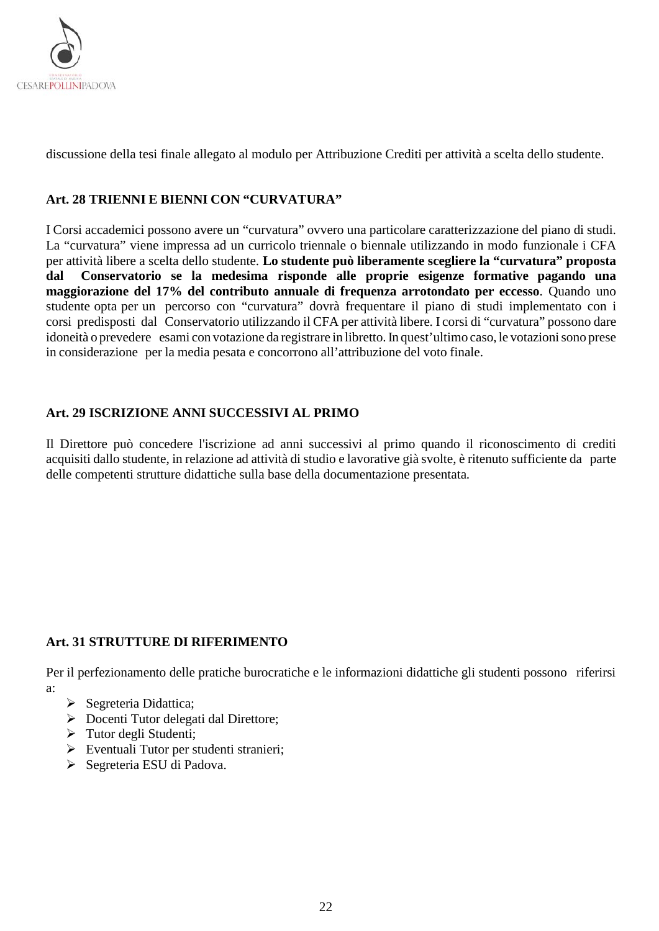

discussione della tesi finale allegato al modulo per Attribuzione Crediti per attività a scelta dello studente.

#### <span id="page-21-0"></span>**Art. 28 TRIENNI E BIENNI CON "CURVATURA"**

I Corsi accademici possono avere un "curvatura" ovvero una particolare caratterizzazione del piano di studi. La "curvatura" viene impressa ad un curricolo triennale o biennale utilizzando in modo funzionale i CFA per attività libere a scelta dello studente. **Lo studente può liberamente scegliere la "curvatura" proposta dal Conservatorio se la medesima risponde alle proprie esigenze formative pagando una maggiorazione del 17% del contributo annuale di frequenza arrotondato per eccesso**. Quando uno studente opta per un percorso con "curvatura" dovrà frequentare il piano di studi implementato con i corsi predisposti dal Conservatorio utilizzando il CFA per attività libere. I corsi di "curvatura" possono dare idoneità o prevedere esami con votazione da registrare in libretto. In quest'ultimo caso, le votazioni sono prese in considerazione per la media pesata e concorrono all'attribuzione del voto finale.

#### <span id="page-21-1"></span>**Art. 29 ISCRIZIONE ANNI SUCCESSIVI AL PRIMO**

<span id="page-21-2"></span>Il Direttore può concedere l'iscrizione ad anni successivi al primo quando il riconoscimento di crediti acquisiti dallo studente, in relazione ad attività di studio e lavorative già svolte, è ritenuto sufficiente da parte delle competenti strutture didattiche sulla base della documentazione presentata.

#### **Art. 31 STRUTTURE DI RIFERIMENTO**

Per il perfezionamento delle pratiche burocratiche e le informazioni didattiche gli studenti possono riferirsi a:

- $\triangleright$  Segreteria Didattica;
- Docenti Tutor delegati dal Direttore;
- $\triangleright$  Tutor degli Studenti;
- Eventuali Tutor per studenti stranieri;
- Segreteria ESU di Padova.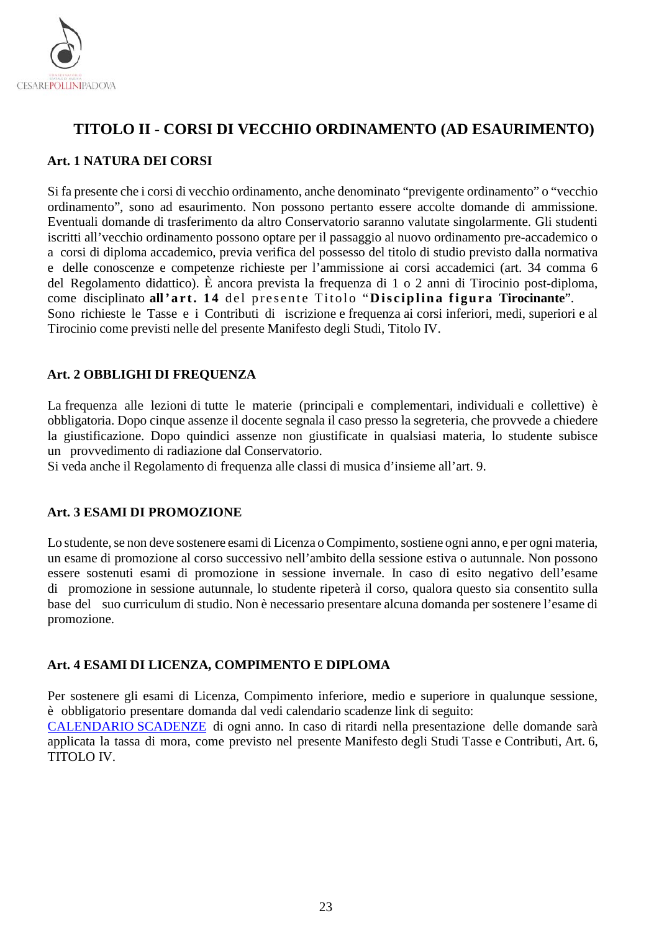

# <span id="page-22-0"></span>**TITOLO II - CORSI DI VECCHIO ORDINAMENTO (AD ESAURIMENTO)**

### <span id="page-22-1"></span>**Art. 1 NATURA DEI CORSI**

Si fa presente che i corsi di vecchio ordinamento, anche denominato "previgente ordinamento" o "vecchio ordinamento", sono ad esaurimento. Non possono pertanto essere accolte domande di ammissione. Eventuali domande di trasferimento da altro Conservatorio saranno valutate singolarmente. Gli studenti iscritti all'vecchio ordinamento possono optare per il passaggio al nuovo ordinamento pre-accademico o a corsi di diploma accademico, previa verifica del possesso del titolo di studio previsto dalla normativa e delle conoscenze e competenze richieste per l'ammissione ai corsi accademici (art. 34 comma 6 del Regolamento didattico). È ancora prevista la frequenza di 1 o 2 anni di Tirocinio post‐diploma, come disciplinato **all'art. 14** del presente Titolo "**Disciplina figura Tirocinante**". Sono richieste le Tasse e i Contributi di iscrizione e frequenza ai corsi inferiori, medi, superiori e al Tirocinio come previsti nelle del presente Manifesto degli Studi, Titolo IV.

## <span id="page-22-2"></span>**Art. 2 OBBLIGHI DI FREQUENZA**

La frequenza alle lezioni di tutte le materie (principali e complementari, individuali e collettive) è obbligatoria. Dopo cinque assenze il docente segnala il caso presso la segreteria, che provvede a chiedere la giustificazione. Dopo quindici assenze non giustificate in qualsiasi materia, lo studente subisce un provvedimento di radiazione dal Conservatorio.

Si veda anche il Regolamento di frequenza alle classi di musica d'insieme all'art. 9.

#### <span id="page-22-3"></span>**Art. 3 ESAMI DI PROMOZIONE**

Lo studente, se non deve sostenere esami di Licenza o Compimento, sostiene ogni anno, e per ogni materia, un esame di promozione al corso successivo nell'ambito della sessione estiva o autunnale. Non possono essere sostenuti esami di promozione in sessione invernale. In caso di esito negativo dell'esame di promozione in sessione autunnale, lo studente ripeterà il corso, qualora questo sia consentito sulla base del suo curriculum di studio. Non è necessario presentare alcuna domanda per sostenere l'esame di promozione.

#### <span id="page-22-4"></span>**Art. 4 ESAMI DI LICENZA, COMPIMENTO E DIPLOMA**

Per sostenere gli esami di Licenza, Compimento inferiore, medio e superiore in qualunque sessione, è obbligatorio presentare domanda dal vedi calendario scadenze link di seguito:

[CALENDARIO SCADENZE](https://www.conservatoriopollini.it/site/it/didattica-scadenziario/) di ogni anno. In caso di ritardi nella presentazione delle domande sarà applicata la tassa di mora, come previsto nel presente Manifesto degli Studi Tasse e Contributi, Art. 6, TITOLO IV.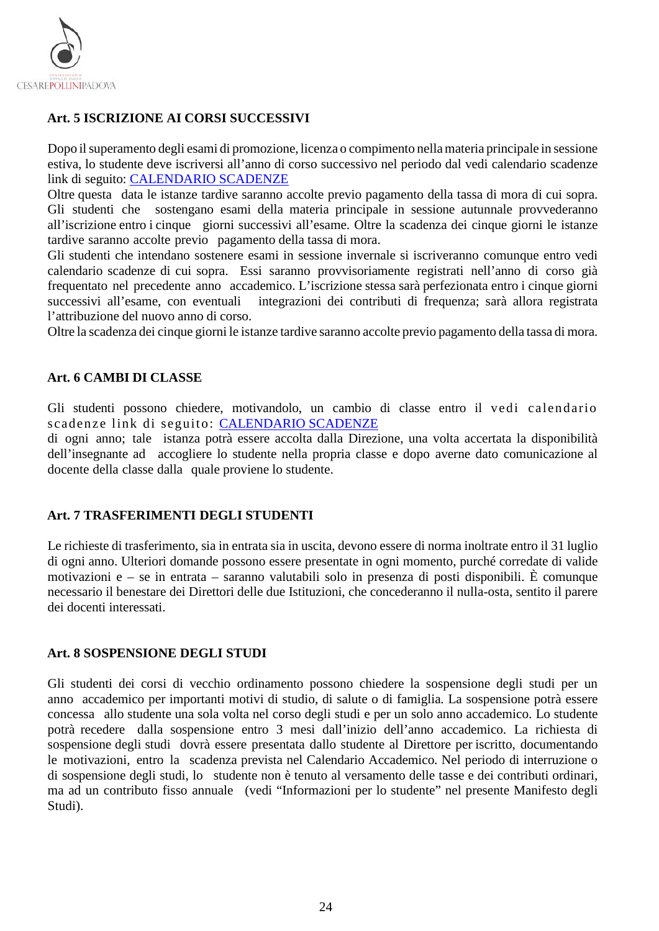

## <span id="page-23-0"></span>**Art. 5 ISCRIZIONE AI CORSI SUCCESSIVI**

Dopo il superamento degli esami di promozione, licenza o compimento nella materia principale in sessione estiva, lo studente deve iscriversi all'anno di corso successivo nel periodo dal vedi calendario scadenze link di seguito: [CALENDARIO SCADENZE](https://www.conservatoriopollini.it/site/it/didattica-scadenziario/)

Oltre questa data le istanze tardive saranno accolte previo pagamento della tassa di mora di cui sopra. Gli studenti che sostengano esami della materia principale in sessione autunnale provvederanno all'iscrizione entro i cinque giorni successivi all'esame. Oltre la scadenza dei cinque giorni le istanze tardive saranno accolte previo pagamento della tassa di mora.

Gli studenti che intendano sostenere esami in sessione invernale si iscriveranno comunque entro vedi calendario scadenze di cui sopra. Essi saranno provvisoriamente registrati nell'anno di corso già frequentato nel precedente anno accademico. L'iscrizione stessa sarà perfezionata entro i cinque giorni successivi all'esame, con eventuali integrazioni dei contributi di frequenza; sarà allora registrata l'attribuzione del nuovo anno di corso.

Oltre la scadenza dei cinque giorni le istanze tardive saranno accolte previo pagamento della tassa di mora.

#### <span id="page-23-1"></span>**Art. 6 CAMBI DI CLASSE**

Gli studenti possono chiedere, motivandolo, un cambio di classe entro il vedi calendario scadenze link di seguito: [CALENDARIO SCADENZE](https://www.conservatoriopollini.it/site/it/didattica-scadenziario/)

di ogni anno; tale istanza potrà essere accolta dalla Direzione, una volta accertata la disponibilità dell'insegnante ad accogliere lo studente nella propria classe e dopo averne dato comunicazione al docente della classe dalla quale proviene lo studente.

#### <span id="page-23-2"></span>**Art. 7 TRASFERIMENTI DEGLI STUDENTI**

Le richieste di trasferimento, sia in entrata sia in uscita, devono essere di norma inoltrate entro il 31 luglio di ogni anno. Ulteriori domande possono essere presentate in ogni momento, purché corredate di valide motivazioni e – se in entrata – saranno valutabili solo in presenza di posti disponibili. È comunque necessario il benestare dei Direttori delle due Istituzioni, che concederanno il nulla‐osta, sentito il parere dei docenti interessati.

#### <span id="page-23-3"></span>**Art. 8 SOSPENSIONE DEGLI STUDI**

Gli studenti dei corsi di vecchio ordinamento possono chiedere la sospensione degli studi per un anno accademico per importanti motivi di studio, di salute o di famiglia. La sospensione potrà essere concessa allo studente una sola volta nel corso degli studi e per un solo anno accademico. Lo studente potrà recedere dalla sospensione entro 3 mesi dall'inizio dell'anno accademico. La richiesta di sospensione degli studi dovrà essere presentata dallo studente al Direttore per iscritto, documentando le motivazioni, entro la scadenza prevista nel Calendario Accademico. Nel periodo di interruzione o di sospensione degli studi, lo studente non è tenuto al versamento delle tasse e dei contributi ordinari, ma ad un contributo fisso annuale (vedi "Informazioni per lo studente" nel presente Manifesto degli Studi).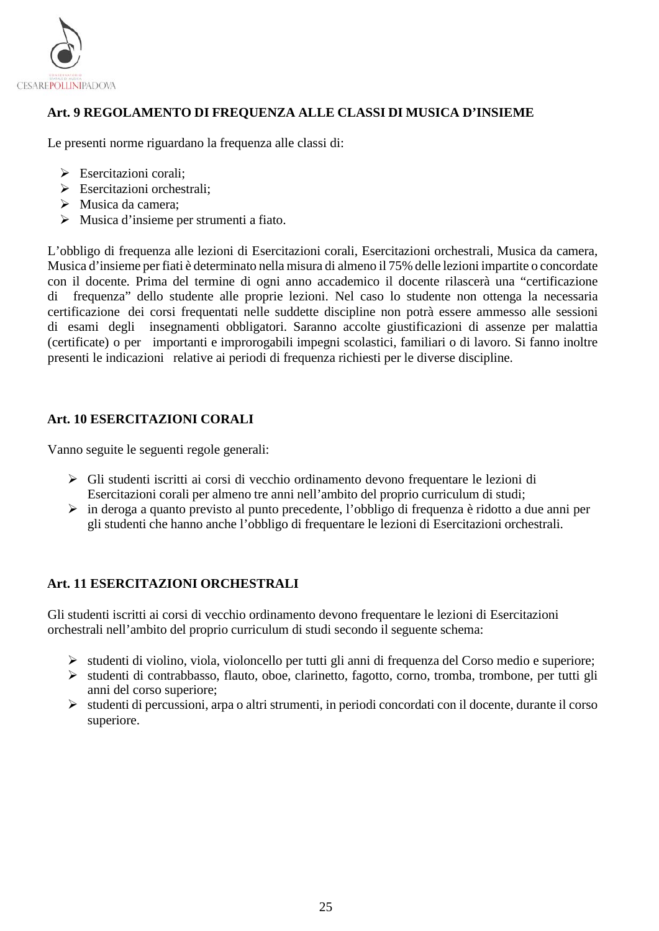

## <span id="page-24-0"></span>**Art. 9 REGOLAMENTO DI FREQUENZA ALLE CLASSI DI MUSICA D'INSIEME**

Le presenti norme riguardano la frequenza alle classi di:

- Esercitazioni corali:
- $\triangleright$  Esercitazioni orchestrali:
- Musica da camera;
- Musica d'insieme per strumenti a fiato.

L'obbligo di frequenza alle lezioni di Esercitazioni corali, Esercitazioni orchestrali, Musica da camera, Musica d'insieme per fiati è determinato nella misura di almeno il 75% delle lezioni impartite o concordate con il docente. Prima del termine di ogni anno accademico il docente rilascerà una "certificazione di frequenza" dello studente alle proprie lezioni. Nel caso lo studente non ottenga la necessaria certificazione dei corsi frequentati nelle suddette discipline non potrà essere ammesso alle sessioni di esami degli insegnamenti obbligatori. Saranno accolte giustificazioni di assenze per malattia (certificate) o per importanti e improrogabili impegni scolastici, familiari o di lavoro. Si fanno inoltre presenti le indicazioni relative ai periodi di frequenza richiesti per le diverse discipline.

## <span id="page-24-1"></span>**Art. 10 ESERCITAZIONI CORALI**

Vanno seguite le seguenti regole generali:

- Gli studenti iscritti ai corsi di vecchio ordinamento devono frequentare le lezioni di Esercitazioni corali per almeno tre anni nell'ambito del proprio curriculum di studi;
- in deroga a quanto previsto al punto precedente, l'obbligo di frequenza è ridotto a due anni per gli studenti che hanno anche l'obbligo di frequentare le lezioni di Esercitazioni orchestrali.

#### <span id="page-24-2"></span>**Art. 11 ESERCITAZIONI ORCHESTRALI**

Gli studenti iscritti ai corsi di vecchio ordinamento devono frequentare le lezioni di Esercitazioni orchestrali nell'ambito del proprio curriculum di studi secondo il seguente schema:

- $\triangleright$  studenti di violino, viola, violoncello per tutti gli anni di frequenza del Corso medio e superiore;
- studenti di contrabbasso, flauto, oboe, clarinetto, fagotto, corno, tromba, trombone, per tutti gli anni del corso superiore;
- $\triangleright$  studenti di percussioni, arpa o altri strumenti, in periodi concordati con il docente, durante il corso superiore.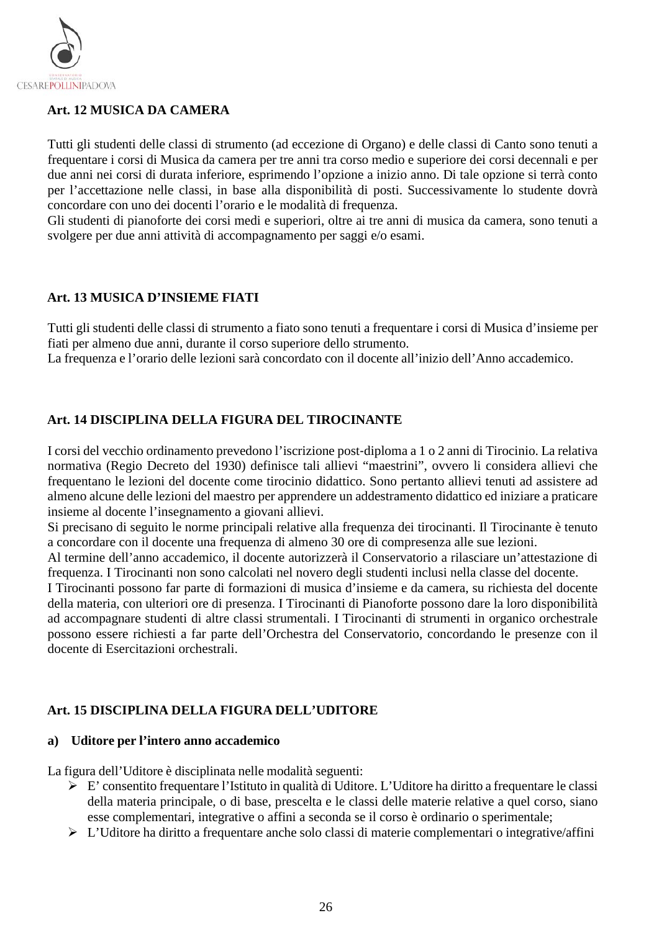

## <span id="page-25-0"></span>**Art. 12 MUSICA DA CAMERA**

Tutti gli studenti delle classi di strumento (ad eccezione di Organo) e delle classi di Canto sono tenuti a frequentare i corsi di Musica da camera per tre anni tra corso medio e superiore dei corsi decennali e per due anni nei corsi di durata inferiore, esprimendo l'opzione a inizio anno. Di tale opzione si terrà conto per l'accettazione nelle classi, in base alla disponibilità di posti. Successivamente lo studente dovrà concordare con uno dei docenti l'orario e le modalità di frequenza.

Gli studenti di pianoforte dei corsi medi e superiori, oltre ai tre anni di musica da camera, sono tenuti a svolgere per due anni attività di accompagnamento per saggi e/o esami.

#### <span id="page-25-1"></span>**Art. 13 MUSICA D'INSIEME FIATI**

Tutti gli studenti delle classi di strumento a fiato sono tenuti a frequentare i corsi di Musica d'insieme per fiati per almeno due anni, durante il corso superiore dello strumento.

La frequenza e l'orario delle lezioni sarà concordato con il docente all'inizio dell'Anno accademico.

#### <span id="page-25-2"></span>**Art. 14 DISCIPLINA DELLA FIGURA DEL TIROCINANTE**

I corsi del vecchio ordinamento prevedono l'iscrizione post‐diploma a 1 o 2 anni di Tirocinio. La relativa normativa (Regio Decreto del 1930) definisce tali allievi "maestrini", ovvero li considera allievi che frequentano le lezioni del docente come tirocinio didattico. Sono pertanto allievi tenuti ad assistere ad almeno alcune delle lezioni del maestro per apprendere un addestramento didattico ed iniziare a praticare insieme al docente l'insegnamento a giovani allievi.

Si precisano di seguito le norme principali relative alla frequenza dei tirocinanti. Il Tirocinante è tenuto a concordare con il docente una frequenza di almeno 30 ore di compresenza alle sue lezioni.

Al termine dell'anno accademico, il docente autorizzerà il Conservatorio a rilasciare un'attestazione di frequenza. I Tirocinanti non sono calcolati nel novero degli studenti inclusi nella classe del docente.

I Tirocinanti possono far parte di formazioni di musica d'insieme e da camera, su richiesta del docente della materia, con ulteriori ore di presenza. I Tirocinanti di Pianoforte possono dare la loro disponibilità ad accompagnare studenti di altre classi strumentali. I Tirocinanti di strumenti in organico orchestrale possono essere richiesti a far parte dell'Orchestra del Conservatorio, concordando le presenze con il docente di Esercitazioni orchestrali.

#### <span id="page-25-3"></span>**Art. 15 DISCIPLINA DELLA FIGURA DELL'UDITORE**

#### **a) Uditore per l'intero anno accademico**

La figura dell'Uditore è disciplinata nelle modalità seguenti:

- E' consentito frequentare l'Istituto in qualità di Uditore. L'Uditore ha diritto a frequentare le classi della materia principale, o di base, prescelta e le classi delle materie relative a quel corso, siano esse complementari, integrative o affini a seconda se il corso è ordinario o sperimentale;
- L'Uditore ha diritto a frequentare anche solo classi di materie complementari o integrative/affini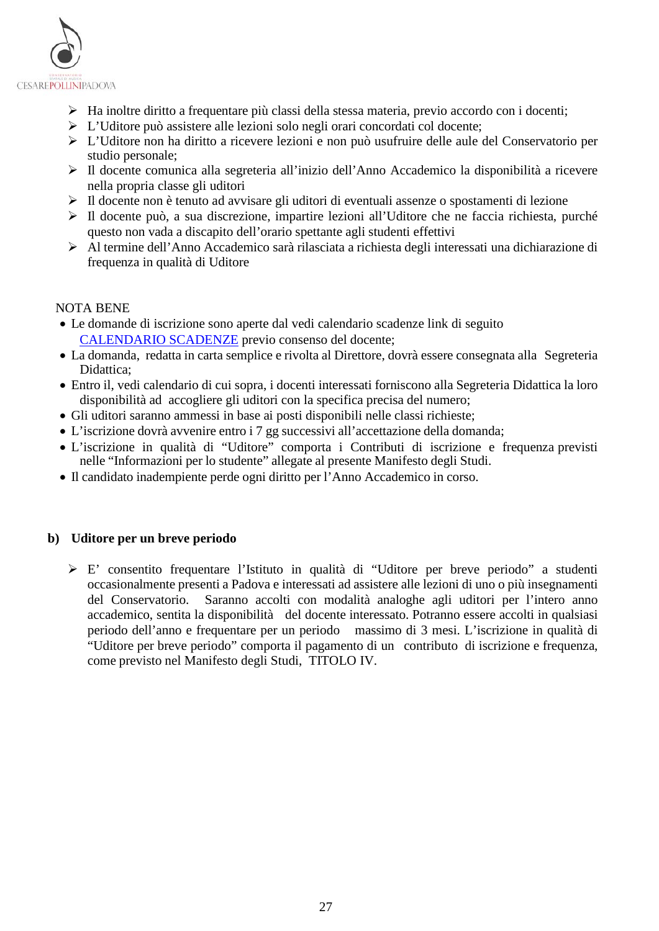

- Ha inoltre diritto a frequentare più classi della stessa materia, previo accordo con i docenti;
- L'Uditore può assistere alle lezioni solo negli orari concordati col docente;
- L'Uditore non ha diritto a ricevere lezioni e non può usufruire delle aule del Conservatorio per studio personale;
- Il docente comunica alla segreteria all'inizio dell'Anno Accademico la disponibilità a ricevere nella propria classe gli uditori
- Il docente non è tenuto ad avvisare gli uditori di eventuali assenze o spostamenti di lezione
- $\triangleright$  Il docente può, a sua discrezione, impartire lezioni all'Uditore che ne faccia richiesta, purché questo non vada a discapito dell'orario spettante agli studenti effettivi
- Al termine dell'Anno Accademico sarà rilasciata a richiesta degli interessati una dichiarazione di frequenza in qualità di Uditore

#### NOTA BENE

- Le domande di iscrizione sono aperte dal vedi calendario scadenze link di seguito [CALENDARIO SCADENZE](https://www.conservatoriopollini.it/site/it/didattica-scadenziario/) previo consenso del docente;
- La domanda, redatta in carta semplice e rivolta al Direttore, dovrà essere consegnata alla Segreteria Didattica;
- Entro il, vedi calendario di cui sopra, i docenti interessati forniscono alla Segreteria Didattica la loro disponibilità ad accogliere gli uditori con la specifica precisa del numero;
- Gli uditori saranno ammessi in base ai posti disponibili nelle classi richieste;
- L'iscrizione dovrà avvenire entro i 7 gg successivi all'accettazione della domanda;
- L'iscrizione in qualità di "Uditore" comporta i Contributi di iscrizione e frequenza previsti nelle "Informazioni per lo studente" allegate al presente Manifesto degli Studi.
- Il candidato inadempiente perde ogni diritto per l'Anno Accademico in corso.

#### **b) Uditore per un breve periodo**

 E' consentito frequentare l'Istituto in qualità di "Uditore per breve periodo" a studenti occasionalmente presenti a Padova e interessati ad assistere alle lezioni di uno o più insegnamenti del Conservatorio. Saranno accolti con modalità analoghe agli uditori per l'intero anno accademico, sentita la disponibilità del docente interessato. Potranno essere accolti in qualsiasi periodo dell'anno e frequentare per un periodo massimo di 3 mesi. L'iscrizione in qualità di "Uditore per breve periodo" comporta il pagamento di un contributo di iscrizione e frequenza, come previsto nel Manifesto degli Studi, TITOLO IV.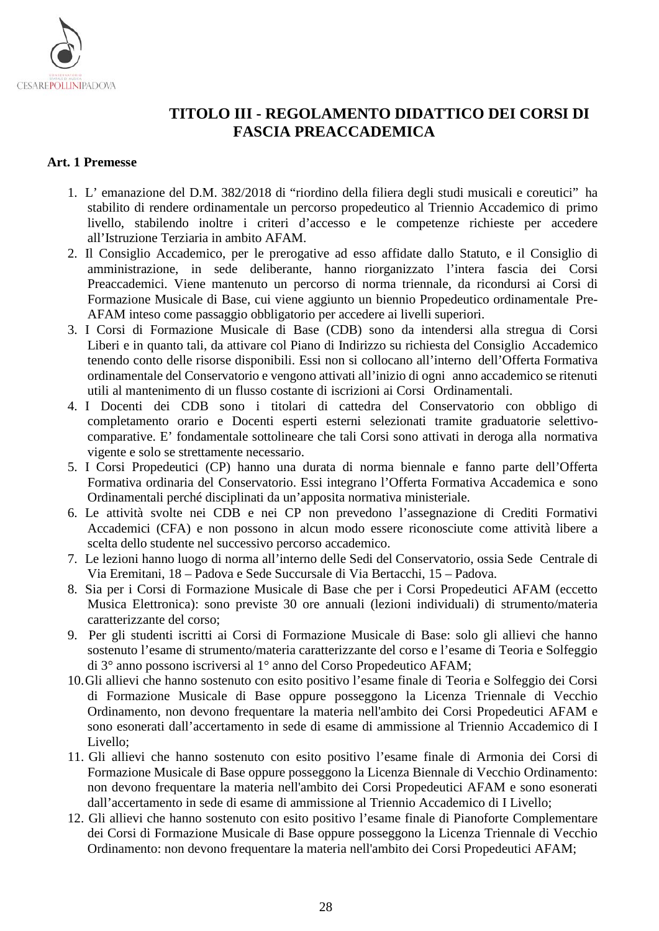

# <span id="page-27-0"></span>**TITOLO III - REGOLAMENTO DIDATTICO DEI CORSI DI FASCIA PREACCADEMICA**

#### <span id="page-27-1"></span>**Art. 1 Premesse**

- 1. L' emanazione del D.M. 382/2018 di "riordino della filiera degli studi musicali e coreutici" ha stabilito di rendere ordinamentale un percorso propedeutico al Triennio Accademico di primo livello, stabilendo inoltre i criteri d'accesso e le competenze richieste per accedere all'Istruzione Terziaria in ambito AFAM.
- 2. Il Consiglio Accademico, per le prerogative ad esso affidate dallo Statuto, e il Consiglio di amministrazione, in sede deliberante, hanno riorganizzato l'intera fascia dei Corsi Preaccademici. Viene mantenuto un percorso di norma triennale, da ricondursi ai Corsi di Formazione Musicale di Base, cui viene aggiunto un biennio Propedeutico ordinamentale Pre-AFAM inteso come passaggio obbligatorio per accedere ai livelli superiori.
- 3. I Corsi di Formazione Musicale di Base (CDB) sono da intendersi alla stregua di Corsi Liberi e in quanto tali, da attivare col Piano di Indirizzo su richiesta del Consiglio Accademico tenendo conto delle risorse disponibili. Essi non si collocano all'interno dell'Offerta Formativa ordinamentale del Conservatorio e vengono attivati all'inizio di ogni anno accademico se ritenuti utili al mantenimento di un flusso costante di iscrizioni ai Corsi Ordinamentali.
- 4. I Docenti dei CDB sono i titolari di cattedra del Conservatorio con obbligo di completamento orario e Docenti esperti esterni selezionati tramite graduatorie selettivocomparative. E' fondamentale sottolineare che tali Corsi sono attivati in deroga alla normativa vigente e solo se strettamente necessario.
- 5. I Corsi Propedeutici (CP) hanno una durata di norma biennale e fanno parte dell'Offerta Formativa ordinaria del Conservatorio. Essi integrano l'Offerta Formativa Accademica e sono Ordinamentali perché disciplinati da un'apposita normativa ministeriale.
- 6. Le attività svolte nei CDB e nei CP non prevedono l'assegnazione di Crediti Formativi Accademici (CFA) e non possono in alcun modo essere riconosciute come attività libere a scelta dello studente nel successivo percorso accademico.
- 7. Le lezioni hanno luogo di norma all'interno delle Sedi del Conservatorio, ossia Sede Centrale di Via Eremitani, 18 – Padova e Sede Succursale di Via Bertacchi, 15 – Padova.
- 8. Sia per i Corsi di Formazione Musicale di Base che per i Corsi Propedeutici AFAM (eccetto Musica Elettronica): sono previste 30 ore annuali (lezioni individuali) di strumento/materia caratterizzante del corso;
- 9. Per gli studenti iscritti ai Corsi di Formazione Musicale di Base: solo gli allievi che hanno sostenuto l'esame di strumento/materia caratterizzante del corso e l'esame di Teoria e Solfeggio di 3° anno possono iscriversi al 1° anno del Corso Propedeutico AFAM;
- 10.Gli allievi che hanno sostenuto con esito positivo l'esame finale di Teoria e Solfeggio dei Corsi di Formazione Musicale di Base oppure posseggono la Licenza Triennale di Vecchio Ordinamento, non devono frequentare la materia nell'ambito dei Corsi Propedeutici AFAM e sono esonerati dall'accertamento in sede di esame di ammissione al Triennio Accademico di I Livello;
- 11. Gli allievi che hanno sostenuto con esito positivo l'esame finale di Armonia dei Corsi di Formazione Musicale di Base oppure posseggono la Licenza Biennale di Vecchio Ordinamento: non devono frequentare la materia nell'ambito dei Corsi Propedeutici AFAM e sono esonerati dall'accertamento in sede di esame di ammissione al Triennio Accademico di I Livello;
- 12. Gli allievi che hanno sostenuto con esito positivo l'esame finale di Pianoforte Complementare dei Corsi di Formazione Musicale di Base oppure posseggono la Licenza Triennale di Vecchio Ordinamento: non devono frequentare la materia nell'ambito dei Corsi Propedeutici AFAM;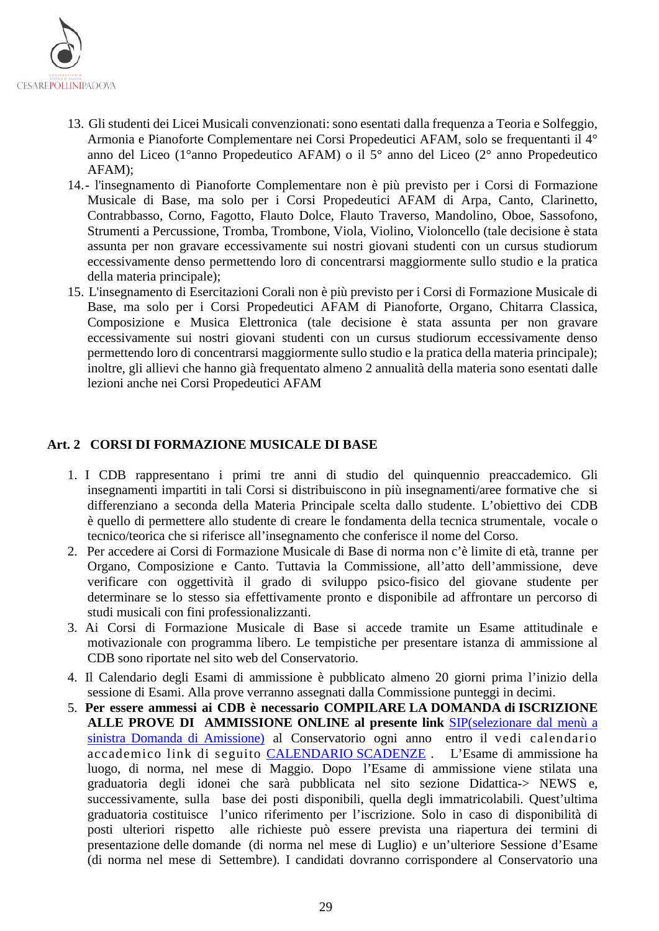

- 13. Gli studenti dei Licei Musicali convenzionati: sono esentati dalla frequenza a Teoria e Solfeggio, Armonia e Pianoforte Complementare nei Corsi Propedeutici AFAM, solo se frequentanti il 4° anno del Liceo (1°anno Propedeutico AFAM) o il 5° anno del Liceo (2° anno Propedeutico AFAM);
- 14.- l'insegnamento di Pianoforte Complementare non è più previsto per i Corsi di Formazione Musicale di Base, ma solo per i Corsi Propedeutici AFAM di Arpa, Canto, Clarinetto, Contrabbasso, Corno, Fagotto, Flauto Dolce, Flauto Traverso, Mandolino, Oboe, Sassofono, Strumenti a Percussione, Tromba, Trombone, Viola, Violino, Violoncello (tale decisione è stata assunta per non gravare eccessivamente sui nostri giovani studenti con un cursus studiorum eccessivamente denso permettendo loro di concentrarsi maggiormente sullo studio e la pratica della materia principale);
- 15. L'insegnamento di Esercitazioni Corali non è più previsto per i Corsi di Formazione Musicale di Base, ma solo per i Corsi Propedeutici AFAM di Pianoforte, Organo, Chitarra Classica, Composizione e Musica Elettronica (tale decisione è stata assunta per non gravare eccessivamente sui nostri giovani studenti con un cursus studiorum eccessivamente denso permettendo loro di concentrarsi maggiormente sullo studio e la pratica della materia principale); inoltre, gli allievi che hanno già frequentato almeno 2 annualità della materia sono esentati dalle lezioni anche nei Corsi Propedeutici AFAM

#### <span id="page-28-0"></span>**Art. 2 CORSI DI FORMAZIONE MUSICALE DI BASE**

- 1. I CDB rappresentano i primi tre anni di studio del quinquennio preaccademico. Gli insegnamenti impartiti in tali Corsi si distribuiscono in più insegnamenti/aree formative che si differenziano a seconda della Materia Principale scelta dallo studente. L'obiettivo dei CDB è quello di permettere allo studente di creare le fondamenta della tecnica strumentale, vocale o tecnico/teorica che si riferisce all'insegnamento che conferisce il nome del Corso.
- 2. Per accedere ai Corsi di Formazione Musicale di Base di norma non c'è limite di età, tranne per Organo, Composizione e Canto. Tuttavia la Commissione, all'atto dell'ammissione, deve verificare con oggettività il grado di sviluppo psico-fisico del giovane studente per determinare se lo stesso sia effettivamente pronto e disponibile ad affrontare un percorso di studi musicali con fini professionalizzanti.
- 3. Ai Corsi di Formazione Musicale di Base si accede tramite un Esame attitudinale e motivazionale con programma libero. Le tempistiche per presentare istanza di ammissione al CDB sono riportate nel sito web del Conservatorio.
- 4. Il Calendario degli Esami di ammissione è pubblicato almeno 20 giorni prima l'inizio della sessione di Esami. Alla prove verranno assegnati dalla Commissione punteggi in decimi.
- 5. **Per essere ammessi ai CDB è necessario COMPILARE LA DOMANDA di ISCRIZIONE ALLE PROVE DI AMMISSIONE ONLINE al presente link** [SIP\(selezionare dal menù a](https://sippd.conservatoriodimusica.it/users/login)  [sinistra Domanda di Amissione\)](https://sippd.conservatoriodimusica.it/users/login) al Conservatorio ogni anno entro il vedi calendario accademico link di seguito [CALENDARIO SCADENZE](https://www.conservatoriopollini.it/site/it/didattica-scadenziario/) . L'Esame di ammissione ha luogo, di norma, nel mese di Maggio. Dopo l'Esame di ammissione viene stilata una graduatoria degli idonei che sarà pubblicata nel sito sezione Didattica-> NEWS e, successivamente, sulla base dei posti disponibili, quella degli immatricolabili. Quest'ultima graduatoria costituisce l'unico riferimento per l'iscrizione. Solo in caso di disponibilità di posti ulteriori rispetto alle richieste può essere prevista una riapertura dei termini di presentazione delle domande (di norma nel mese di Luglio) e un'ulteriore Sessione d'Esame (di norma nel mese di Settembre). I candidati dovranno corrispondere al Conservatorio una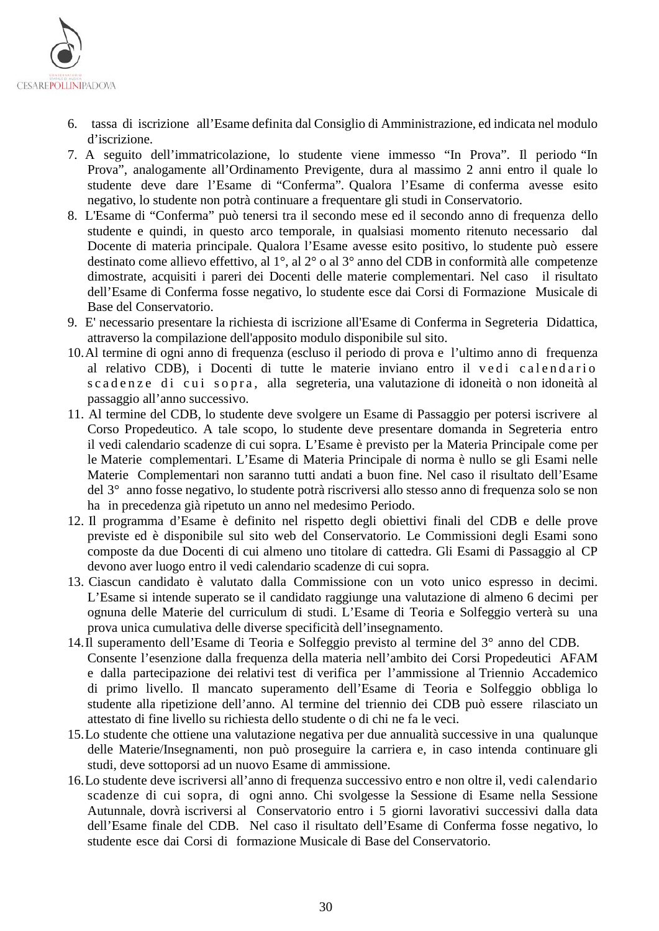

- 6. tassa di iscrizione all'Esame definita dal Consiglio di Amministrazione, ed indicata nel modulo d'iscrizione.
- 7. A seguito dell'immatricolazione, lo studente viene immesso "In Prova". Il periodo "In Prova", analogamente all'Ordinamento Previgente, dura al massimo 2 anni entro il quale lo studente deve dare l'Esame di "Conferma". Qualora l'Esame di conferma avesse esito negativo, lo studente non potrà continuare a frequentare gli studi in Conservatorio.
- 8. L'Esame di "Conferma" può tenersi tra il secondo mese ed il secondo anno di frequenza dello studente e quindi, in questo arco temporale, in qualsiasi momento ritenuto necessario dal Docente di materia principale. Qualora l'Esame avesse esito positivo, lo studente può essere destinato come allievo effettivo, al 1°, al 2° o al 3° anno del CDB in conformità alle competenze dimostrate, acquisiti i pareri dei Docenti delle materie complementari. Nel caso il risultato dell'Esame di Conferma fosse negativo, lo studente esce dai Corsi di Formazione Musicale di Base del Conservatorio.
- 9. E' necessario presentare la richiesta di iscrizione all'Esame di Conferma in Segreteria Didattica, attraverso la compilazione dell'apposito modulo disponibile sul sito.
- 10.Al termine di ogni anno di frequenza (escluso il periodo di prova e l'ultimo anno di frequenza al relativo CDB), i Docenti di tutte le materie inviano entro il vedi calendario scadenze di cui sopra, alla segreteria, una valutazione di idoneità o non idoneità al passaggio all'anno successivo.
- 11. Al termine del CDB, lo studente deve svolgere un Esame di Passaggio per potersi iscrivere al Corso Propedeutico. A tale scopo, lo studente deve presentare domanda in Segreteria entro il vedi calendario scadenze di cui sopra. L'Esame è previsto per la Materia Principale come per le Materie complementari. L'Esame di Materia Principale di norma è nullo se gli Esami nelle Materie Complementari non saranno tutti andati a buon fine. Nel caso il risultato dell'Esame del 3° anno fosse negativo, lo studente potrà riscriversi allo stesso anno di frequenza solo se non ha in precedenza già ripetuto un anno nel medesimo Periodo.
- 12. Il programma d'Esame è definito nel rispetto degli obiettivi finali del CDB e delle prove previste ed è disponibile sul sito web del Conservatorio. Le Commissioni degli Esami sono composte da due Docenti di cui almeno uno titolare di cattedra. Gli Esami di Passaggio al CP devono aver luogo entro il vedi calendario scadenze di cui sopra.
- 13. Ciascun candidato è valutato dalla Commissione con un voto unico espresso in decimi. L'Esame si intende superato se il candidato raggiunge una valutazione di almeno 6 decimi per ognuna delle Materie del curriculum di studi. L'Esame di Teoria e Solfeggio verterà su una prova unica cumulativa delle diverse specificità dell'insegnamento.
- 14.Il superamento dell'Esame di Teoria e Solfeggio previsto al termine del 3° anno del CDB. Consente l'esenzione dalla frequenza della materia nell'ambito dei Corsi Propedeutici AFAM e dalla partecipazione dei relativi test di verifica per l'ammissione al Triennio Accademico di primo livello. Il mancato superamento dell'Esame di Teoria e Solfeggio obbliga lo studente alla ripetizione dell'anno. Al termine del triennio dei CDB può essere rilasciato un attestato di fine livello su richiesta dello studente o di chi ne fa le veci.
- 15.Lo studente che ottiene una valutazione negativa per due annualità successive in una qualunque delle Materie/Insegnamenti, non può proseguire la carriera e, in caso intenda continuare gli studi, deve sottoporsi ad un nuovo Esame di ammissione.
- 16.Lo studente deve iscriversi all'anno di frequenza successivo entro e non oltre il, vedi calendario scadenze di cui sopra, di ogni anno. Chi svolgesse la Sessione di Esame nella Sessione Autunnale, dovrà iscriversi al Conservatorio entro i 5 giorni lavorativi successivi dalla data dell'Esame finale del CDB. Nel caso il risultato dell'Esame di Conferma fosse negativo, lo studente esce dai Corsi di formazione Musicale di Base del Conservatorio.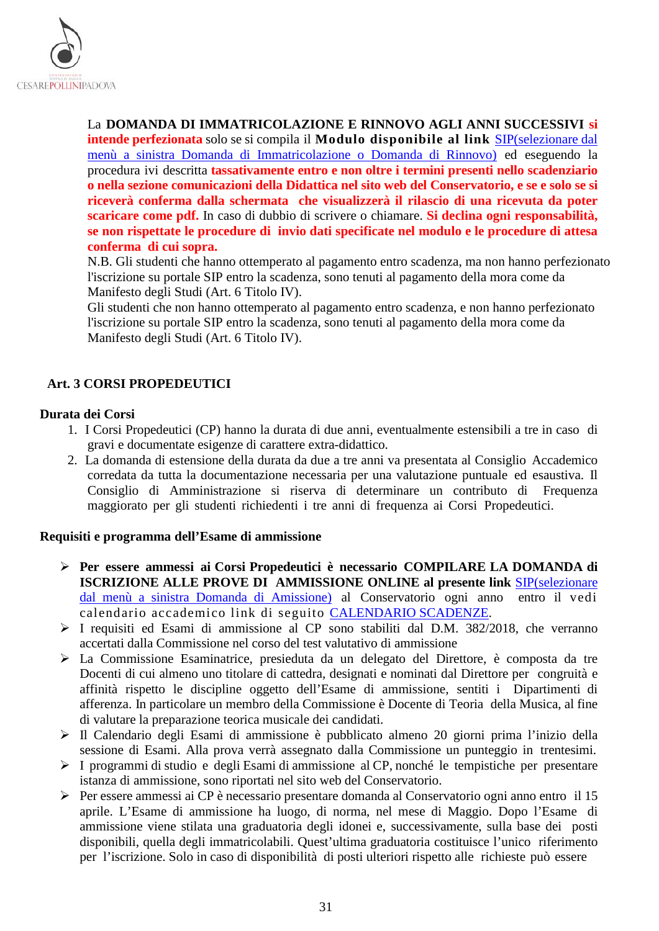

La **DOMANDA DI IMMATRICOLAZIONE E RINNOVO AGLI ANNI SUCCESSIVI si** 

**intende perfezionata** solo se si compila il **Modulo disponibile al link** [SIP\(](https://sippd.conservatoriodimusica.it/users/login)selezionare dal menù a sinistra Domanda di Immatricolazione o Domanda di Rinnovo) ed eseguendo la procedura ivi descritta **tassativamente entro e non oltre i termini presenti nello scadenziario o nella sezione comunicazioni della Didattica nel sito web del Conservatorio, e se e solo se si riceverà conferma dalla schermata che visualizzerà il rilascio di una ricevuta da poter scaricare come pdf.** In caso di dubbio di scrivere o chiamare. **Si declina ogni responsabilità, se non rispettate le procedure di invio dati specificate nel modulo e le procedure di attesa conferma di cui sopra.** 

N.B. Gli studenti che hanno ottemperato al pagamento entro scadenza, ma non hanno perfezionato l'iscrizione su portale SIP entro la scadenza, sono tenuti al pagamento della mora come da Manifesto degli Studi (Art. 6 Titolo IV).

Gli studenti che non hanno ottemperato al pagamento entro scadenza, e non hanno perfezionato l'iscrizione su portale SIP entro la scadenza, sono tenuti al pagamento della mora come da Manifesto degli Studi (Art. 6 Titolo IV).

#### <span id="page-30-0"></span>**Art. 3 CORSI PROPEDEUTICI**

#### **Durata dei Corsi**

- 1. I Corsi Propedeutici (CP) hanno la durata di due anni, eventualmente estensibili a tre in caso di gravi e documentate esigenze di carattere extra-didattico.
- 2. La domanda di estensione della durata da due a tre anni va presentata al Consiglio Accademico corredata da tutta la documentazione necessaria per una valutazione puntuale ed esaustiva. Il Consiglio di Amministrazione si riserva di determinare un contributo di Frequenza maggiorato per gli studenti richiedenti i tre anni di frequenza ai Corsi Propedeutici.

#### **Requisiti e programma dell'Esame di ammissione**

- **Per essere ammessi ai Corsi Propedeutici è necessario COMPILARE LA DOMANDA di ISCRIZIONE ALLE PROVE DI AMMISSIONE ONLINE al presente link** [SIP\(selezionare](https://sippd.conservatoriodimusica.it/users/login)  [dal menù a sinistra Domanda di Amissione\)](https://sippd.conservatoriodimusica.it/users/login) al Conservatorio ogni anno entro il vedi calendario accademico link di seguito [CALENDARIO SCADENZE.](https://www.conservatoriopollini.it/site/it/didattica-scadenziario/)
- I requisiti ed Esami di ammissione al CP sono stabiliti dal D.M. 382/2018, che verranno accertati dalla Commissione nel corso del test valutativo di ammissione
- La Commissione Esaminatrice, presieduta da un delegato del Direttore, è composta da tre Docenti di cui almeno uno titolare di cattedra, designati e nominati dal Direttore per congruità e affinità rispetto le discipline oggetto dell'Esame di ammissione, sentiti i Dipartimenti di afferenza. In particolare un membro della Commissione è Docente di Teoria della Musica, al fine di valutare la preparazione teorica musicale dei candidati.
- Il Calendario degli Esami di ammissione è pubblicato almeno 20 giorni prima l'inizio della sessione di Esami. Alla prova verrà assegnato dalla Commissione un punteggio in trentesimi.
- I programmi di studio e degli Esami di ammissione al CP, nonché le tempistiche per presentare istanza di ammissione, sono riportati nel sito web del Conservatorio.
- Per essere ammessi ai CP è necessario presentare domanda al Conservatorio ogni anno entro il 15 aprile. L'Esame di ammissione ha luogo, di norma, nel mese di Maggio. Dopo l'Esame di ammissione viene stilata una graduatoria degli idonei e, successivamente, sulla base dei posti disponibili, quella degli immatricolabili. Quest'ultima graduatoria costituisce l'unico riferimento per l'iscrizione. Solo in caso di disponibilità di posti ulteriori rispetto alle richieste può essere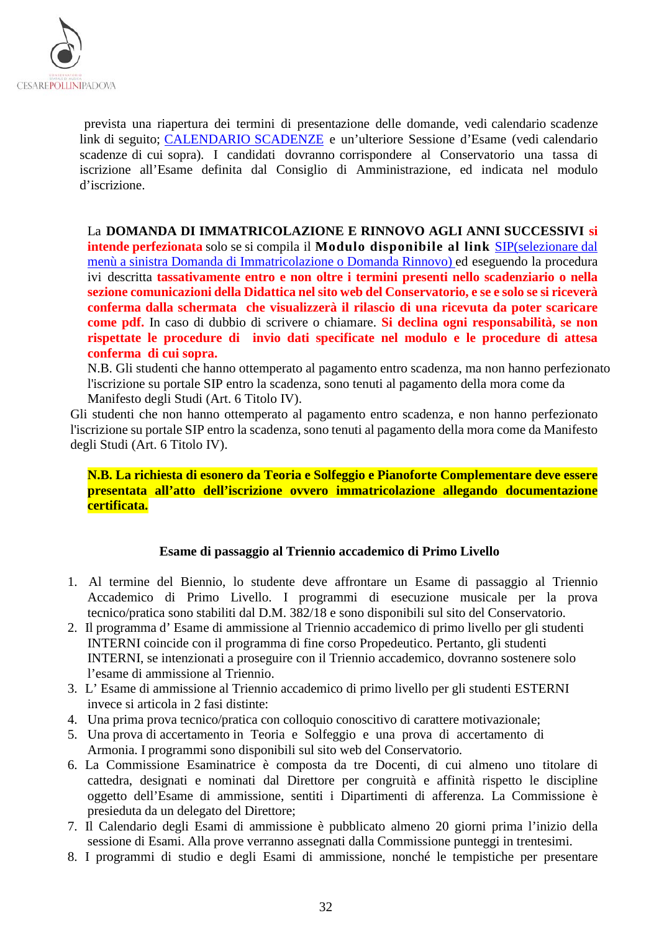

prevista una riapertura dei termini di presentazione delle domande, vedi calendario scadenze link di seguito; [CALENDARIO SCADENZE](https://www.conservatoriopollini.it/site/it/didattica-scadenziario/) e un'ulteriore Sessione d'Esame (vedi calendario scadenze di cui sopra). I candidati dovranno corrispondere al Conservatorio una tassa di iscrizione all'Esame definita dal Consiglio di Amministrazione, ed indicata nel modulo d'iscrizione.

La **DOMANDA DI IMMATRICOLAZIONE E RINNOVO AGLI ANNI SUCCESSIVI si intende perfezionata** solo se si compila il **Modulo disponibile al link** [SIP\(](https://sippd.conservatoriodimusica.it/users/login)selezionare dal menù a sinistra Domanda di Immatricolazione o Domanda Rinnovo) ed eseguendo la procedura ivi descritta **tassativamente entro e non oltre i termini presenti nello scadenziario o nella sezione comunicazioni della Didattica nel sito web del Conservatorio, e se e solo se si riceverà conferma dalla schermata che visualizzerà il rilascio di una ricevuta da poter scaricare come pdf.** In caso di dubbio di scrivere o chiamare. **Si declina ogni responsabilità, se non rispettate le procedure di invio dati specificate nel modulo e le procedure di attesa conferma di cui sopra.** 

N.B. Gli studenti che hanno ottemperato al pagamento entro scadenza, ma non hanno perfezionato l'iscrizione su portale SIP entro la scadenza, sono tenuti al pagamento della mora come da Manifesto degli Studi (Art. 6 Titolo IV).

Gli studenti che non hanno ottemperato al pagamento entro scadenza, e non hanno perfezionato l'iscrizione su portale SIP entro la scadenza, sono tenuti al pagamento della mora come da Manifesto degli Studi (Art. 6 Titolo IV).

**N.B. La richiesta di esonero da Teoria e Solfeggio e Pianoforte Complementare deve essere presentata all'atto dell'iscrizione ovvero immatricolazione allegando documentazione certificata.**

#### **Esame di passaggio al Triennio accademico di Primo Livello**

- 1. Al termine del Biennio, lo studente deve affrontare un Esame di passaggio al Triennio Accademico di Primo Livello. I programmi di esecuzione musicale per la prova tecnico/pratica sono stabiliti dal D.M. 382/18 e sono disponibili sul sito del Conservatorio.
- 2. Il programma d' Esame di ammissione al Triennio accademico di primo livello per gli studenti INTERNI coincide con il programma di fine corso Propedeutico. Pertanto, gli studenti INTERNI, se intenzionati a proseguire con il Triennio accademico, dovranno sostenere solo l'esame di ammissione al Triennio.
- 3. L' Esame di ammissione al Triennio accademico di primo livello per gli studenti ESTERNI invece si articola in 2 fasi distinte:
- 4. Una prima prova tecnico/pratica con colloquio conoscitivo di carattere motivazionale;
- 5. Una prova di accertamento in Teoria e Solfeggio e una prova di accertamento di Armonia. I programmi sono disponibili sul sito web del Conservatorio.
- 6. La Commissione Esaminatrice è composta da tre Docenti, di cui almeno uno titolare di cattedra, designati e nominati dal Direttore per congruità e affinità rispetto le discipline oggetto dell'Esame di ammissione, sentiti i Dipartimenti di afferenza. La Commissione è presieduta da un delegato del Direttore;
- 7. Il Calendario degli Esami di ammissione è pubblicato almeno 20 giorni prima l'inizio della sessione di Esami. Alla prove verranno assegnati dalla Commissione punteggi in trentesimi.
- 8. I programmi di studio e degli Esami di ammissione, nonché le tempistiche per presentare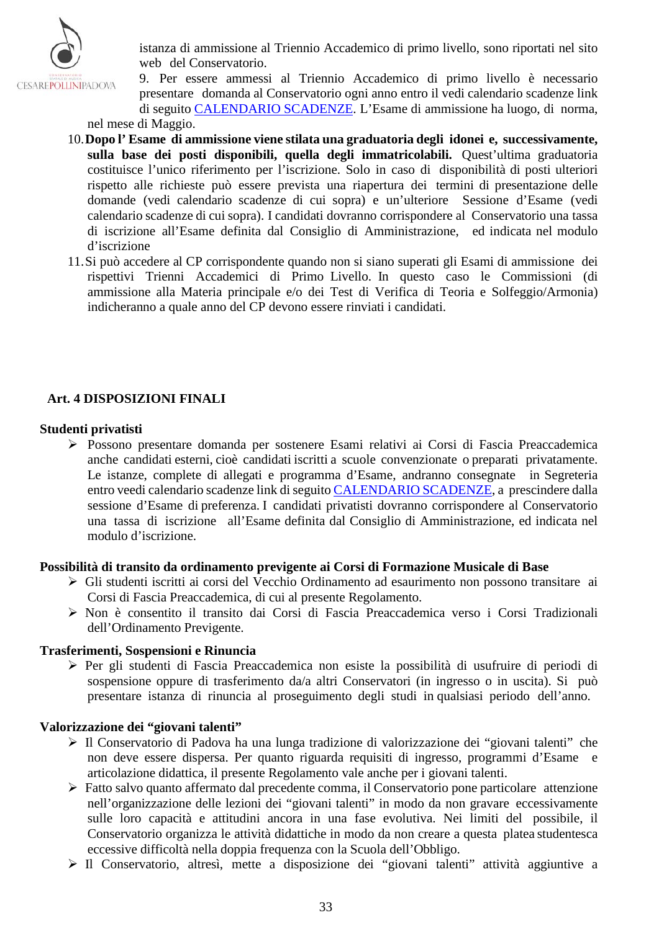

istanza di ammissione al Triennio Accademico di primo livello, sono riportati nel sito web del Conservatorio.

- 9. Per essere ammessi al Triennio Accademico di primo livello è necessario presentare domanda al Conservatorio ogni anno entro il vedi calendario scadenze link di seguito [CALENDARIO SCADENZE.](https://www.conservatoriopollini.it/site/it/didattica-scadenziario/) L'Esame di ammissione ha luogo, di norma, nel mese di Maggio.
- 10.**Dopo l' Esame di ammissione viene stilata una graduatoria degli idonei e, successivamente, sulla base dei posti disponibili, quella degli immatricolabili.** Quest'ultima graduatoria costituisce l'unico riferimento per l'iscrizione. Solo in caso di disponibilità di posti ulteriori rispetto alle richieste può essere prevista una riapertura dei termini di presentazione delle domande (vedi calendario scadenze di cui sopra) e un'ulteriore Sessione d'Esame (vedi calendario scadenze di cui sopra). I candidati dovranno corrispondere al Conservatorio una tassa di iscrizione all'Esame definita dal Consiglio di Amministrazione, ed indicata nel modulo d'iscrizione
- 11.Si può accedere al CP corrispondente quando non si siano superati gli Esami di ammissione dei rispettivi Trienni Accademici di Primo Livello. In questo caso le Commissioni (di ammissione alla Materia principale e/o dei Test di Verifica di Teoria e Solfeggio/Armonia) indicheranno a quale anno del CP devono essere rinviati i candidati.

#### <span id="page-32-0"></span>**Art. 4 DISPOSIZIONI FINALI**

#### **Studenti privatisti**

 Possono presentare domanda per sostenere Esami relativi ai Corsi di Fascia Preaccademica anche candidati esterni, cioè candidati iscritti a scuole convenzionate o preparati privatamente. Le istanze, complete di allegati e programma d'Esame, andranno consegnate in Segreteria entro veedi calendario scadenze link di seguito [CALENDARIO SCADENZE,](https://www.conservatoriopollini.it/site/it/didattica-scadenziario/) a prescindere dalla sessione d'Esame di preferenza. I candidati privatisti dovranno corrispondere al Conservatorio una tassa di iscrizione all'Esame definita dal Consiglio di Amministrazione, ed indicata nel modulo d'iscrizione.

#### **Possibilità di transito da ordinamento previgente ai Corsi di Formazione Musicale di Base**

- Gli studenti iscritti ai corsi del Vecchio Ordinamento ad esaurimento non possono transitare ai Corsi di Fascia Preaccademica, di cui al presente Regolamento.
- Non è consentito il transito dai Corsi di Fascia Preaccademica verso i Corsi Tradizionali dell'Ordinamento Previgente.

#### **Trasferimenti, Sospensioni e Rinuncia**

 Per gli studenti di Fascia Preaccademica non esiste la possibilità di usufruire di periodi di sospensione oppure di trasferimento da/a altri Conservatori (in ingresso o in uscita). Si può presentare istanza di rinuncia al proseguimento degli studi in qualsiasi periodo dell'anno.

#### **Valorizzazione dei "giovani talenti"**

- Il Conservatorio di Padova ha una lunga tradizione di valorizzazione dei "giovani talenti" che non deve essere dispersa. Per quanto riguarda requisiti di ingresso, programmi d'Esame e articolazione didattica, il presente Regolamento vale anche per i giovani talenti.
- Fatto salvo quanto affermato dal precedente comma, il Conservatorio pone particolare attenzione nell'organizzazione delle lezioni dei "giovani talenti" in modo da non gravare eccessivamente sulle loro capacità e attitudini ancora in una fase evolutiva. Nei limiti del possibile, il Conservatorio organizza le attività didattiche in modo da non creare a questa platea studentesca eccessive difficoltà nella doppia frequenza con la Scuola dell'Obbligo.
- Il Conservatorio, altresì, mette a disposizione dei "giovani talenti" attività aggiuntive a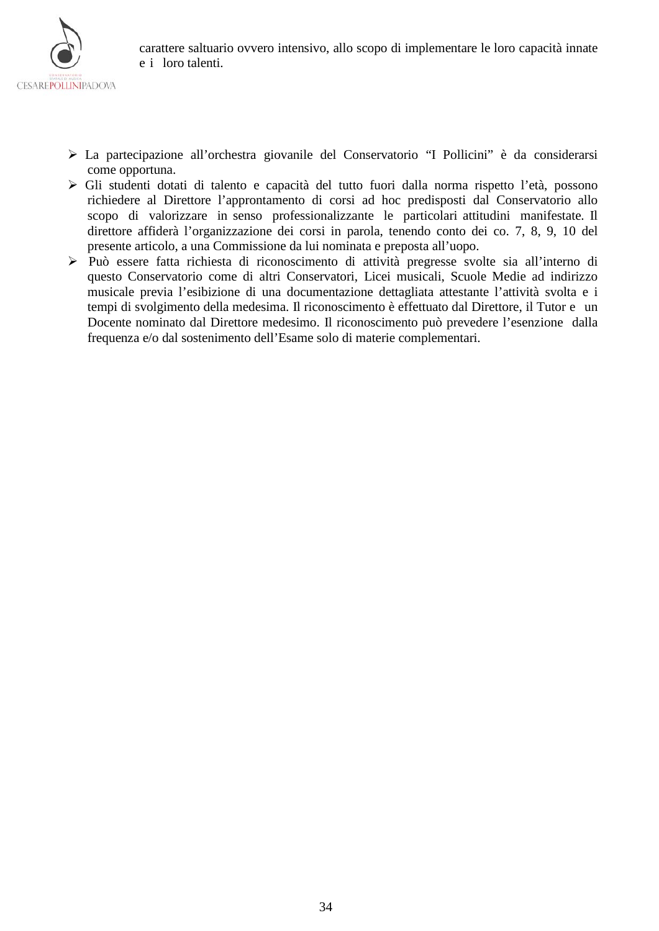

- La partecipazione all'orchestra giovanile del Conservatorio "I Pollicini" è da considerarsi come opportuna.
- Gli studenti dotati di talento e capacità del tutto fuori dalla norma rispetto l'età, possono richiedere al Direttore l'approntamento di corsi ad hoc predisposti dal Conservatorio allo scopo di valorizzare in senso professionalizzante le particolari attitudini manifestate. Il direttore affiderà l'organizzazione dei corsi in parola, tenendo conto dei co. 7, 8, 9, 10 del presente articolo, a una Commissione da lui nominata e preposta all'uopo.
- Può essere fatta richiesta di riconoscimento di attività pregresse svolte sia all'interno di questo Conservatorio come di altri Conservatori, Licei musicali, Scuole Medie ad indirizzo musicale previa l'esibizione di una documentazione dettagliata attestante l'attività svolta e i tempi di svolgimento della medesima. Il riconoscimento è effettuato dal Direttore, il Tutor e un Docente nominato dal Direttore medesimo. Il riconoscimento può prevedere l'esenzione dalla frequenza e/o dal sostenimento dell'Esame solo di materie complementari.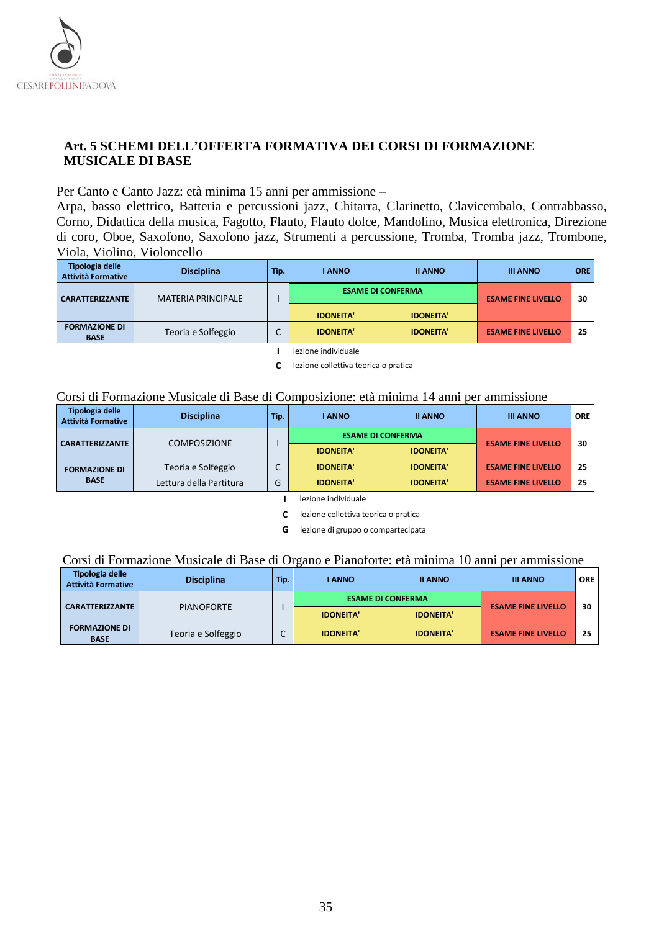

## <span id="page-34-0"></span>**Art. 5 SCHEMI DELL'OFFERTA FORMATIVA DEI CORSI DI FORMAZIONE MUSICALE DI BASE**

Per Canto e Canto Jazz: età minima 15 anni per ammissione –

Arpa, basso elettrico, Batteria e percussioni jazz, Chitarra, Clarinetto, Clavicembalo, Contrabbasso, Corno, Didattica della musica, Fagotto, Flauto, Flauto dolce, Mandolino, Musica elettronica, Direzione di coro, Oboe, Saxofono, Saxofono jazz, Strumenti a percussione, Tromba, Tromba jazz, Trombone, Viola, Violino, Violoncello

| Tipologia delle<br><b>Attività Formative</b> | <b>Disciplina</b>         | Tip. | I ANNO           | <b>II ANNO</b>                               | <b>III ANNO</b>           | <b>ORE</b> |
|----------------------------------------------|---------------------------|------|------------------|----------------------------------------------|---------------------------|------------|
| <b>CARATTERIZZANTE</b>                       | <b>MATERIA PRINCIPALE</b> |      | <b>IDONEITA'</b> | <b>ESAME DI CONFERMA</b><br><b>IDONEITA'</b> |                           | 30         |
| <b>FORMAZIONE DI</b><br><b>BASE</b>          | Teoria e Solfeggio        |      | <b>IDONEITA'</b> | <b>IDONEITA'</b>                             | <b>ESAME FINE LIVELLO</b> | 25         |

**I** lezione individuale

**C** lezione collettiva teorica o pratica

#### Corsi di Formazione Musicale di Base di Composizione: età minima 14 anni per ammissione

| Tipologia delle<br><b>Attività Formative</b>  | <b>Disciplina</b>       | Tip. | <b>I ANNO</b>            | <b>II ANNO</b>   | <b>III ANNO</b>           | <b>ORE</b> |
|-----------------------------------------------|-------------------------|------|--------------------------|------------------|---------------------------|------------|
| <b>COMPOSIZIONE</b><br><b>CARATTERIZZANTE</b> |                         |      | <b>ESAME DI CONFERMA</b> |                  | <b>ESAME FINE LIVELLO</b> | 30         |
|                                               |                         |      | <b>IDONEITA'</b>         | <b>IDONEITA'</b> |                           |            |
| <b>FORMAZIONE DI</b>                          | Teoria e Solfeggio      |      | <b>IDONEITA'</b>         | <b>IDONEITA'</b> | <b>ESAME FINE LIVELLO</b> | 25         |
| <b>BASE</b>                                   | Lettura della Partitura | G    | <b>IDONEITA'</b>         | <b>IDONEITA'</b> | <b>ESAME FINE LIVELLO</b> | 25         |

**I** lezione individuale

**C** lezione collettiva teorica o pratica

**G** lezione di gruppo o compartecipata

#### Corsi di Formazione Musicale di Base di Organo e Pianoforte: età minima 10 anni per ammissione

| Tipologia delle<br><b>Attività Formative</b> | <b>Disciplina</b>  | Tip. | I ANNO           | <b>II ANNO</b>                               | <b>III ANNO</b>           | <b>ORE</b> |
|----------------------------------------------|--------------------|------|------------------|----------------------------------------------|---------------------------|------------|
| <b>CARATTERIZZANTE</b>                       | <b>PIANOFORTE</b>  |      | <b>IDONEITA'</b> | <b>ESAME DI CONFERMA</b><br><b>IDONEITA'</b> |                           | 30         |
| <b>FORMAZIONE DI</b><br><b>BASE</b>          | Teoria e Solfeggio |      | <b>IDONEITA'</b> | <b>IDONEITA'</b>                             | <b>ESAME FINE LIVELLO</b> | 25         |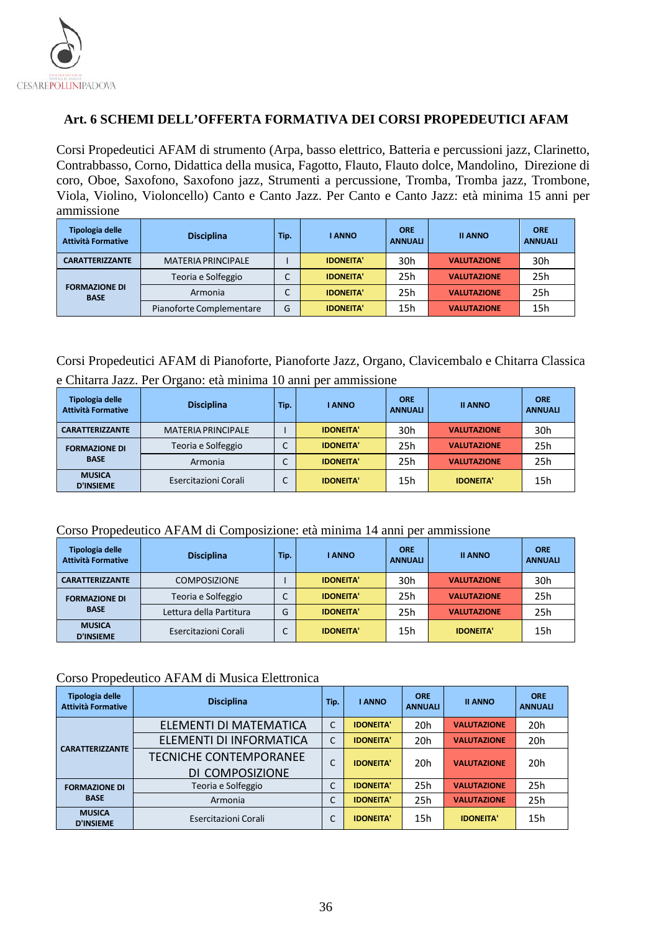

## <span id="page-35-0"></span>**Art. 6 SCHEMI DELL'OFFERTA FORMATIVA DEI CORSI PROPEDEUTICI AFAM**

Corsi Propedeutici AFAM di strumento (Arpa, basso elettrico, Batteria e percussioni jazz, Clarinetto, Contrabbasso, Corno, Didattica della musica, Fagotto, Flauto, Flauto dolce, Mandolino, Direzione di coro, Oboe, Saxofono, Saxofono jazz, Strumenti a percussione, Tromba, Tromba jazz, Trombone, Viola, Violino, Violoncello) Canto e Canto Jazz. Per Canto e Canto Jazz: età minima 15 anni per ammissione

| Tipologia delle<br><b>Attività Formative</b> | <b>Disciplina</b>         | Tip. | <b>I ANNO</b>    | <b>ORE</b><br><b>ANNUALI</b> | <b>II ANNO</b>     | <b>ORE</b><br><b>ANNUALI</b> |
|----------------------------------------------|---------------------------|------|------------------|------------------------------|--------------------|------------------------------|
| <b>CARATTERIZZANTE</b>                       | <b>MATERIA PRINCIPALE</b> |      | <b>IDONEITA'</b> | 30h                          | <b>VALUTAZIONE</b> | 30h                          |
|                                              | Teoria e Solfeggio        |      | <b>IDONEITA'</b> | 25h                          | <b>VALUTAZIONE</b> | 25h                          |
| <b>FORMAZIONE DI</b><br><b>BASE</b>          | Armonia                   | ◡    | <b>IDONEITA'</b> | 25h                          | <b>VALUTAZIONE</b> | 25h                          |
|                                              | Pianoforte Complementare  | G    | <b>IDONEITA'</b> | 15h                          | <b>VALUTAZIONE</b> | 15h                          |

## Corsi Propedeutici AFAM di Pianoforte, Pianoforte Jazz, Organo, Clavicembalo e Chitarra Classica e Chitarra Jazz. Per Organo: età minima 10 anni per ammissione

| Tipologia delle<br><b>Attività Formative</b> | <b>Disciplina</b>         | Tip. | I ANNO           | <b>ORE</b><br><b>ANNUALI</b> | <b>II ANNO</b>     | <b>ORE</b><br><b>ANNUALI</b> |
|----------------------------------------------|---------------------------|------|------------------|------------------------------|--------------------|------------------------------|
| <b>CARATTERIZZANTE</b>                       | <b>MATERIA PRINCIPALE</b> |      | <b>IDONEITA'</b> | 30h                          | <b>VALUTAZIONE</b> | 30h                          |
| <b>FORMAZIONE DI</b>                         | Teoria e Solfeggio        | ֊    | <b>IDONEITA'</b> | 25h                          | <b>VALUTAZIONE</b> | 25h                          |
| <b>BASE</b>                                  | Armonia                   | J    | <b>IDONEITA'</b> | 25h                          | <b>VALUTAZIONE</b> | 25h                          |
| <b>MUSICA</b><br><b>D'INSIEME</b>            | Esercitazioni Corali      | ◡    | <b>IDONEITA'</b> | 15h                          | <b>IDONEITA'</b>   | 15h                          |

#### Corso Propedeutico AFAM di Composizione: età minima 14 anni per ammissione

| Tipologia delle<br><b>Attività Formative</b> | <b>Disciplina</b>       | Tip. | <b>ANNO</b>      | <b>ORE</b><br><b>ANNUALI</b> | <b>II ANNO</b>     | <b>ORE</b><br><b>ANNUALI</b> |
|----------------------------------------------|-------------------------|------|------------------|------------------------------|--------------------|------------------------------|
| <b>CARATTERIZZANTE</b>                       | <b>COMPOSIZIONE</b>     |      | <b>IDONEITA'</b> | 30 <sub>h</sub>              | <b>VALUTAZIONE</b> | 30h                          |
| <b>FORMAZIONE DI</b>                         | Teoria e Solfeggio      | ◡    | <b>IDONEITA'</b> | 25h                          | <b>VALUTAZIONE</b> | 25h                          |
| <b>BASE</b>                                  | Lettura della Partitura | G    | <b>IDONEITA'</b> | 25h                          | <b>VALUTAZIONE</b> | 25h                          |
| <b>MUSICA</b><br><b>D'INSIEME</b>            | Esercitazioni Corali    | ◡    | <b>IDONEITA'</b> | 15h                          | <b>IDONEITA'</b>   | 15h                          |

#### Corso Propedeutico AFAM di Musica Elettronica

| Tipologia delle<br><b>Attività Formative</b> | <b>Disciplina</b>             | Tip.            | I ANNO           | <b>ORE</b><br><b>ANNUALI</b> | <b>II ANNO</b>     | <b>ORE</b><br><b>ANNUALI</b> |
|----------------------------------------------|-------------------------------|-----------------|------------------|------------------------------|--------------------|------------------------------|
|                                              | ELEMENTI DI MATEMATICA        | C               | <b>IDONEITA'</b> | 20h                          | <b>VALUTAZIONE</b> | 20h                          |
| <b>CARATTERIZZANTE</b>                       | ELEMENTI DI INFORMATICA       | C               | <b>IDONEITA'</b> | 20h                          | <b>VALUTAZIONE</b> | 20h                          |
|                                              | <b>TECNICHE CONTEMPORANEE</b> | ⌒<br>J          | <b>IDONEITA'</b> | 20h                          | <b>VALUTAZIONE</b> | 20h                          |
|                                              | DI COMPOSIZIONE               |                 |                  |                              |                    |                              |
| <b>FORMAZIONE DI</b>                         | Teoria e Solfeggio            | $\sqrt{ }$<br>Ċ | <b>IDONEITA'</b> | 25h                          | <b>VALUTAZIONE</b> | 25h                          |
| <b>BASE</b>                                  | Armonia                       | C               | <b>IDONEITA'</b> | 25h                          | <b>VALUTAZIONE</b> | 25h                          |
| <b>MUSICA</b><br><b>D'INSIEME</b>            | Esercitazioni Corali          | C               | <b>IDONEITA'</b> | 15h                          | <b>IDONEITA'</b>   | 15h                          |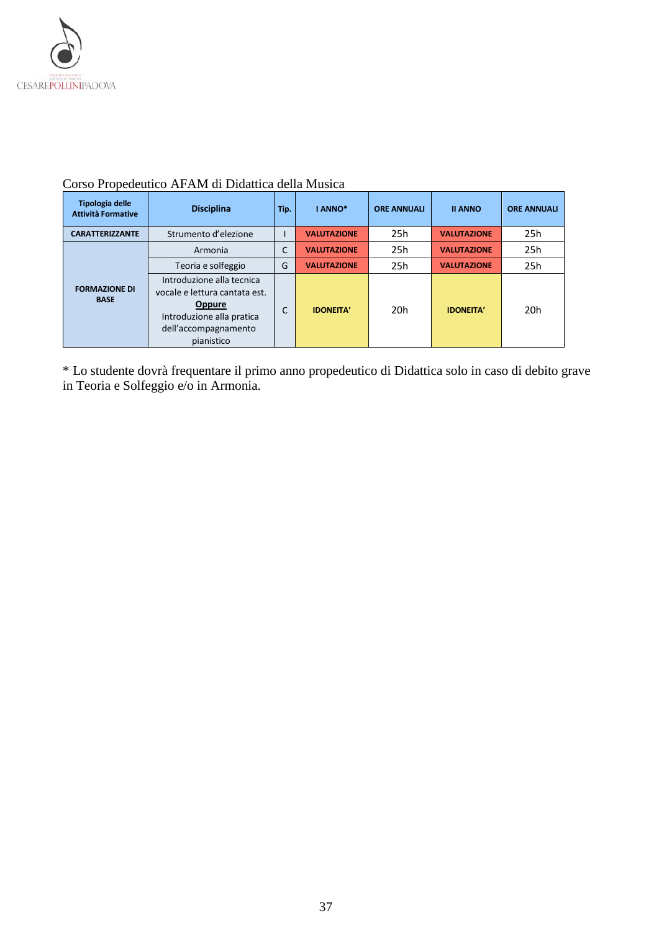

| Tipologia delle<br><b>Attività Formative</b> | <b>Disciplina</b>                                                                                                                              | Tip. | I ANNO*            | <b>ORE ANNUALI</b> | <b>II ANNO</b>     | <b>ORE ANNUALI</b> |
|----------------------------------------------|------------------------------------------------------------------------------------------------------------------------------------------------|------|--------------------|--------------------|--------------------|--------------------|
| <b>CARATTERIZZANTE</b>                       | Strumento d'elezione                                                                                                                           |      | <b>VALUTAZIONE</b> | 25h                | <b>VALUTAZIONE</b> | 25h                |
|                                              | Armonia                                                                                                                                        |      | <b>VALUTAZIONE</b> | 25h                | <b>VALUTAZIONE</b> | 25h                |
|                                              | Teoria e solfeggio                                                                                                                             | G    | <b>VALUTAZIONE</b> | 25h                | <b>VALUTAZIONE</b> | 25h                |
| <b>FORMAZIONE DI</b><br><b>BASE</b>          | Introduzione alla tecnica<br>vocale e lettura cantata est.<br><b>Oppure</b><br>Introduzione alla pratica<br>dell'accompagnamento<br>pianistico | C    | <b>IDONEITA'</b>   | 20 <sub>h</sub>    | <b>IDONEITA'</b>   | 20h                |

## Corso Propedeutico AFAM di Didattica della Musica

\* Lo studente dovrà frequentare il primo anno propedeutico di Didattica solo in caso di debito grave in Teoria e Solfeggio e/o in Armonia.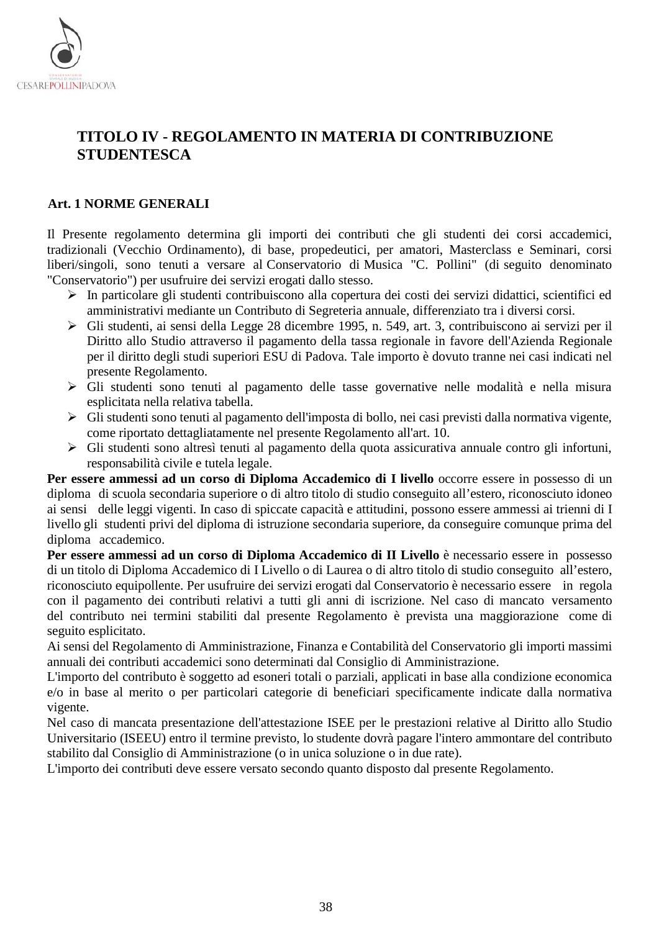

# <span id="page-37-0"></span>**TITOLO IV - REGOLAMENTO IN MATERIA DI CONTRIBUZIONE STUDENTESCA**

#### <span id="page-37-1"></span>**Art. 1 NORME GENERALI**

Il Presente regolamento determina gli importi dei contributi che gli studenti dei corsi accademici, tradizionali (Vecchio Ordinamento), di base, propedeutici, per amatori, Masterclass e Seminari, corsi liberi/singoli, sono tenuti a versare al Conservatorio di Musica "C. Pollini" (di seguito denominato "Conservatorio") per usufruire dei servizi erogati dallo stesso.

- In particolare gli studenti contribuiscono alla copertura dei costi dei servizi didattici, scientifici ed amministrativi mediante un Contributo di Segreteria annuale, differenziato tra i diversi corsi.
- Gli studenti, ai sensi della Legge 28 dicembre 1995, n. 549, art. 3, contribuiscono ai servizi per il Diritto allo Studio attraverso il pagamento della tassa regionale in favore dell'Azienda Regionale per il diritto degli studi superiori ESU di Padova. Tale importo è dovuto tranne nei casi indicati nel presente Regolamento.
- Gli studenti sono tenuti al pagamento delle tasse governative nelle modalità e nella misura esplicitata nella relativa tabella.
- Gli studenti sono tenuti al pagamento dell'imposta di bollo, nei casi previsti dalla normativa vigente, come riportato dettagliatamente nel presente Regolamento all'art. 10.
- Gli studenti sono altresì tenuti al pagamento della quota assicurativa annuale contro gli infortuni, responsabilità civile e tutela legale.

**Per essere ammessi ad un corso di Diploma Accademico di I livello** occorre essere in possesso di un diploma di scuola secondaria superiore o di altro titolo di studio conseguito all'estero, riconosciuto idoneo ai sensi delle leggi vigenti. In caso di spiccate capacità e attitudini, possono essere ammessi ai trienni di I livello gli studenti privi del diploma di istruzione secondaria superiore, da conseguire comunque prima del diploma accademico.

**Per essere ammessi ad un corso di Diploma Accademico di II Livello** è necessario essere in possesso di un titolo di Diploma Accademico di I Livello o di Laurea o di altro titolo di studio conseguito all'estero, riconosciuto equipollente. Per usufruire dei servizi erogati dal Conservatorio è necessario essere in regola con il pagamento dei contributi relativi a tutti gli anni di iscrizione. Nel caso di mancato versamento del contributo nei termini stabiliti dal presente Regolamento è prevista una maggiorazione come di seguito esplicitato.

Ai sensi del Regolamento di Amministrazione, Finanza e Contabilità del Conservatorio gli importi massimi annuali dei contributi accademici sono determinati dal Consiglio di Amministrazione.

L'importo del contributo è soggetto ad esoneri totali o parziali, applicati in base alla condizione economica e/o in base al merito o per particolari categorie di beneficiari specificamente indicate dalla normativa vigente.

Nel caso di mancata presentazione dell'attestazione ISEE per le prestazioni relative al Diritto allo Studio Universitario (ISEEU) entro il termine previsto, lo studente dovrà pagare l'intero ammontare del contributo stabilito dal Consiglio di Amministrazione (o in unica soluzione o in due rate).

L'importo dei contributi deve essere versato secondo quanto disposto dal presente Regolamento.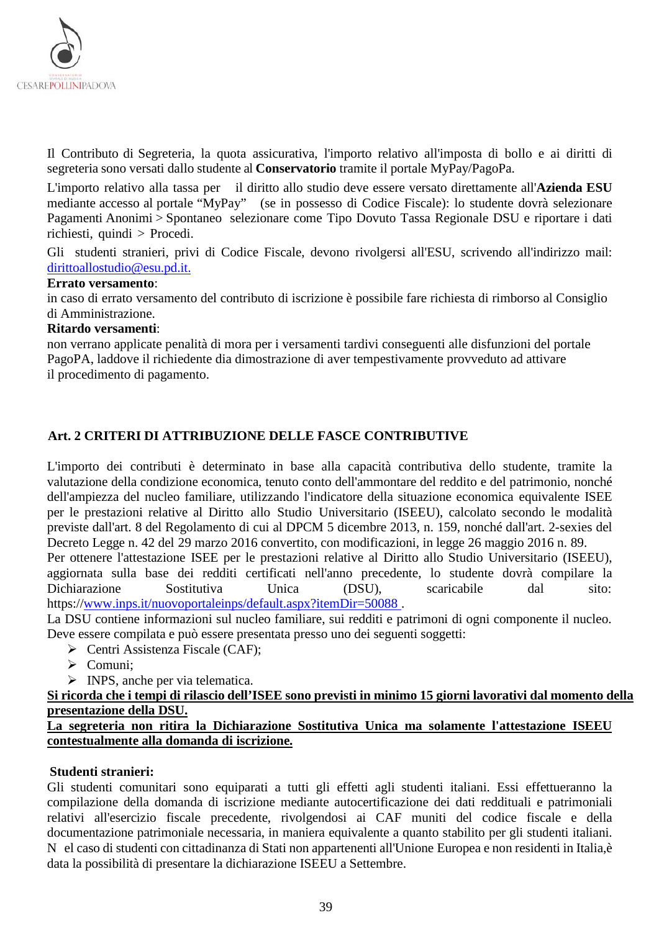

Il Contributo di Segreteria, la quota assicurativa, l'importo relativo all'imposta di bollo e ai diritti di segreteria sono versati dallo studente al **Conservatorio** tramite il portale MyPay/PagoPa.

L'importo relativo alla tassa per il diritto allo studio deve essere versato direttamente all'**Azienda ESU** mediante accesso al portale "MyPay" (se in possesso di Codice Fiscale): lo studente dovrà selezionare Pagamenti Anonimi > Spontaneo selezionare come Tipo Dovuto Tassa Regionale DSU e riportare i dati richiesti, quindi > Procedi.

Gli studenti stranieri, privi di Codice Fiscale, devono rivolgersi all'ESU, scrivendo all'indirizzo mail: [dirittoallostudio@esu.pd.it.](mailto:dirittoallostudio@esu.pd.it)

#### **Errato versamento**:

in caso di errato versamento del contributo di iscrizione è possibile fare richiesta di rimborso al Consiglio di Amministrazione.

#### **Ritardo versamenti**:

non verrano applicate penalità di mora per i versamenti tardivi conseguenti alle disfunzioni del portale PagoPA, laddove il richiedente dia dimostrazione di aver tempestivamente provveduto ad attivare il procedimento di pagamento.

## <span id="page-38-0"></span>**Art. 2 CRITERI DI ATTRIBUZIONE DELLE FASCE CONTRIBUTIVE**

L'importo dei contributi è determinato in base alla capacità contributiva dello studente, tramite la valutazione della condizione economica, tenuto conto dell'ammontare del reddito e del patrimonio, nonché dell'ampiezza del nucleo familiare, utilizzando l'indicatore della situazione economica equivalente ISEE per le prestazioni relative al Diritto allo Studio Universitario (ISEEU), calcolato secondo le modalità previste dall'art. 8 del Regolamento di cui al DPCM 5 dicembre 2013, n. 159, nonché dall'art. 2-sexies del Decreto Legge n. 42 del 29 marzo 2016 convertito, con modificazioni, in legge 26 maggio 2016 n. 89.

Per ottenere l'attestazione ISEE per le prestazioni relative al Diritto allo Studio Universitario (ISEEU), aggiornata sulla base dei redditi certificati nell'anno precedente, lo studente dovrà compilare la Dichiarazione Sostitutiva Unica (DSU), scaricabile dal sito: https:/[/www.inps.it/nuovoportaleinps/default.aspx?itemDir=50088](http://www.inps.it/nuovoportaleinps/default.aspx?itemDir=50088) .

La DSU contiene informazioni sul nucleo familiare, sui redditi e patrimoni di ogni componente il nucleo. Deve essere compilata e può essere presentata presso uno dei seguenti soggetti:

- $\triangleright$  Centri Assistenza Fiscale (CAF);
- Comuni;
- > INPS, anche per via telematica.

#### **Si ricorda che i tempi di rilascio dell'ISEE sono previsti in minimo 15 giorni lavorativi dal momento della presentazione della DSU.**

#### **La segreteria non ritira la Dichiarazione Sostitutiva Unica ma solamente l'attestazione ISEEU contestualmente alla domanda di iscrizione.**

#### **Studenti stranieri:**

Gli studenti comunitari sono equiparati a tutti gli effetti agli studenti italiani. Essi effettueranno la compilazione della domanda di iscrizione mediante autocertificazione dei dati reddituali e patrimoniali relativi all'esercizio fiscale precedente, rivolgendosi ai CAF muniti del codice fiscale e della documentazione patrimoniale necessaria, in maniera equivalente a quanto stabilito per gli studenti italiani. N el caso di studenti con cittadinanza di Stati non appartenenti all'Unione Europea e non residenti in Italia,è data la possibilità di presentare la dichiarazione ISEEU a Settembre.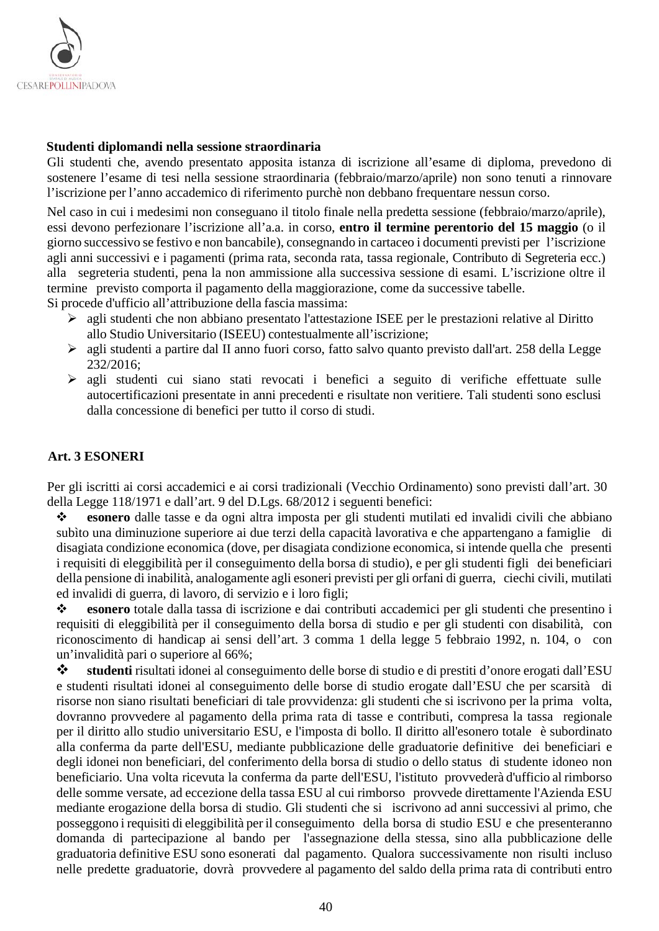

#### **Studenti diplomandi nella sessione straordinaria**

Gli studenti che, avendo presentato apposita istanza di iscrizione all'esame di diploma, prevedono di sostenere l'esame di tesi nella sessione straordinaria (febbraio/marzo/aprile) non sono tenuti a rinnovare l'iscrizione per l'anno accademico di riferimento purchè non debbano frequentare nessun corso.

Nel caso in cui i medesimi non conseguano il titolo finale nella predetta sessione (febbraio/marzo/aprile), essi devono perfezionare l'iscrizione all'a.a. in corso, **entro il termine perentorio del 15 maggio** (o il giorno successivo se festivo e non bancabile), consegnando in cartaceo i documenti previsti per l'iscrizione agli anni successivi e i pagamenti (prima rata, seconda rata, tassa regionale, Contributo di Segreteria ecc.) alla segreteria studenti, pena la non ammissione alla successiva sessione di esami. L'iscrizione oltre il termine previsto comporta il pagamento della maggiorazione, come da successive tabelle. Si procede d'ufficio all'attribuzione della fascia massima:

- agli studenti che non abbiano presentato l'attestazione ISEE per le prestazioni relative al Diritto allo Studio Universitario (ISEEU) contestualmente all'iscrizione;
- agli studenti a partire dal II anno fuori corso, fatto salvo quanto previsto dall'art. 258 della Legge 232/2016;
- agli studenti cui siano stati revocati i benefici a seguito di verifiche effettuate sulle autocertificazioni presentate in anni precedenti e risultate non veritiere. Tali studenti sono esclusi dalla concessione di benefici per tutto il corso di studi.

#### <span id="page-39-0"></span>**Art. 3 ESONERI**

Per gli iscritti ai corsi accademici e ai corsi tradizionali (Vecchio Ordinamento) sono previsti dall'art. 30 della Legge 118/1971 e dall'art. 9 del D.Lgs. 68/2012 i seguenti benefici:

 **esonero** dalle tasse e da ogni altra imposta per gli studenti mutilati ed invalidi civili che abbiano subìto una diminuzione superiore ai due terzi della capacità lavorativa e che appartengano a famiglie di disagiata condizione economica (dove, per disagiata condizione economica, si intende quella che presenti i requisiti di eleggibilità per il conseguimento della borsa di studio), e per gli studenti figli dei beneficiari della pensione di inabilità, analogamente agli esoneri previsti per gli orfani di guerra, ciechi civili, mutilati ed invalidi di guerra, di lavoro, di servizio e i loro figli;

 **esonero** totale dalla tassa di iscrizione e dai contributi accademici per gli studenti che presentino i requisiti di eleggibilità per il conseguimento della borsa di studio e per gli studenti con disabilità, con riconoscimento di handicap ai sensi dell'art. 3 comma 1 della legge 5 febbraio 1992, n. 104, o con un'invalidità pari o superiore al 66%;

 **studenti** risultati idonei al conseguimento delle borse di studio e di prestiti d'onore erogati dall'ESU e studenti risultati idonei al conseguimento delle borse di studio erogate dall'ESU che per scarsità di risorse non siano risultati beneficiari di tale provvidenza: gli studenti che si iscrivono per la prima volta, dovranno provvedere al pagamento della prima rata di tasse e contributi, compresa la tassa regionale per il diritto allo studio universitario ESU, e l'imposta di bollo. Il diritto all'esonero totale è subordinato alla conferma da parte dell'ESU, mediante pubblicazione delle graduatorie definitive dei beneficiari e degli idonei non beneficiari, del conferimento della borsa di studio o dello status di studente idoneo non beneficiario. Una volta ricevuta la conferma da parte dell'ESU, l'istituto provvederà d'ufficio al rimborso delle somme versate, ad eccezione della tassa ESU al cui rimborso provvede direttamente l'Azienda ESU mediante erogazione della borsa di studio. Gli studenti che si iscrivono ad anni successivi al primo, che posseggono i requisiti di eleggibilità per il conseguimento della borsa di studio ESU e che presenteranno domanda di partecipazione al bando per l'assegnazione della stessa, sino alla pubblicazione delle graduatoria definitive ESU sono esonerati dal pagamento. Qualora successivamente non risulti incluso nelle predette graduatorie, dovrà provvedere al pagamento del saldo della prima rata di contributi entro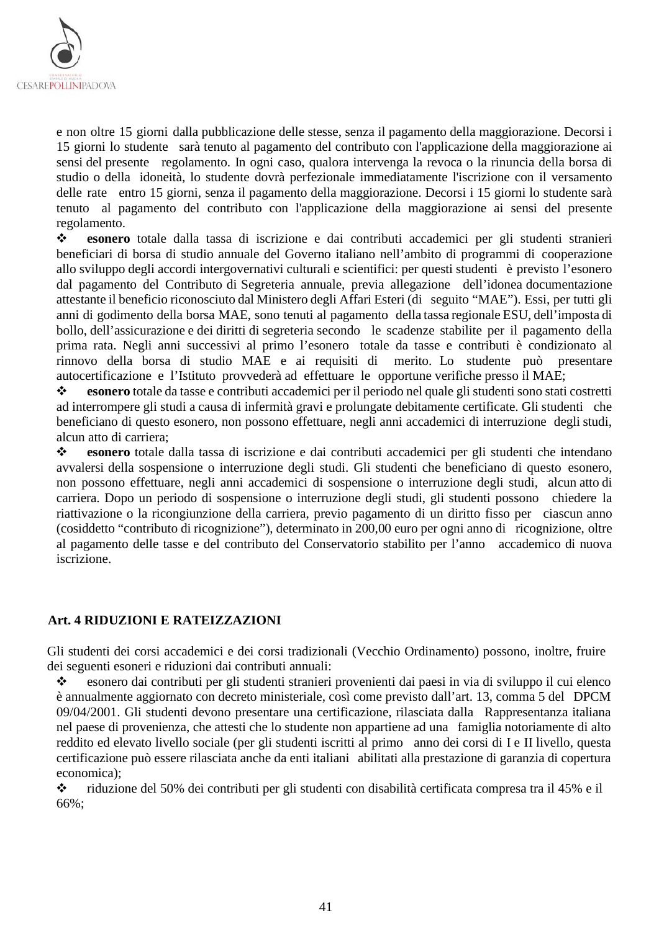

e non oltre 15 giorni dalla pubblicazione delle stesse, senza il pagamento della maggiorazione. Decorsi i 15 giorni lo studente sarà tenuto al pagamento del contributo con l'applicazione della maggiorazione ai sensi del presente regolamento. In ogni caso, qualora intervenga la revoca o la rinuncia della borsa di studio o della idoneità, lo studente dovrà perfezionale immediatamente l'iscrizione con il versamento delle rate entro 15 giorni, senza il pagamento della maggiorazione. Decorsi i 15 giorni lo studente sarà tenuto al pagamento del contributo con l'applicazione della maggiorazione ai sensi del presente regolamento.<br>  $\bullet$  esonero

 **esonero** totale dalla tassa di iscrizione e dai contributi accademici per gli studenti stranieri beneficiari di borsa di studio annuale del Governo italiano nell'ambito di programmi di cooperazione allo sviluppo degli accordi intergovernativi culturali e scientifici: per questi studenti è previsto l'esonero dal pagamento del Contributo di Segreteria annuale, previa allegazione dell'idonea documentazione attestante il beneficio riconosciuto dal Ministero degli Affari Esteri (di seguito "MAE"). Essi, per tutti gli anni di godimento della borsa MAE, sono tenuti al pagamento della tassa regionale ESU, dell'imposta di bollo, dell'assicurazione e dei diritti di segreteria secondo le scadenze stabilite per il pagamento della prima rata. Negli anni successivi al primo l'esonero totale da tasse e contributi è condizionato al rinnovo della borsa di studio MAE e ai requisiti di merito. Lo studente può presentare autocertificazione e l'Istituto provvederà ad effettuare le opportune verifiche presso il MAE;

 **esonero** totale da tasse e contributi accademici per il periodo nel quale gli studenti sono stati costretti ad interrompere gli studi a causa di infermità gravi e prolungate debitamente certificate. Gli studenti che beneficiano di questo esonero, non possono effettuare, negli anni accademici di interruzione degli studi, alcun atto di carriera;

 **esonero** totale dalla tassa di iscrizione e dai contributi accademici per gli studenti che intendano avvalersi della sospensione o interruzione degli studi. Gli studenti che beneficiano di questo esonero, non possono effettuare, negli anni accademici di sospensione o interruzione degli studi, alcun atto di carriera. Dopo un periodo di sospensione o interruzione degli studi, gli studenti possono chiedere la riattivazione o la ricongiunzione della carriera, previo pagamento di un diritto fisso per ciascun anno (cosiddetto "contributo di ricognizione"), determinato in 200,00 euro per ogni anno di ricognizione, oltre al pagamento delle tasse e del contributo del Conservatorio stabilito per l'anno accademico di nuova iscrizione.

#### <span id="page-40-0"></span>**Art. 4 RIDUZIONI E RATEIZZAZIONI**

Gli studenti dei corsi accademici e dei corsi tradizionali (Vecchio Ordinamento) possono, inoltre, fruire dei seguenti esoneri e riduzioni dai contributi annuali:

 esonero dai contributi per gli studenti stranieri provenienti dai paesi in via di sviluppo il cui elenco è annualmente aggiornato con decreto ministeriale, così come previsto dall'art. 13, comma 5 del DPCM 09/04/2001. Gli studenti devono presentare una certificazione, rilasciata dalla Rappresentanza italiana nel paese di provenienza, che attesti che lo studente non appartiene ad una famiglia notoriamente di alto reddito ed elevato livello sociale (per gli studenti iscritti al primo anno dei corsi di I e II livello, questa certificazione può essere rilasciata anche da enti italiani abilitati alla prestazione di garanzia di copertura economica);

 riduzione del 50% dei contributi per gli studenti con disabilità certificata compresa tra il 45% e il 66%;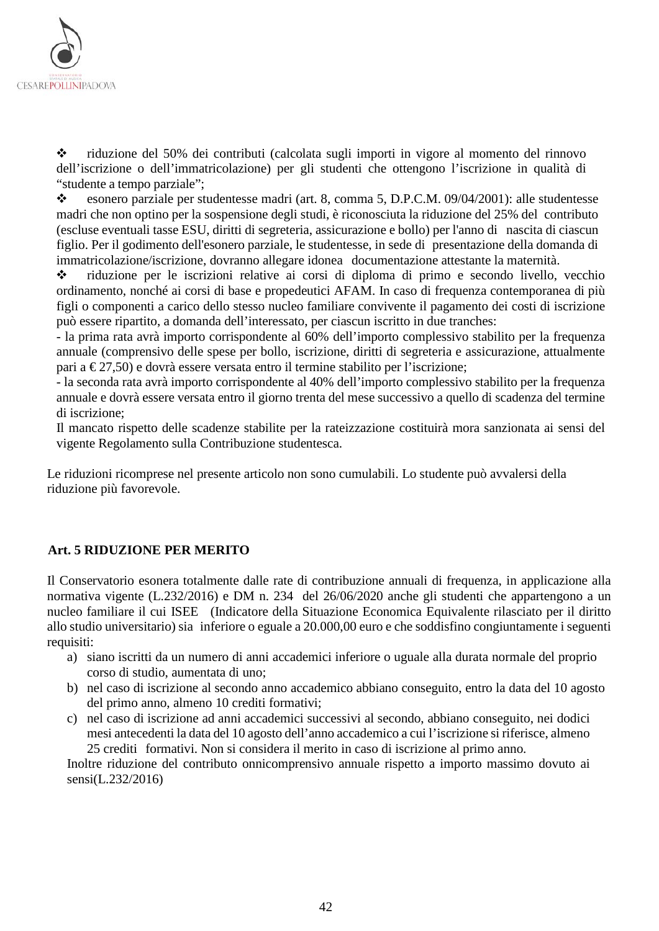

 riduzione del 50% dei contributi (calcolata sugli importi in vigore al momento del rinnovo dell'iscrizione o dell'immatricolazione) per gli studenti che ottengono l'iscrizione in qualità di "studente a tempo parziale";

 esonero parziale per studentesse madri (art. 8, comma 5, D.P.C.M. 09/04/2001): alle studentesse madri che non optino per la sospensione degli studi, è riconosciuta la riduzione del 25% del contributo (escluse eventuali tasse ESU, diritti di segreteria, assicurazione e bollo) per l'anno di nascita di ciascun figlio. Per il godimento dell'esonero parziale, le studentesse, in sede di presentazione della domanda di immatricolazione/iscrizione, dovranno allegare idonea documentazione attestante la maternità.

 riduzione per le iscrizioni relative ai corsi di diploma di primo e secondo livello, vecchio ordinamento, nonché ai corsi di base e propedeutici AFAM. In caso di frequenza contemporanea di più figli o componenti a carico dello stesso nucleo familiare convivente il pagamento dei costi di iscrizione può essere ripartito, a domanda dell'interessato, per ciascun iscritto in due tranches:

- la prima rata avrà importo corrispondente al 60% dell'importo complessivo stabilito per la frequenza annuale (comprensivo delle spese per bollo, iscrizione, diritti di segreteria e assicurazione, attualmente pari a €27,50) e dovrà essere versata entro il termine stabilito per l'iscrizione;

- la seconda rata avrà importo corrispondente al 40% dell'importo complessivo stabilito per la frequenza annuale e dovrà essere versata entro il giorno trenta del mese successivo a quello di scadenza del termine di iscrizione;

Il mancato rispetto delle scadenze stabilite per la rateizzazione costituirà mora sanzionata ai sensi del vigente Regolamento sulla Contribuzione studentesca.

Le riduzioni ricomprese nel presente articolo non sono cumulabili. Lo studente può avvalersi della riduzione più favorevole.

#### <span id="page-41-0"></span>**Art. 5 RIDUZIONE PER MERITO**

Il Conservatorio esonera totalmente dalle rate di contribuzione annuali di frequenza, in applicazione alla normativa vigente (L.232/2016) e DM n. 234 del 26/06/2020 anche gli studenti che appartengono a un nucleo familiare il cui ISEE (Indicatore della Situazione Economica Equivalente rilasciato per il diritto allo studio universitario) sia inferiore o eguale a 20.000,00 euro e che soddisfino congiuntamente i seguenti requisiti:

- a) siano iscritti da un numero di anni accademici inferiore o uguale alla durata normale del proprio corso di studio, aumentata di uno;
- b) nel caso di iscrizione al secondo anno accademico abbiano conseguito, entro la data del 10 agosto del primo anno, almeno 10 crediti formativi;
- c) nel caso di iscrizione ad anni accademici successivi al secondo, abbiano conseguito, nei dodici mesi antecedenti la data del 10 agosto dell'anno accademico a cui l'iscrizione si riferisce, almeno 25 crediti formativi. Non si considera il merito in caso di iscrizione al primo anno.

Inoltre riduzione del contributo onnicomprensivo annuale rispetto a importo massimo dovuto ai sensi(L.232/2016)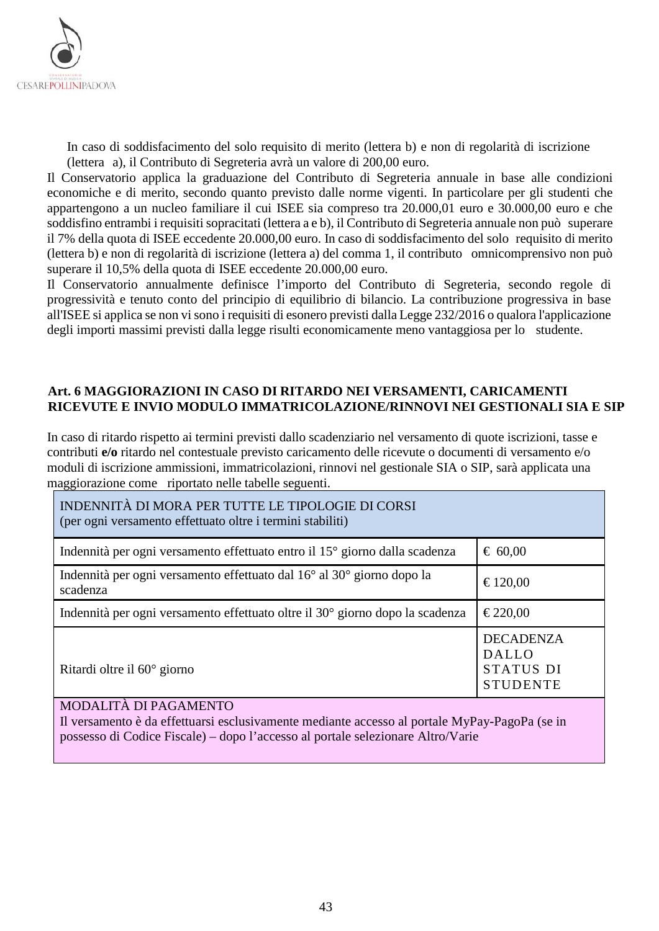

In caso di soddisfacimento del solo requisito di merito (lettera b) e non di regolarità di iscrizione (lettera a), il Contributo di Segreteria avrà un valore di 200,00 euro.

Il Conservatorio applica la graduazione del Contributo di Segreteria annuale in base alle condizioni economiche e di merito, secondo quanto previsto dalle norme vigenti. In particolare per gli studenti che appartengono a un nucleo familiare il cui ISEE sia compreso tra 20.000,01 euro e 30.000,00 euro e che soddisfino entrambi i requisiti sopracitati (lettera a e b), il Contributo di Segreteria annuale non può superare il 7% della quota di ISEE eccedente 20.000,00 euro. In caso di soddisfacimento del solo requisito di merito (lettera b) e non di regolarità di iscrizione (lettera a) del comma 1, il contributo omnicomprensivo non può superare il 10,5% della quota di ISEE eccedente 20.000,00 euro.

Il Conservatorio annualmente definisce l'importo del Contributo di Segreteria, secondo regole di progressività e tenuto conto del principio di equilibrio di bilancio. La contribuzione progressiva in base all'ISEE si applica se non vi sono i requisiti di esonero previsti dalla Legge 232/2016 o qualora l'applicazione degli importi massimi previsti dalla legge risulti economicamente meno vantaggiosa per lo studente.

#### <span id="page-42-0"></span>**Art. 6 MAGGIORAZIONI IN CASO DI RITARDO NEI VERSAMENTI, CARICAMENTI RICEVUTE E INVIO MODULO IMMATRICOLAZIONE/RINNOVI NEI GESTIONALI SIA E SIP**

In caso di ritardo rispetto ai termini previsti dallo scadenziario nel versamento di quote iscrizioni, tasse e contributi **e/o** ritardo nel contestuale previsto caricamento delle ricevute o documenti di versamento e/o moduli di iscrizione ammissioni, immatricolazioni, rinnovi nel gestionale SIA o SIP, sarà applicata una maggiorazione come riportato nelle tabelle seguenti.

| INDENNITÀ DI MORA PER TUTTE LE TIPOLOGIE DI CORSI<br>(per ogni versamento effettuato oltre i termini stabiliti) |                                                                  |
|-----------------------------------------------------------------------------------------------------------------|------------------------------------------------------------------|
| Indennità per ogni versamento effettuato entro il 15 <sup>°</sup> giorno dalla scadenza                         | $\epsilon$ 60,00                                                 |
| Indennità per ogni versamento effettuato dal 16 <sup>°</sup> al 30 <sup>°</sup> giorno dopo la<br>scadenza      | €120,00                                                          |
| Indennità per ogni versamento effettuato oltre il 30 <sup>°</sup> giorno dopo la scadenza                       | €220,00                                                          |
| Ritardi oltre il $60^{\circ}$ giorno                                                                            | <b>DECADENZA</b><br><b>DALLO</b><br>STATUS DI<br><b>STUDENTE</b> |

#### MODALITÀ DI PAGAMENTO

<span id="page-42-1"></span>Il versamento è da effettuarsi esclusivamente mediante accesso al portale MyPay-PagoPa (se in possesso di Codice Fiscale) – dopo l'accesso al portale selezionare Altro/Varie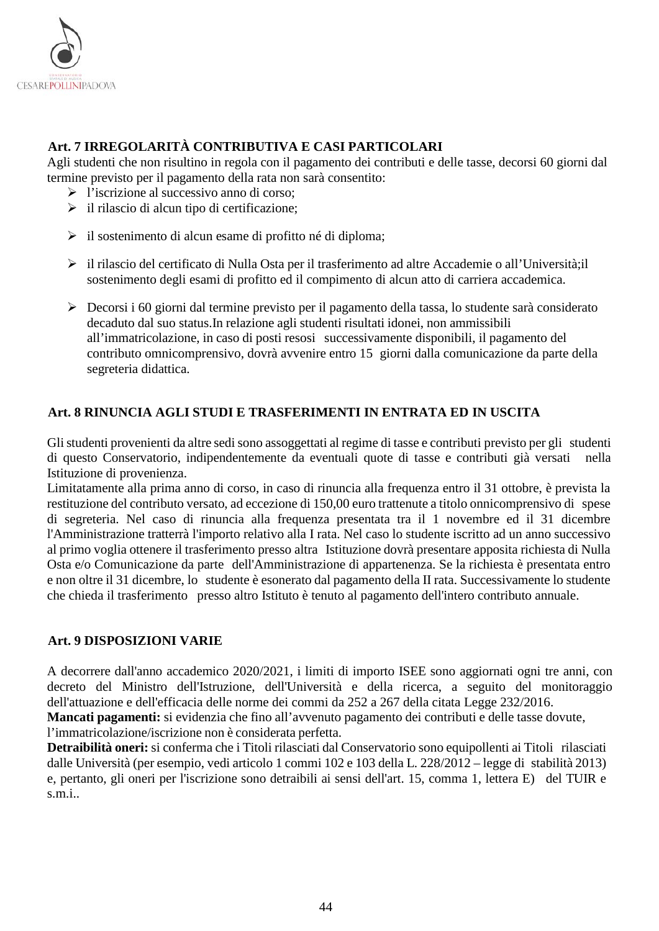

## **Art. 7 IRREGOLARITÀ CONTRIBUTIVA E CASI PARTICOLARI**

Agli studenti che non risultino in regola con il pagamento dei contributi e delle tasse, decorsi 60 giorni dal termine previsto per il pagamento della rata non sarà consentito:

- $\triangleright$  l'iscrizione al successivo anno di corso;
- $\triangleright$  il rilascio di alcun tipo di certificazione;
- $\triangleright$  il sostenimento di alcun esame di profitto né di diploma;
- il rilascio del certificato di Nulla Osta per il trasferimento ad altre Accademie o all'Università;il sostenimento degli esami di profitto ed il compimento di alcun atto di carriera accademica.
- Decorsi i 60 giorni dal termine previsto per il pagamento della tassa, lo studente sarà considerato decaduto dal suo status.In relazione agli studenti risultati idonei, non ammissibili all'immatricolazione, in caso di posti resosi successivamente disponibili, il pagamento del contributo omnicomprensivo, dovrà avvenire entro 15 giorni dalla comunicazione da parte della segreteria didattica.

#### <span id="page-43-0"></span>**Art. 8 RINUNCIA AGLI STUDI E TRASFERIMENTI IN ENTRATA ED IN USCITA**

Glistudenti provenienti da altre sedisono assoggettati al regime di tasse e contributi previsto per gli studenti di questo Conservatorio, indipendentemente da eventuali quote di tasse e contributi già versati nella Istituzione di provenienza.

Limitatamente alla prima anno di corso, in caso di rinuncia alla frequenza entro il 31 ottobre, è prevista la restituzione del contributo versato, ad eccezione di 150,00 euro trattenute a titolo onnicomprensivo di spese di segreteria. Nel caso di rinuncia alla frequenza presentata tra il 1 novembre ed il 31 dicembre l'Amministrazione tratterrà l'importo relativo alla I rata. Nel caso lo studente iscritto ad un anno successivo al primo voglia ottenere il trasferimento presso altra Istituzione dovrà presentare apposita richiesta di Nulla Osta e/o Comunicazione da parte dell'Amministrazione di appartenenza. Se la richiesta è presentata entro e non oltre il 31 dicembre, lo studente è esonerato dal pagamento della II rata. Successivamente lo studente che chieda il trasferimento presso altro Istituto è tenuto al pagamento dell'intero contributo annuale.

#### <span id="page-43-1"></span>**Art. 9 DISPOSIZIONI VARIE**

A decorrere dall'anno accademico 2020/2021, i limiti di importo ISEE sono aggiornati ogni tre anni, con decreto del Ministro dell'Istruzione, dell'Università e della ricerca, a seguito del monitoraggio dell'attuazione e dell'efficacia delle norme dei commi da 252 a 267 della citata Legge 232/2016.

**Mancati pagamenti:** si evidenzia che fino all'avvenuto pagamento dei contributi e delle tasse dovute, l'immatricolazione/iscrizione non è considerata perfetta.

<span id="page-43-2"></span>**Detraibilità oneri:** si conferma che i Titoli rilasciati dal Conservatorio sono equipollenti ai Titoli rilasciati dalle Università (per esempio, vedi articolo 1 commi 102 e 103 della L. 228/2012 – legge di stabilità 2013) e, pertanto, gli oneri per l'iscrizione sono detraibili ai sensi dell'art. 15, comma 1, lettera E) del TUIR e s.m.i..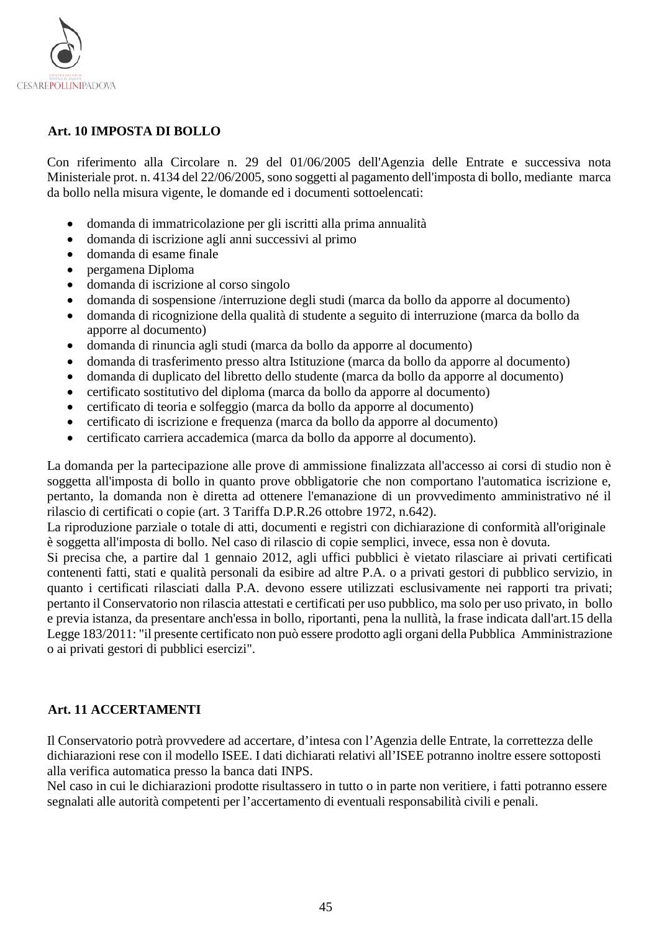

#### **Art. 10 IMPOSTA DI BOLLO**

Con riferimento alla Circolare n. 29 del 01/06/2005 dell'Agenzia delle Entrate e successiva nota Ministeriale prot. n. 4134 del 22/06/2005, sono soggetti al pagamento dell'imposta di bollo, mediante marca da bollo nella misura vigente, le domande ed i documenti sottoelencati:

- domanda di immatricolazione per gli iscritti alla prima annualità
- domanda di iscrizione agli anni successivi al primo
- domanda di esame finale
- pergamena Diploma
- domanda di iscrizione al corso singolo
- domanda di sospensione /interruzione degli studi (marca da bollo da apporre al documento)
- domanda di ricognizione della qualità di studente a seguito di interruzione (marca da bollo da apporre al documento)
- domanda di rinuncia agli studi (marca da bollo da apporre al documento)
- domanda di trasferimento presso altra Istituzione (marca da bollo da apporre al documento)
- domanda di duplicato del libretto dello studente (marca da bollo da apporre al documento)
- certificato sostitutivo del diploma (marca da bollo da apporre al documento)
- certificato di teoria e solfeggio (marca da bollo da apporre al documento)
- certificato di iscrizione e frequenza (marca da bollo da apporre al documento)
- certificato carriera accademica (marca da bollo da apporre al documento).

La domanda per la partecipazione alle prove di ammissione finalizzata all'accesso ai corsi di studio non è soggetta all'imposta di bollo in quanto prove obbligatorie che non comportano l'automatica iscrizione e, pertanto, la domanda non è diretta ad ottenere l'emanazione di un provvedimento amministrativo né il rilascio di certificati o copie (art. 3 Tariffa D.P.R.26 ottobre 1972, n.642).

La riproduzione parziale o totale di atti, documenti e registri con dichiarazione di conformità all'originale è soggetta all'imposta di bollo. Nel caso di rilascio di copie semplici, invece, essa non è dovuta.

Si precisa che, a partire dal 1 gennaio 2012, agli uffici pubblici è vietato rilasciare ai privati certificati contenenti fatti, stati e qualità personali da esibire ad altre P.A. o a privati gestori di pubblico servizio, in quanto i certificati rilasciati dalla P.A. devono essere utilizzati esclusivamente nei rapporti tra privati; pertanto il Conservatorio non rilascia attestati e certificati per uso pubblico, ma solo per uso privato, in bollo e previa istanza, da presentare anch'essa in bollo, riportanti, pena la nullità, la frase indicata dall'art.15 della Legge 183/2011: "il presente certificato non può essere prodotto agli organi della Pubblica Amministrazione o ai privati gestori di pubblici esercizi".

#### <span id="page-44-0"></span>**Art. 11 ACCERTAMENTI**

Il Conservatorio potrà provvedere ad accertare, d'intesa con l'Agenzia delle Entrate, la correttezza delle dichiarazioni rese con il modello ISEE. I dati dichiarati relativi all'ISEE potranno inoltre essere sottoposti alla verifica automatica presso la banca dati INPS.

Nel caso in cui le dichiarazioni prodotte risultassero in tutto o in parte non veritiere, i fatti potranno essere segnalati alle autorità competenti per l'accertamento di eventuali responsabilità civili e penali.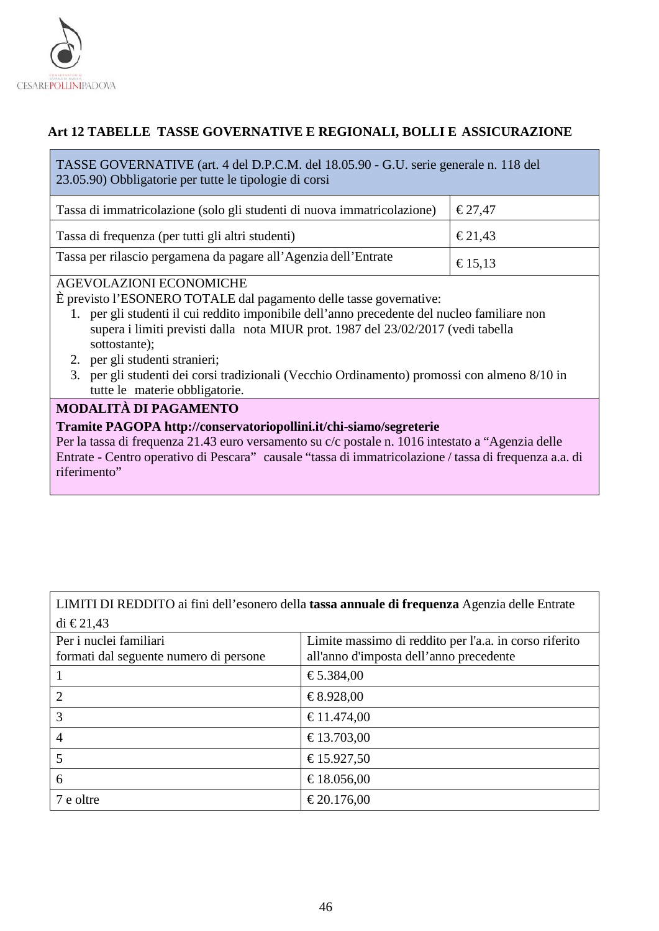

## <span id="page-45-0"></span>**Art 12 TABELLE TASSE GOVERNATIVE E REGIONALI, BOLLI E ASSICURAZIONE**

TASSE GOVERNATIVE (art. 4 del D.P.C.M. del 18.05.90 - G.U. serie generale n. 118 del 23.05.90) Obbligatorie per tutte le tipologie di corsi

| Tassa di immatricolazione (solo gli studenti di nuova immatricolazione) | $\epsilon$ 27.47 |
|-------------------------------------------------------------------------|------------------|
| Tassa di frequenza (per tutti gli altri studenti)                       | $\epsilon$ 21,43 |
| Tassa per rilascio pergamena da pagare all'Agenzia dell'Entrate         | $\epsilon$ 15,13 |

#### AGEVOLAZIONI ECONOMICHE

È previsto l'ESONERO TOTALE dal pagamento delle tasse governative:

- 1. per gli studenti il cui reddito imponibile dell'anno precedente del nucleo familiare non supera i limiti previsti dalla nota MIUR prot. 1987 del 23/02/2017 (vedi tabella sottostante);
- 2. per gli studenti stranieri;
- 3. per gli studenti dei corsi tradizionali (Vecchio Ordinamento) promossi con almeno 8/10 in tutte le materie obbligatorie.

## **MODALITÀ DI PAGAMENTO**

#### **Tramite PAGOPA http://conservatoriopollini.it/chi-siamo/segreterie**

Per la tassa di frequenza 21.43 euro versamento su c/c postale n. 1016 intestato a "Agenzia delle Entrate - Centro operativo di Pescara" causale "tassa di immatricolazione / tassa di frequenza a.a. di riferimento"

## LIMITI DI REDDITO ai fini dell'esonero della **tassa annuale di frequenza** Agenzia delle Entrate di  $\text{\textsterling}21.43$

| Per i nuclei familiari<br>formati dal seguente numero di persone | Limite massimo di reddito per l'a.a. in corso riferito<br>all'anno d'imposta dell'anno precedente |
|------------------------------------------------------------------|---------------------------------------------------------------------------------------------------|
|                                                                  |                                                                                                   |
|                                                                  | €5.384,00                                                                                         |
|                                                                  | €8.928,00                                                                                         |
| 3                                                                | €11.474,00                                                                                        |
| 4                                                                | €13.703,00                                                                                        |
| 5                                                                | €15.927,50                                                                                        |
| 6                                                                | €18.056,00                                                                                        |
| 7 e oltre                                                        | €20.176,00                                                                                        |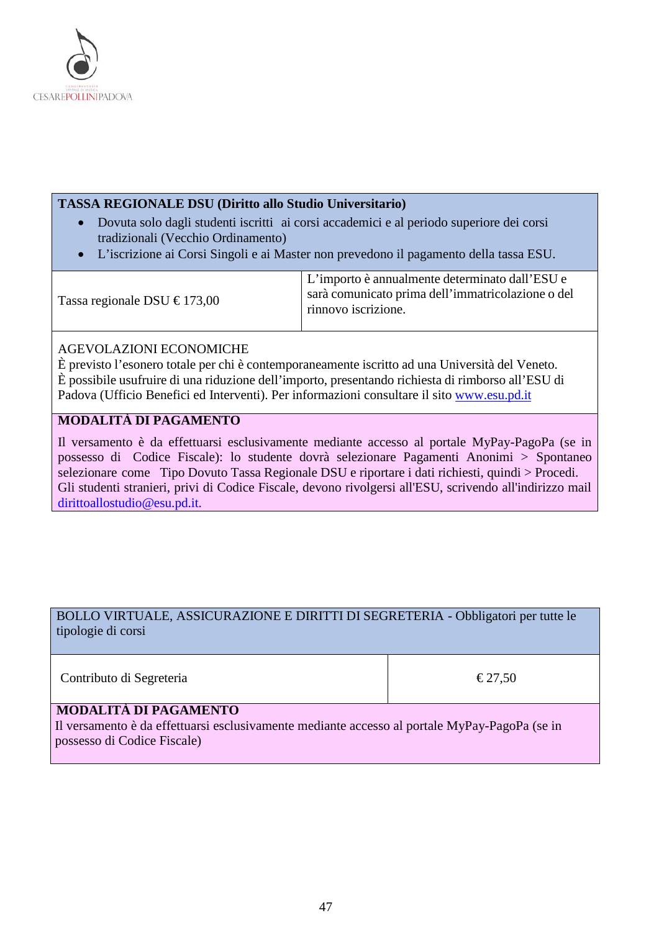

#### **TASSA REGIONALE DSU (Diritto allo Studio Universitario)**

- Dovuta solo dagli studenti iscritti ai corsi accademici e al periodo superiore dei corsi tradizionali (Vecchio Ordinamento)
- L'iscrizione ai Corsi Singoli e ai Master non prevedono il pagamento della tassa ESU.

Tassa regionale DSU  $\text{\textsterling}173,00$ L'importo è annualmente determinato dall'ESU e sarà comunicato prima dell'immatricolazione o del rinnovo iscrizione.

#### AGEVOLAZIONI ECONOMICHE

È previsto l'esonero totale per chi è contemporaneamente iscritto ad una Università del Veneto. È possibile usufruire di una riduzione dell'importo, presentando richiesta di rimborso all'ESU di Padova (Ufficio Benefici ed Interventi). Per informazioni consultare il sito [www.esu.pd.it](http://www.esu.pd.it/)

## **MODALITÀ DI PAGAMENTO**

Il versamento è da effettuarsi esclusivamente mediante accesso al portale MyPay-PagoPa (se in possesso di Codice Fiscale): lo studente dovrà selezionare Pagamenti Anonimi > Spontaneo selezionare come Tipo Dovuto Tassa Regionale DSU e riportare i dati richiesti, quindi > Procedi. Gli studenti stranieri, privi di Codice Fiscale, devono rivolgersi all'ESU, scrivendo all'indirizzo mail [dirittoallostudio@esu.pd.it.](mailto:dirittoallostudio@esu.pd.it)

## BOLLO VIRTUALE, ASSICURAZIONE E DIRITTI DI SEGRETERIA - Obbligatori per tutte le tipologie di corsi

Contributo di Segreteria  $\epsilon$  27,50

## **MODALITÀ DI PAGAMENTO**

Il versamento è da effettuarsi esclusivamente mediante accesso al portale MyPay-PagoPa (se in possesso di Codice Fiscale)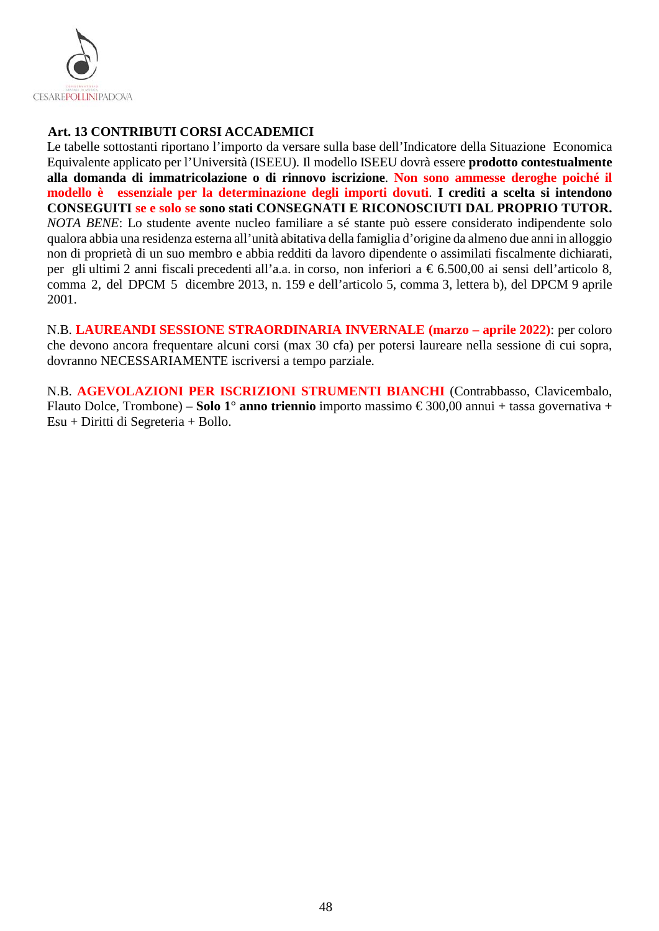

## <span id="page-47-0"></span>**Art. 13 CONTRIBUTI CORSI ACCADEMICI**

Le tabelle sottostanti riportano l'importo da versare sulla base dell'Indicatore della Situazione Economica Equivalente applicato per l'Università (ISEEU). Il modello ISEEU dovrà essere **prodotto contestualmente alla domanda di immatricolazione o di rinnovo iscrizione**. **Non sono ammesse deroghe poiché il modello è essenziale per la determinazione degli importi dovuti**. **I crediti a scelta si intendono CONSEGUITI se e solo se sono stati CONSEGNATI E RICONOSCIUTI DAL PROPRIO TUTOR.**  *NOTA BENE*: Lo studente avente nucleo familiare a sé stante può essere considerato indipendente solo qualora abbia una residenza esterna all'unità abitativa della famiglia d'origine da almeno due anni in alloggio non di proprietà di un suo membro e abbia redditi da lavoro dipendente o assimilati fiscalmente dichiarati, per gli ultimi 2 anni fiscali precedenti all'a.a. in corso, non inferiori a € 6.500,00 ai sensi dell'articolo 8, comma 2, del DPCM 5 dicembre 2013, n. 159 e dell'articolo 5, comma 3, lettera b), del DPCM 9 aprile 2001.

N.B. **LAUREANDI SESSIONE STRAORDINARIA INVERNALE (marzo – aprile 2022)**: per coloro che devono ancora frequentare alcuni corsi (max 30 cfa) per potersi laureare nella sessione di cui sopra, dovranno NECESSARIAMENTE iscriversi a tempo parziale.

N.B. **AGEVOLAZIONI PER ISCRIZIONI STRUMENTI BIANCHI** (Contrabbasso, Clavicembalo, Flauto Dolce, Trombone) – **Solo 1° anno triennio** importo massimo € 300,00 annui + tassa governativa + Esu + Diritti di Segreteria + Bollo.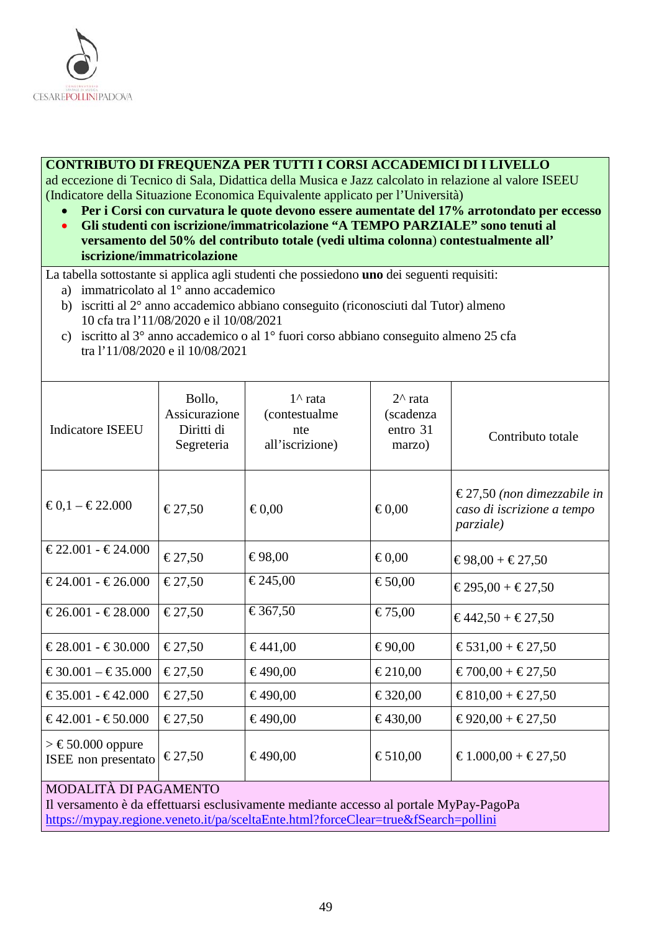

#### **CONTRIBUTO DI FREQUENZA PER TUTTI I CORSI ACCADEMICI DI I LIVELLO**

ad eccezione di Tecnico di Sala, Didattica della Musica e Jazz calcolato in relazione al valore ISEEU (Indicatore della Situazione Economica Equivalente applicato per l'Università)

- **Per i Corsi con curvatura le quote devono essere aumentate del 17% arrotondato per eccesso**
- **Gli studenti con iscrizione/immatricolazione "A TEMPO PARZIALE" sono tenuti al versamento del 50% del contributo totale (vedi ultima colonna**) **contestualmente all' iscrizione/immatricolazione**

La tabella sottostante si applica agli studenti che possiedono **uno** dei seguenti requisiti:

- a) immatricolato al 1° anno accademico
- b) iscritti al 2° anno accademico abbiano conseguito (riconosciuti dal Tutor) almeno 10 cfa tra l'11/08/2020 e il 10/08/2021
- c) iscritto al 3° anno accademico o al 1° fuori corso abbiano conseguito almeno 25 cfa tra l'11/08/2020 e il 10/08/2021

| <b>Indicatore ISEEU</b>                      | Bollo,<br>Assicurazione<br>Diritti di<br>Segreteria | $1^{\wedge}$ rata<br>(contestualme<br>nte<br>all'iscrizione) | $2^{\wedge}$ rata<br>(scadenza<br>entro 31<br>marzo) | Contributo totale                                                             |
|----------------------------------------------|-----------------------------------------------------|--------------------------------------------------------------|------------------------------------------------------|-------------------------------------------------------------------------------|
| $€0,1 - €22.000$                             | €27,50                                              | € $0,00$                                                     | € $0,00$                                             | €27,50 (non dimezzabile in<br>caso di iscrizione a tempo<br><i>parziale</i> ) |
| $€22.001 - €24.000$                          | €27,50                                              | €98,00                                                       | € $0,00$                                             | €98,00 + €27,50                                                               |
| $€24.001 - €26.000$                          | €27,50                                              | €245,00                                                      | €50,00                                               | €295,00 + €27,50                                                              |
| $€26.001 - €28.000$                          | €27,50                                              | €367,50                                                      | €75,00                                               | $€442,50 + €27,50$                                                            |
| $€28.001 - €30.000$                          | €27,50                                              | €441,00                                                      | €90,00                                               | €531,00 + €27,50                                                              |
| $€30.001 - €35.000$                          | €27,50                                              | €490,00                                                      | €210,00                                              | $€700,00 + €27,50$                                                            |
| $€35.001 - €42.000$                          | €27,50                                              | €490,00                                                      | €320,00                                              | €810,00 + €27,50                                                              |
| $€42.001 - €50.000$                          | €27,50                                              | €490,00                                                      | €430,00                                              | €920,00 + €27,50                                                              |
| $\geq$ €50.000 oppure<br>ISEE non presentato | €27,50                                              | €490,00                                                      | €510,00                                              | €1.000,00 + €27,50                                                            |
| MODALITÀ DI RACAMENTO                        |                                                     |                                                              |                                                      |                                                                               |

#### MODALITÀ DI PAGAMENTO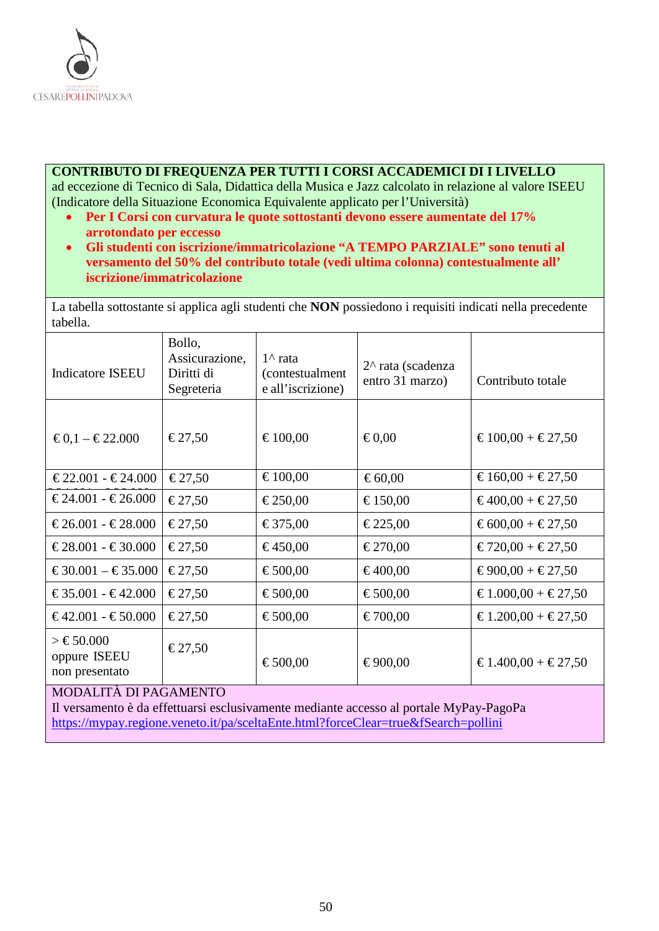

#### **CONTRIBUTO DI FREQUENZA PER TUTTI I CORSI ACCADEMICI DI I LIVELLO**

ad eccezione di Tecnico di Sala, Didattica della Musica e Jazz calcolato in relazione al valore ISEEU (Indicatore della Situazione Economica Equivalente applicato per l'Università)

- **Per I Corsi con curvatura le quote sottostanti devono essere aumentate del 17% arrotondato per eccesso**
- **Gli studenti con iscrizione/immatricolazione "A TEMPO PARZIALE" sono tenuti al versamento del 50% del contributo totale (vedi ultima colonna) contestualmente all' iscrizione/immatricolazione**

La tabella sottostante si applica agli studenti che **NON** possiedono i requisiti indicati nella precedente tabella.

| <b>Indicatore ISEEU</b>                                                  | Bollo,<br>Assicurazione,<br>Diritti di<br>Segreteria | $1^{\wedge}$ rata<br><i>(contestualment</i> )<br>e all'iscrizione) | $2^{\wedge}$ rata (scadenza<br>entro 31 marzo) | Contributo totale  |
|--------------------------------------------------------------------------|------------------------------------------------------|--------------------------------------------------------------------|------------------------------------------------|--------------------|
| $€0,1 - €22.000$                                                         | €27,50                                               | €100,00                                                            | € $0,00$                                       | $€100,00 + €27,50$ |
| $€22.001 - €24.000$                                                      | €27,50                                               | €100,00                                                            | € $60,00$                                      | €160,00 + €27,50   |
| $€24.001 - €26.000$                                                      | €27,50                                               | €250,00                                                            | €150,00                                        | €400,00 + €27,50   |
| $€26.001 - €28.000$                                                      | €27,50                                               | €375,00                                                            | €225,00                                        | € $600,00 + 27,50$ |
| $€28.001 - €30.000$                                                      | €27,50                                               | €450,00                                                            | €270,00                                        | $€720,00 + €27,50$ |
| $€30.001 - €35.000$                                                      | €27,50                                               | €500,00                                                            | €400,00                                        | $€900,00 + €27,50$ |
| $€35.001 - €42.000$                                                      | €27,50                                               | €500,00                                                            | €500,00                                        | €1.000,00 + €27,50 |
| $€42.001 - €50.000$                                                      | €27,50                                               | €500,00                                                            | €700,00                                        | €1.200,00 + €27,50 |
| > €50.000<br>oppure ISEEU<br>non presentato<br>MOD ALITRÀ DI DA CAMENITO | €27,50                                               | €500,00                                                            | €900,00                                        | €1.400,00 + €27,50 |

MODALITÀ DI PAGAMENTO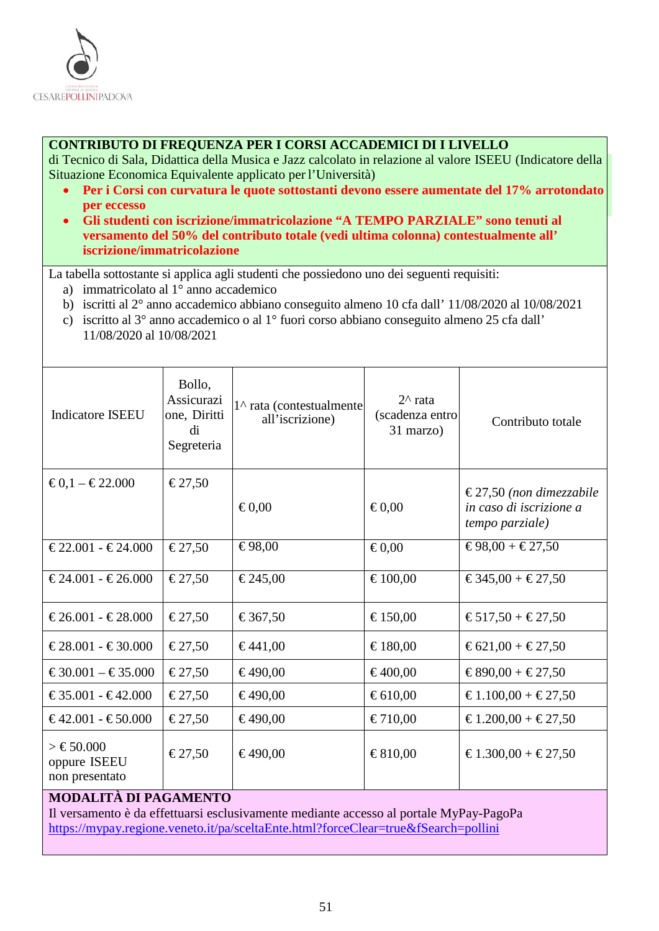

#### **CONTRIBUTO DI FREQUENZA PER I CORSI ACCADEMICI DI I LIVELLO**

di Tecnico di Sala, Didattica della Musica e Jazz calcolato in relazione al valore ISEEU (Indicatore della Situazione Economica Equivalente applicato per l'Università)

- **Per i Corsi con curvatura le quote sottostanti devono essere aumentate del 17% arrotondato per eccesso**
- **Gli studenti con iscrizione/immatricolazione "A TEMPO PARZIALE" sono tenuti al versamento del 50% del contributo totale (vedi ultima colonna) contestualmente all' iscrizione/immatricolazione**

La tabella sottostante si applica agli studenti che possiedono uno dei seguenti requisiti:

- a) immatricolato al 1° anno accademico
- b) iscritti al 2° anno accademico abbiano conseguito almeno 10 cfa dall' 11/08/2020 al 10/08/2021
- c) iscritto al 3° anno accademico o al 1° fuori corso abbiano conseguito almeno 25 cfa dall' 11/08/2020 al 10/08/2021

| <b>Indicatore ISEEU</b>                                                                                                        | Bollo,<br>Assicurazi<br>one, Diritti<br>di<br>Segreteria | 1^ rata (contestualmente<br>all'iscrizione) | $2^{\wedge}$ rata<br>(scadenza entro<br>31 marzo) | Contributo totale                                                     |
|--------------------------------------------------------------------------------------------------------------------------------|----------------------------------------------------------|---------------------------------------------|---------------------------------------------------|-----------------------------------------------------------------------|
| $€0,1 - €22.000$                                                                                                               | €27,50                                                   | € $0,00$                                    | € $0,00$                                          | €27,50 (non dimezzabile<br>in caso di iscrizione a<br>tempo parziale) |
| $€22.001 - €24.000$                                                                                                            | €27,50                                                   | €98,00                                      | € $0,00$                                          | $€98,00 + €27,50$                                                     |
| $€24.001 - €26.000$                                                                                                            | €27,50                                                   | €245,00                                     | €100,00                                           | €345,00 + €27,50                                                      |
| $€26.001 - €28.000$                                                                                                            | €27,50                                                   | €367,50                                     | €150,00                                           | €517,50 + €27,50                                                      |
| $€28.001 - €30.000$                                                                                                            | €27,50                                                   | €441,00                                     | €180,00                                           | €621,00 + €27,50                                                      |
| $€30.001 - €35.000$                                                                                                            | €27,50                                                   | €490,00                                     | €400,00                                           | €890,00 + €27,50                                                      |
| $€35.001 - €42.000$                                                                                                            | €27,50                                                   | €490,00                                     | € $610,00$                                        | €1.100,00 + €27,50                                                    |
| $€42.001 - €50.000$                                                                                                            | €27,50                                                   | €490,00                                     | €710,00                                           | €1.200,00 + €27,50                                                    |
| $\geq \text{\textsterling}50.000$<br>oppure ISEEU<br>non presentato                                                            | €27,50                                                   | €490,00                                     | €810,00                                           | €1.300,00 + €27,50                                                    |
| <b>MODALITÀ DI PAGAMENTO</b><br>Il versamento è da effettuarsi esclusivamente mediante accesso al portale $MvPav-Pa\sigma_0Pa$ |                                                          |                                             |                                                   |                                                                       |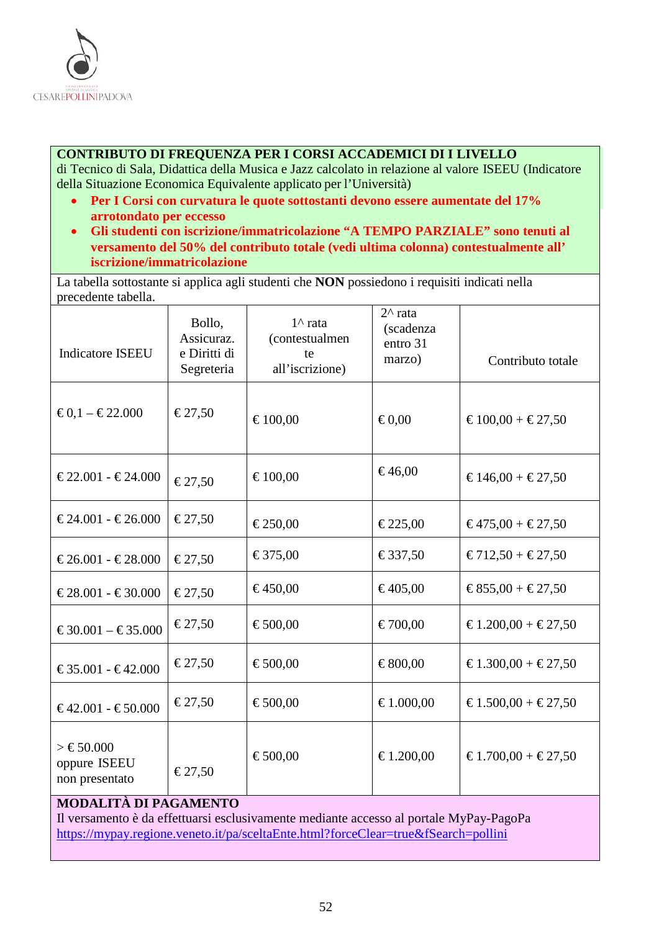

#### **CONTRIBUTO DI FREQUENZA PER I CORSI ACCADEMICI DI I LIVELLO**

di Tecnico di Sala, Didattica della Musica e Jazz calcolato in relazione al valore ISEEU (Indicatore della Situazione Economica Equivalente applicato per l'Università)

- **Per I Corsi con curvatura le quote sottostanti devono essere aumentate del 17% arrotondato per eccesso**
- **Gli studenti con iscrizione/immatricolazione "A TEMPO PARZIALE" sono tenuti al versamento del 50% del contributo totale (vedi ultima colonna) contestualmente all' iscrizione/immatricolazione**

La tabella sottostante si applica agli studenti che **NON** possiedono i requisiti indicati nella precedente tabella.

| <b>Indicatore ISEEU</b>                                                                                                     | Bollo,<br>Assicuraz.<br>e Diritti di<br>Segreteria | $1^{\wedge}$ rata<br>(contestualmen<br>te<br>all'iscrizione) | $2^{\wedge}$ rata<br>(scadenza<br>entro 31<br>marzo) | Contributo totale  |
|-----------------------------------------------------------------------------------------------------------------------------|----------------------------------------------------|--------------------------------------------------------------|------------------------------------------------------|--------------------|
| $€0,1 - €22.000$                                                                                                            | €27,50                                             | €100,00                                                      | € $0,00$                                             | €100,00 + €27,50   |
| $€22.001 - €24.000$                                                                                                         | €27,50                                             | €100,00                                                      | €46,00                                               | €146,00 + €27,50   |
| $€24.001 - €26.000$                                                                                                         | €27,50                                             | €250,00                                                      | €225,00                                              | €475,00 + €27,50   |
| $€26.001 - €28.000$                                                                                                         | €27,50                                             | €375,00                                                      | €337,50                                              | €712,50 + €27,50   |
| $€28.001 - €30.000$                                                                                                         | €27,50                                             | €450,00                                                      | €405,00                                              | €855,00 + €27,50   |
| $€30.001 - €35.000$                                                                                                         | €27,50                                             | €500,00                                                      | €700,00                                              | €1.200,00 + €27,50 |
| €35.001 - €42.000                                                                                                           | €27,50                                             | €500,00                                                      | €800,00                                              | €1.300,00 + €27,50 |
| $€42.001 - €50.000$                                                                                                         | €27,50                                             | €500,00                                                      | €1.000,00                                            | €1.500,00 + €27,50 |
| > €50.000<br>oppure ISEEU<br>non presentato                                                                                 | €27,50                                             | €500,00                                                      | €1.200,00                                            | €1.700,00 + €27,50 |
| <b>MODALITÀ DI PAGAMENTO</b><br>regiones ante 5 de effettuendo esclusivamente mediente escesso el nomble MuDer DeceDe<br>T1 |                                                    |                                                              |                                                      |                    |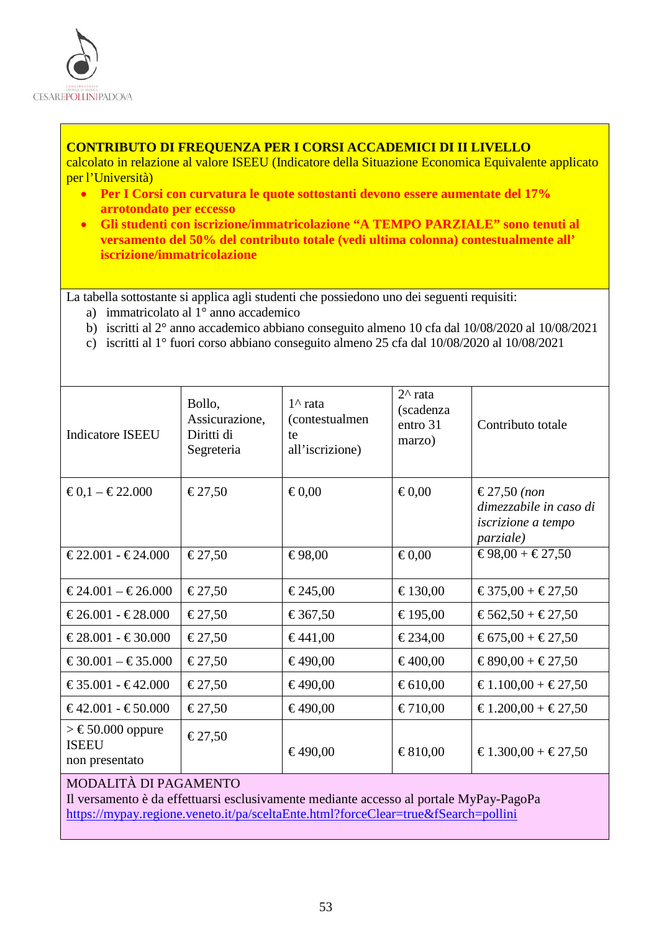

### **CONTRIBUTO DI FREQUENZA PER I CORSI ACCADEMICI DI II LIVELLO**

calcolato in relazione al valore ISEEU (Indicatore della Situazione Economica Equivalente applicato per l'Università)

- **Per I Corsi con curvatura le quote sottostanti devono essere aumentate del 17% arrotondato per eccesso**
- **Gli studenti con iscrizione/immatricolazione "A TEMPO PARZIALE" sono tenuti al versamento del 50% del contributo totale (vedi ultima colonna) contestualmente all' iscrizione/immatricolazione**

La tabella sottostante si applica agli studenti che possiedono uno dei seguenti requisiti:

- a) immatricolato al 1° anno accademico
- b) iscritti al 2° anno accademico abbiano conseguito almeno 10 cfa dal 10/08/2020 al 10/08/2021
- c) iscritti al 1° fuori corso abbiano conseguito almeno 25 cfa dal 10/08/2020 al 10/08/2021

| Indicatore ISEEU                                        | Bollo,<br>Assicurazione,<br>Diritti di<br>Segreteria | $1^{\wedge}$ rata<br>(contestualmen)<br>te<br>all'iscrizione) | $2^{\wedge}$ rata<br>(scadenza<br>entro 31<br>marzo) | Contributo totale                                                                               |
|---------------------------------------------------------|------------------------------------------------------|---------------------------------------------------------------|------------------------------------------------------|-------------------------------------------------------------------------------------------------|
| $€0,1 - €22.000$                                        | €27,50                                               | € $0,00$                                                      | $\epsilon 0,00$                                      | €27,50 ( <i>non</i><br>dimezzabile in caso di<br><i>iscrizione a tempo</i><br><i>parziale</i> ) |
| $€22.001 - €24.000$                                     | €27,50                                               | €98,00                                                        | $\epsilon 0.00$                                      | €98,00 + €27,50                                                                                 |
| $€24.001 - €26.000$                                     | €27,50                                               | €245,00                                                       | €130,00                                              | $€375,00 + €27,50$                                                                              |
| $€26.001 - €28.000$                                     | €27,50                                               | €367,50                                                       | €195,00                                              | €562,50 + €27,50                                                                                |
| $€28.001 - €30.000$                                     | €27,50                                               | €441,00                                                       | €234,00                                              | €675,00 + €27,50                                                                                |
| $€30.001 - €35.000$                                     | €27,50                                               | €490,00                                                       | €400,00                                              | $€890,00 + €27,50$                                                                              |
| $€35.001 - €42.000$                                     | €27,50                                               | €490,00                                                       | €610,00                                              | $€1.100,00 + €27,50$                                                                            |
| $€42.001 - €50.000$                                     | €27,50                                               | €490,00                                                       | €710,00                                              | €1.200,00 + €27,50                                                                              |
| $\geq$ €50.000 oppure<br><b>ISEEU</b><br>non presentato | €27,50                                               | €490,00                                                       | €810,00                                              | €1.300,00 + €27,50                                                                              |

## MODALITÀ DI PAGAMENTO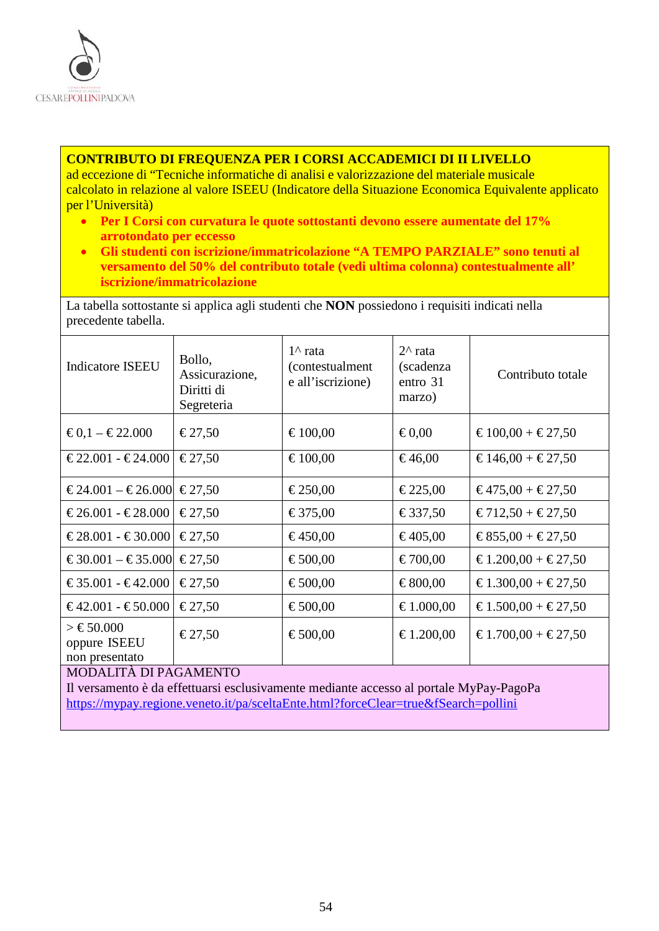

#### **CONTRIBUTO DI FREQUENZA PER I CORSI ACCADEMICI DI II LIVELLO**

ad eccezione di "Tecniche informatiche di analisi e valorizzazione del materiale musicale calcolato in relazione al valore ISEEU (Indicatore della Situazione Economica Equivalente applicato per l'Università)

- **Per I Corsi con curvatura le quote sottostanti devono essere aumentate del 17% arrotondato per eccesso**
- **Gli studenti con iscrizione/immatricolazione "A TEMPO PARZIALE" sono tenuti al versamento del 50% del contributo totale (vedi ultima colonna) contestualmente all' iscrizione/immatricolazione**

La tabella sottostante si applica agli studenti che **NON** possiedono i requisiti indicati nella precedente tabella.

| <b>Indicatore ISEEU</b>                     | Bollo,<br>Assicurazione,<br>Diritti di<br>Segreteria | $1^{\wedge}$ rata<br><i>(contestualment</i> )<br>e all'iscrizione) | $2^{\wedge}$ rata<br>(scadenza<br>entro 31<br>marzo) | Contributo totale  |
|---------------------------------------------|------------------------------------------------------|--------------------------------------------------------------------|------------------------------------------------------|--------------------|
| $€0,1 - €22.000$                            | $\epsilon$ 27,50                                     | €100,00                                                            | € $0,00$                                             | $€100,00 + €27,50$ |
| $€22.001 - €24.000$                         | $\epsilon$ 27,50                                     | €100,00                                                            | €46,00                                               | $€146,00 + €27,50$ |
| $€24.001 - €26.000$                         | $\epsilon$ 27.50                                     | €250,00                                                            | €225,00                                              | $€475,00 + €27,50$ |
| $€26.001 - €28.000$                         | $\epsilon$ 27,50                                     | €375,00                                                            | €337,50                                              | $€712,50 + €27,50$ |
| $€28.001 - €30.000$                         | $\epsilon$ 27,50                                     | €450,00                                                            | €405,00                                              | $€855,00 + €27,50$ |
| $€30.001 - €35.000$                         | $\epsilon$ 27,50                                     | €500,00                                                            | €700,00                                              | €1.200,00 + €27,50 |
| $€35.001 - €42.000$                         | $\epsilon$ 27,50                                     | €500,00                                                            | €800,00                                              | €1.300,00 + €27,50 |
| $€42.001 - €50.000$                         | $\epsilon$ 27,50                                     | €500,00                                                            | €1.000,00                                            | €1.500,00 + €27,50 |
| > €50.000<br>oppure ISEEU<br>non presentato | $\epsilon$ 27,50                                     | €500,00                                                            | €1.200,00                                            | €1.700,00 + €27,50 |
| MODALITÀ DI PAGAMENTO                       |                                                      |                                                                    |                                                      |                    |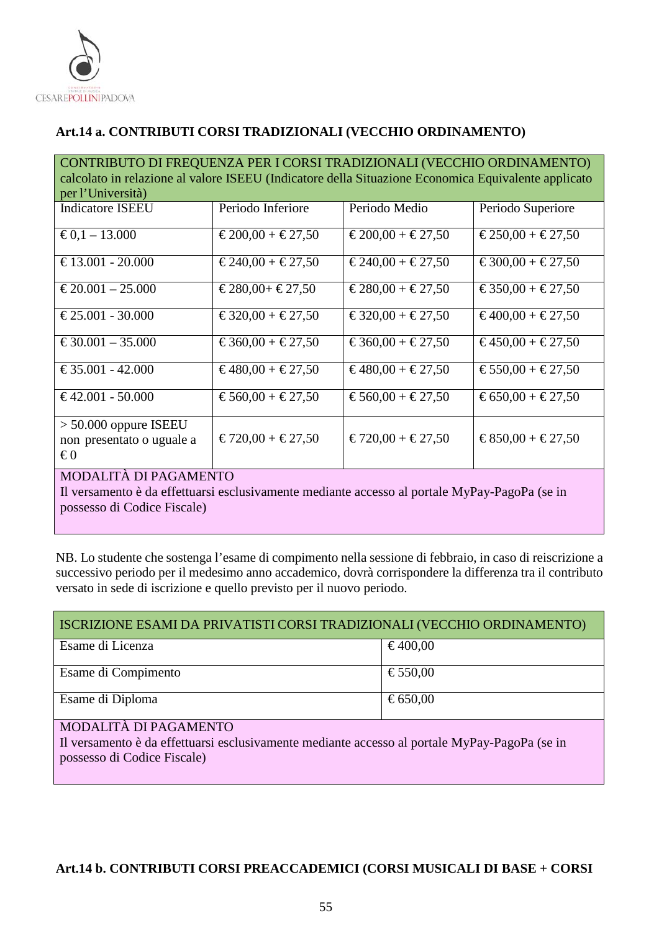

## <span id="page-54-0"></span>**Art.14 a. CONTRIBUTI CORSI TRADIZIONALI (VECCHIO ORDINAMENTO)**

CONTRIBUTO DI FREQUENZA PER I CORSI TRADIZIONALI (VECCHIO ORDINAMENTO) calcolato in relazione al valore ISEEU (Indicatore della Situazione Economica Equivalente applicato per l'Università)

| <b>Indicatore ISEEU</b>                              | Periodo Inferiore  | Periodo Medio      | Periodo Superiore  |
|------------------------------------------------------|--------------------|--------------------|--------------------|
| € $0,1 - 13,000$                                     | $€200,00 + €27,50$ | $€200,00 + €27,50$ | $€250,00 + €27,50$ |
| €13.001 - 20.000                                     | $€240,00 + €27,50$ | $€240,00 + €27,50$ | $€300,00 + €27,50$ |
| $€20.001 - 25.000$                                   | $€280,00+€27,50$   | $€280,00 + €27,50$ | €350,00 + €27,50   |
| $\text{\textsterling}25.001 - 30.000$                | $€320,00 + €27,50$ | $€320,00 + €27,50$ | €400,00 + €27,50   |
| $€30.001 - 35.000$                                   | €360,00 + €27,50   | €360,00 + €27,50   | $€450,00 + €27,50$ |
| $\text{\textsterling}35.001 - 42.000$                | $€480,00 + €27,50$ | $€480,00 + €27,50$ | €550,00 + €27,50   |
| $€42.001 - 50.000$                                   | €560,00 + €27,50   | €560,00 + €27,50   | €650,00 + €27,50   |
| $> 50.000$ oppure ISEEU<br>non presentato o uguale a | $€720,00 + €27,50$ | $€720,00 + €27,50$ | $€850,00 + €27,50$ |
| $\epsilon_0$<br>MODALITÀ DI BACAMENTO                |                    |                    |                    |

#### MODALITÀ DI PAGAMENTO

Il versamento è da effettuarsi esclusivamente mediante accesso al portale MyPay-PagoPa (se in possesso di Codice Fiscale)

NB. Lo studente che sostenga l'esame di compimento nella sessione di febbraio, in caso di reiscrizione a successivo periodo per il medesimo anno accademico, dovrà corrispondere la differenza tra il contributo versato in sede di iscrizione e quello previsto per il nuovo periodo.

| ISCRIZIONE ESAMI DA PRIVATISTI CORSI TRADIZIONALI (VECCHIO ORDINAMENTO) |         |  |
|-------------------------------------------------------------------------|---------|--|
| Esame di Licenza                                                        | €400,00 |  |
| Esame di Compimento                                                     | €550,00 |  |
| Esame di Diploma                                                        | €650,00 |  |

#### MODALITÀ DI PAGAMENTO

Il versamento è da effettuarsi esclusivamente mediante accesso al portale MyPay-PagoPa (se in possesso di Codice Fiscale)

## <span id="page-54-1"></span>**Art.14 b. CONTRIBUTI CORSI PREACCADEMICI (CORSI MUSICALI DI BASE + CORSI**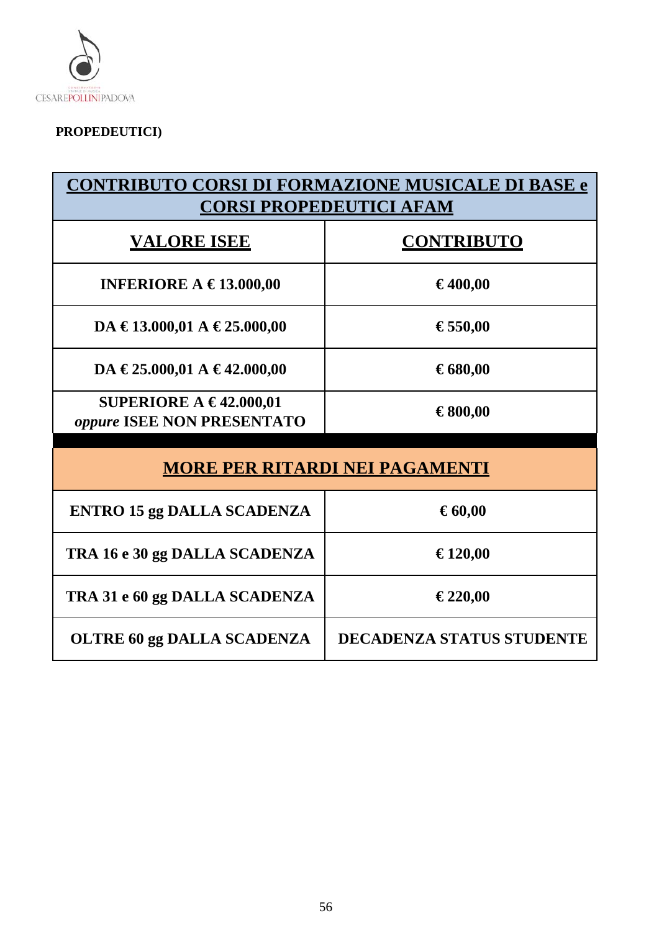

# **PROPEDEUTICI)**

| <b>CONTRIBUTO CORSI DI FORMAZIONE MUSICALE DI BASE e</b><br><b>CORSI PROPEDEUTICI AFAM</b> |                                  |  |
|--------------------------------------------------------------------------------------------|----------------------------------|--|
| <b>VALORE ISEE</b>                                                                         | <b>CONTRIBUTO</b>                |  |
| INFERIORE A $\in$ 13.000,00                                                                | €400,00                          |  |
| DA €13.000,01 A €25.000,00                                                                 | €550,00                          |  |
| DA €25.000,01 A €42.000,00                                                                 | €680,00                          |  |
| SUPERIORE A $\in$ 42.000,01<br>oppure ISEE NON PRESENTATO                                  | €800,00                          |  |
| <b>MORE PER RITARDI NEI PAGAMENTI</b>                                                      |                                  |  |
| <b>ENTRO 15 gg DALLA SCADENZA</b>                                                          | € $60,00$                        |  |
| TRA 16 e 30 gg DALLA SCADENZA                                                              | €120,00                          |  |
| TRA 31 e 60 gg DALLA SCADENZA                                                              | €220,00                          |  |
| <b>OLTRE 60 gg DALLA SCADENZA</b>                                                          | <b>DECADENZA STATUS STUDENTE</b> |  |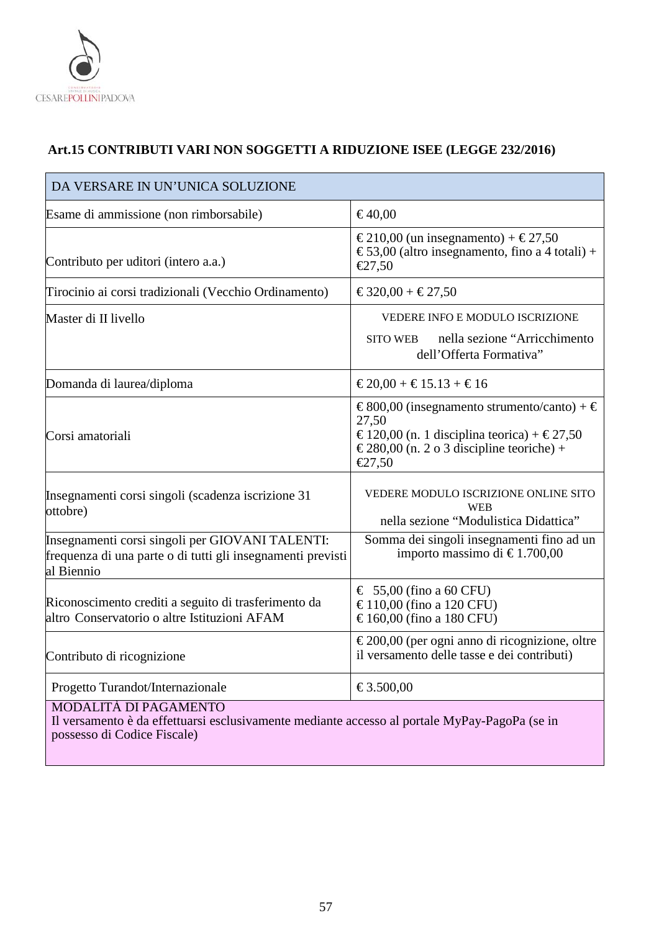

## <span id="page-56-0"></span>**Art.15 CONTRIBUTI VARI NON SOGGETTI A RIDUZIONE ISEE (LEGGE 232/2016)**

| DA VERSARE IN UN'UNICA SOLUZIONE                                                                                             |                                                                                                                                                         |  |  |
|------------------------------------------------------------------------------------------------------------------------------|---------------------------------------------------------------------------------------------------------------------------------------------------------|--|--|
| Esame di ammissione (non rimborsabile)                                                                                       | €40,00                                                                                                                                                  |  |  |
| Contributo per uditori (intero a.a.)                                                                                         | €210,00 (un insegnamento) + €27,50<br>€53,00 (altro insegnamento, fino a 4 totali) +<br>€27,50                                                          |  |  |
| Tirocinio ai corsi tradizionali (Vecchio Ordinamento)                                                                        | €320,00 + €27,50                                                                                                                                        |  |  |
| Master di II livello                                                                                                         | VEDERE INFO E MODULO ISCRIZIONE<br>nella sezione "Arricchimento<br><b>SITO WEB</b><br>dell'Offerta Formativa"                                           |  |  |
| Domanda di laurea/diploma                                                                                                    | $€20,00 + €15.13 + €16$                                                                                                                                 |  |  |
| Corsi amatoriali                                                                                                             | €800,00 (insegnamento strumento/canto) + €<br>27,50<br>€120,00 (n. 1 disciplina teorica) + €27,50<br>€280,00 (n. 2 o 3 discipline teoriche) +<br>€27,50 |  |  |
| Insegnamenti corsi singoli (scadenza iscrizione 31<br>ottobre)                                                               | VEDERE MODULO ISCRIZIONE ONLINE SITO<br><b>WEB</b><br>nella sezione "Modulistica Didattica"                                                             |  |  |
| Insegnamenti corsi singoli per GIOVANI TALENTI:<br>frequenza di una parte o di tutti gli insegnamenti previsti<br>al Biennio | Somma dei singoli insegnamenti fino ad un<br>importo massimo di €1.700,00                                                                               |  |  |
| Riconoscimento crediti a seguito di trasferimento da<br>altro Conservatorio o altre Istituzioni AFAM                         | $\epsilon$ 55,00 (fino a 60 CFU)<br>€110,00 (fino a 120 CFU)<br>€160,00 (fino a 180 CFU)                                                                |  |  |
| Contributo di ricognizione                                                                                                   | €200,00 (per ogni anno di ricognizione, oltre<br>il versamento delle tasse e dei contributi)                                                            |  |  |
| Progetto Turandot/Internazionale                                                                                             | €3.500,00                                                                                                                                               |  |  |
| MODALITÀ DI PAGAMENTO<br>remains ante à de effettivens exclusivements medients essesses el nomble MrDery DeceDe (es in       |                                                                                                                                                         |  |  |

Il versamento è da effettuarsi esclusivamente mediante accesso al portale MyPay-PagoPa (se in possesso di Codice Fiscale)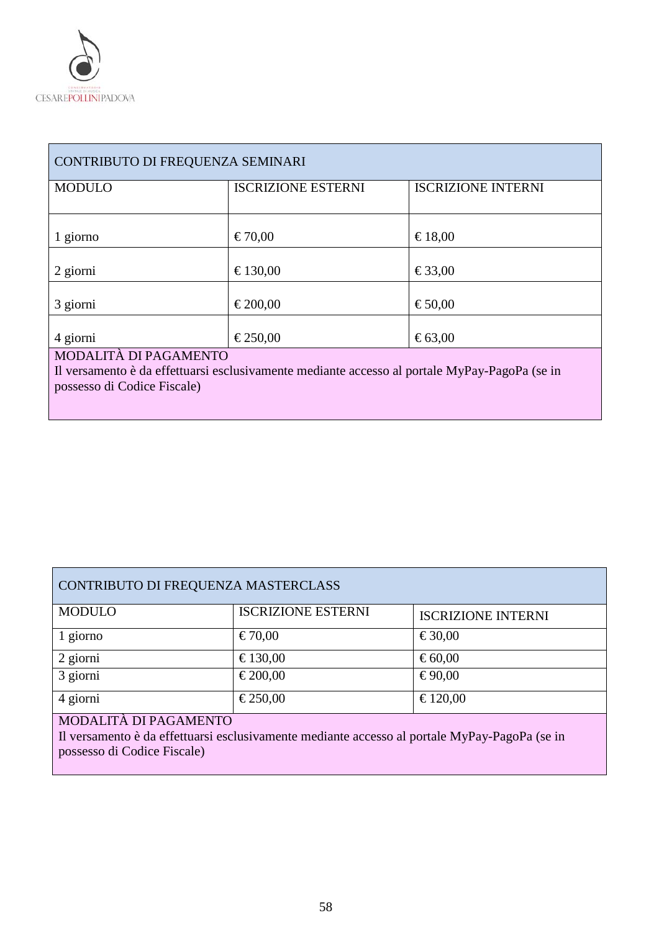

| CONTRIBUTO DI FREQUENZA SEMINARI                                                                                                                      |                           |                           |  |  |
|-------------------------------------------------------------------------------------------------------------------------------------------------------|---------------------------|---------------------------|--|--|
| <b>MODULO</b>                                                                                                                                         | <b>ISCRIZIONE ESTERNI</b> | <b>ISCRIZIONE INTERNI</b> |  |  |
| 1 giorno                                                                                                                                              | €70,00                    | €18,00                    |  |  |
| 2 giorni                                                                                                                                              | €130,00                   | €33,00                    |  |  |
| 3 giorni                                                                                                                                              | €200,00                   | €50,00                    |  |  |
| 4 giorni                                                                                                                                              | €250,00                   | € $63,00$                 |  |  |
| MODALITÀ DI PAGAMENTO<br>Il versamento è da effettuarsi esclusivamente mediante accesso al portale MyPay-PagoPa (se in<br>possesso di Codice Fiscale) |                           |                           |  |  |

| CONTRIBUTO DI FREQUENZA MASTERCLASS |                           |                           |  |  |
|-------------------------------------|---------------------------|---------------------------|--|--|
| <b>MODULO</b>                       | <b>ISCRIZIONE ESTERNI</b> | <b>ISCRIZIONE INTERNI</b> |  |  |
| 1 giorno                            | €70,00                    | €30,00                    |  |  |
| 2 giorni                            | €130,00                   | €60,00                    |  |  |
| 3 giorni                            | €200,00                   | €90,00                    |  |  |
| 4 giorni                            | €250,00                   | €120,00                   |  |  |

## MODALITÀ DI PAGAMENTO

Il versamento è da effettuarsi esclusivamente mediante accesso al portale MyPay-PagoPa (se in possesso di Codice Fiscale)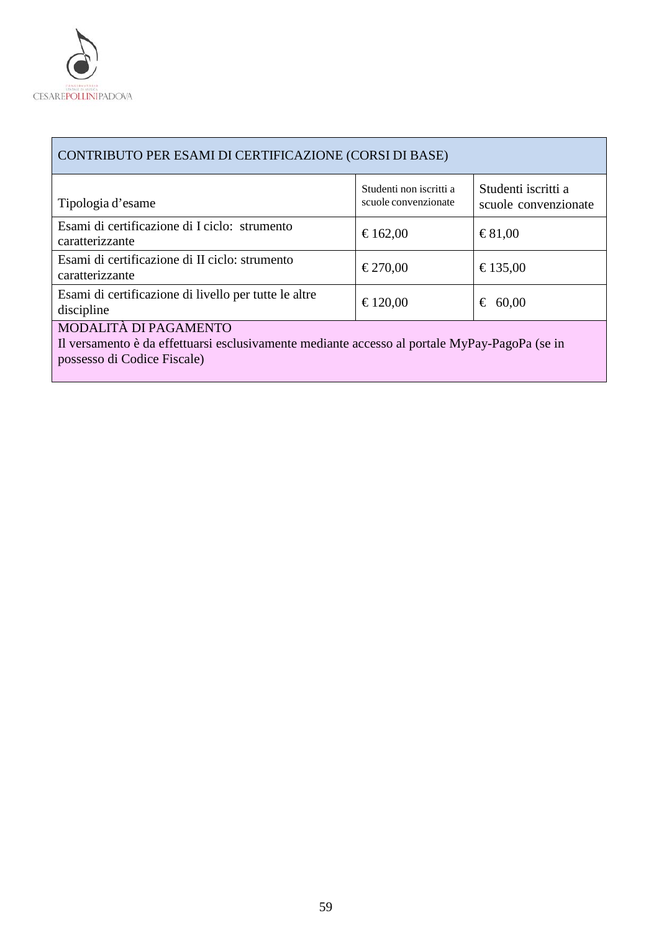

| CONTRIBUTO PER ESAMI DI CERTIFICAZIONE (CORSI DI BASE)                                                                                                |                                                 |                                             |  |
|-------------------------------------------------------------------------------------------------------------------------------------------------------|-------------------------------------------------|---------------------------------------------|--|
| Tipologia d'esame                                                                                                                                     | Studenti non iscritti a<br>scuole convenzionate | Studenti iscritti a<br>scuole convenzionate |  |
| Esami di certificazione di I ciclo: strumento<br>caratterizzante                                                                                      | €162,00                                         | $\epsilon$ 81,00                            |  |
| Esami di certificazione di II ciclo: strumento<br>caratterizzante                                                                                     | €270,00                                         | €135,00                                     |  |
| Esami di certificazione di livello per tutte le altre<br>discipline                                                                                   | €120,00                                         | € 60,00                                     |  |
| MODALITÀ DI PAGAMENTO<br>Il versamento è da effettuarsi esclusivamente mediante accesso al portale MyPay-PagoPa (se in<br>possesso di Codice Fiscale) |                                                 |                                             |  |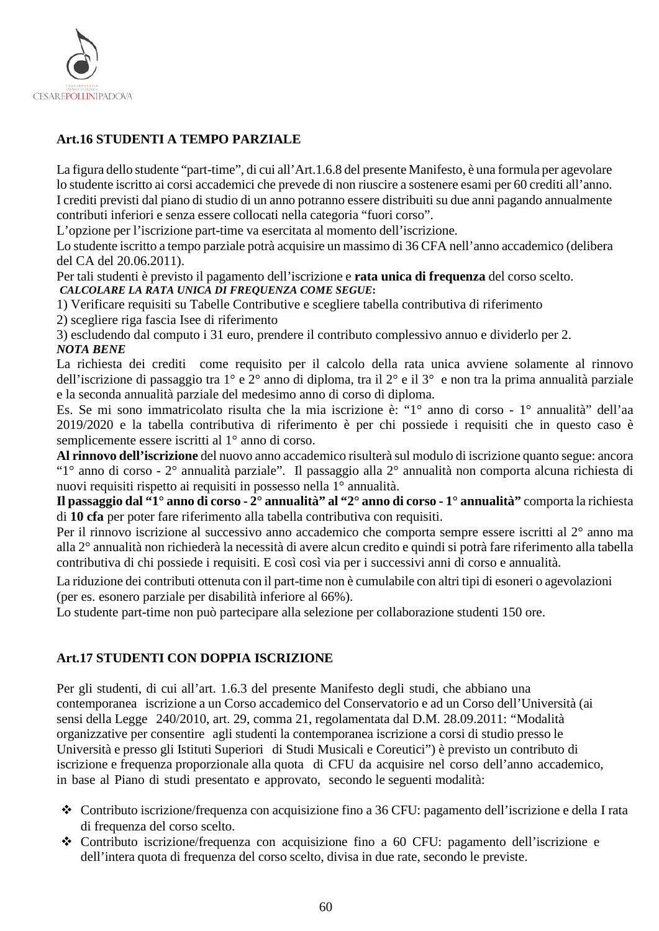

## <span id="page-59-0"></span>**Art.16 STUDENTI A TEMPO PARZIALE**

La figura dello studente "part-time", di cui all'Art.1.6.8 del presente Manifesto, è una formula per agevolare lo studente iscritto ai corsi accademici che prevede di non riuscire a sostenere esami per 60 crediti all'anno. I crediti previsti dal piano di studio di un anno potranno essere distribuiti su due anni pagando annualmente contributi inferiori e senza essere collocati nella categoria "fuori corso".

L'opzione per l'iscrizione part-time va esercitata al momento dell'iscrizione.

Lo studente iscritto a tempo parziale potrà acquisire un massimo di 36 CFA nell'anno accademico (delibera del CA del 20.06.2011).

Per tali studenti è previsto il pagamento dell'iscrizione e **rata unica di frequenza** del corso scelto. *CALCOLARE LA RATA UNICA DI FREQUENZA COME SEGUE***:**

1) Verificare requisiti su Tabelle Contributive e scegliere tabella contributiva di riferimento

2) scegliere riga fascia Isee di riferimento

3) escludendo dal computo i 31 euro, prendere il contributo complessivo annuo e dividerlo per 2. *NOTA BENE*

La richiesta dei crediti come requisito per il calcolo della rata unica avviene solamente al rinnovo dell'iscrizione di passaggio tra 1° e 2° anno di diploma, tra il 2° e il 3° e non tra la prima annualità parziale e la seconda annualità parziale del medesimo anno di corso di diploma.

Es. Se mi sono immatricolato risulta che la mia iscrizione è: "1° anno di corso - 1° annualità" dell'aa 2019/2020 e la tabella contributiva di riferimento è per chi possiede i requisiti che in questo caso è semplicemente essere iscritti al 1° anno di corso.

**Al rinnovo dell'iscrizione** del nuovo anno accademico risulterà sul modulo di iscrizione quanto segue: ancora "1° anno di corso - 2° annualità parziale". Il passaggio alla 2° annualità non comporta alcuna richiesta di nuovi requisiti rispetto ai requisiti in possesso nella 1° annualità.

**Il passaggio dal "1° anno di corso - 2° annualità" al "2° anno di corso - 1° annualità"** comporta la richiesta di **10 cfa** per poter fare riferimento alla tabella contributiva con requisiti.

Per il rinnovo iscrizione al successivo anno accademico che comporta sempre essere iscritti al 2° anno ma alla 2° annualità non richiederà la necessità di avere alcun credito e quindi si potrà fare riferimento alla tabella contributiva di chi possiede i requisiti. E così così via per i successivi anni di corso e annualità.

La riduzione dei contributi ottenuta con il part-time non è cumulabile con altri tipi di esoneri o agevolazioni (per es. esonero parziale per disabilità inferiore al 66%).

Lo studente part-time non può partecipare alla selezione per collaborazione studenti 150 ore.

## <span id="page-59-1"></span>**Art.17 STUDENTI CON DOPPIA ISCRIZIONE**

Per gli studenti, di cui all'art. 1.6.3 del presente Manifesto degli studi, che abbiano una contemporanea iscrizione a un Corso accademico del Conservatorio e ad un Corso dell'Università (ai sensi della Legge 240/2010, art. 29, comma 21, regolamentata dal D.M. 28.09.2011: "Modalità organizzative per consentire agli studenti la contemporanea iscrizione a corsi di studio presso le Università e presso gli Istituti Superiori di Studi Musicali e Coreutici") è previsto un contributo di iscrizione e frequenza proporzionale alla quota di CFU da acquisire nel corso dell'anno accademico, in base al Piano di studi presentato e approvato, secondo le seguenti modalità:

- Contributo iscrizione/frequenza con acquisizione fino a 36 CFU: pagamento dell'iscrizione e della I rata di frequenza del corso scelto.
- Contributo iscrizione/frequenza con acquisizione fino a 60 CFU: pagamento dell'iscrizione e dell'intera quota di frequenza del corso scelto, divisa in due rate, secondo le previste.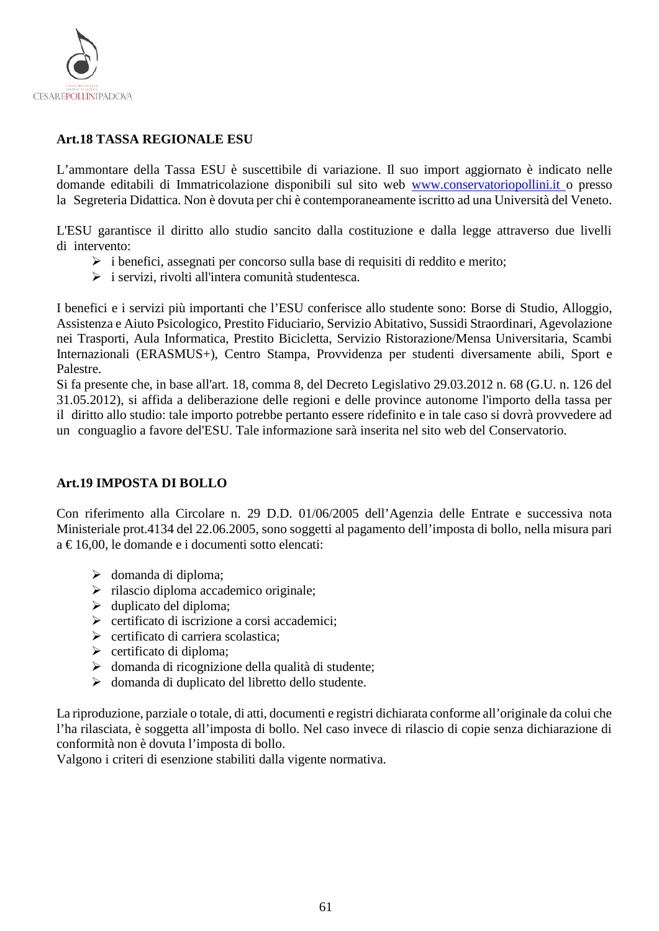

## <span id="page-60-0"></span>**Art.18 TASSA REGIONALE ESU**

L'ammontare della Tassa ESU è suscettibile di variazione. Il suo import aggiornato è indicato nelle domande editabili di Immatricolazione disponibili sul sito web [www.conservatoriopollini.it](http://www.conservatoriopollini.it/) o presso la Segreteria Didattica. Non è dovuta per chi è contemporaneamente iscritto ad una Università del Veneto.

L'ESU garantisce il diritto allo studio sancito dalla costituzione e dalla legge attraverso due livelli di intervento:

- $\triangleright$  i benefici, assegnati per concorso sulla base di requisiti di reddito e merito;
- $\triangleright$  i servizi, rivolti all'intera comunità studentesca.

I benefici e i servizi più importanti che l'ESU conferisce allo studente sono: Borse di Studio, Alloggio, Assistenza e Aiuto Psicologico, Prestito Fiduciario, Servizio Abitativo, Sussidi Straordinari, Agevolazione nei Trasporti, Aula Informatica, Prestito Bicicletta, Servizio Ristorazione/Mensa Universitaria, Scambi Internazionali (ERASMUS+), Centro Stampa, Provvidenza per studenti diversamente abili, Sport e Palestre.

Si fa presente che, in base all'art. 18, comma 8, del Decreto Legislativo 29.03.2012 n. 68 (G.U. n. 126 del 31.05.2012), si affida a deliberazione delle regioni e delle province autonome l'importo della tassa per il diritto allo studio: tale importo potrebbe pertanto essere ridefinito e in tale caso si dovrà provvedere ad un conguaglio a favore del'ESU. Tale informazione sarà inserita nel sito web del Conservatorio.

#### <span id="page-60-1"></span>**Art.19 IMPOSTA DI BOLLO**

Con riferimento alla Circolare n. 29 D.D. 01/06/2005 dell'Agenzia delle Entrate e successiva nota Ministeriale prot.4134 del 22.06.2005, sono soggetti al pagamento dell'imposta di bollo, nella misura pari a € 16,00, le domande e i documenti sotto elencati:

- $\triangleright$  domanda di diploma;
- $\triangleright$  rilascio diploma accademico originale;
- $\blacktriangleright$  duplicato del diploma;
- $\triangleright$  certificato di iscrizione a corsi accademici:
- $\triangleright$  certificato di carriera scolastica;
- $\triangleright$  certificato di diploma;
- domanda di ricognizione della qualità di studente;
- domanda di duplicato del libretto dello studente.

La riproduzione, parziale o totale, di atti, documenti e registri dichiarata conforme all'originale da colui che l'ha rilasciata, è soggetta all'imposta di bollo. Nel caso invece di rilascio di copie senza dichiarazione di conformità non è dovuta l'imposta di bollo.

Valgono i criteri di esenzione stabiliti dalla vigente normativa.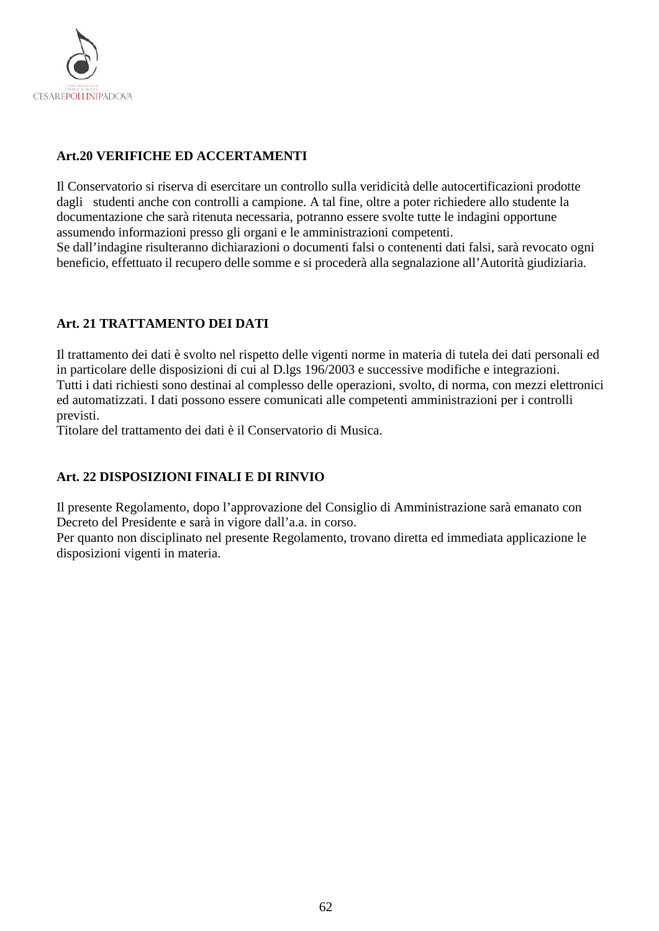

## <span id="page-61-0"></span>**Art.20 VERIFICHE ED ACCERTAMENTI**

Il Conservatorio si riserva di esercitare un controllo sulla veridicità delle autocertificazioni prodotte dagli studenti anche con controlli a campione. A tal fine, oltre a poter richiedere allo studente la documentazione che sarà ritenuta necessaria, potranno essere svolte tutte le indagini opportune assumendo informazioni presso gli organi e le amministrazioni competenti.

Se dall'indagine risulteranno dichiarazioni o documenti falsi o contenenti dati falsi, sarà revocato ogni beneficio, effettuato il recupero delle somme e si procederà alla segnalazione all'Autorità giudiziaria.

## <span id="page-61-1"></span>**Art. 21 TRATTAMENTO DEI DATI**

Il trattamento dei dati è svolto nel rispetto delle vigenti norme in materia di tutela dei dati personali ed in particolare delle disposizioni di cui al D.lgs 196/2003 e successive modifiche e integrazioni. Tutti i dati richiesti sono destinai al complesso delle operazioni, svolto, di norma, con mezzi elettronici ed automatizzati. I dati possono essere comunicati alle competenti amministrazioni per i controlli previsti.

Titolare del trattamento dei dati è il Conservatorio di Musica.

## <span id="page-61-2"></span>**Art. 22 DISPOSIZIONI FINALI E DI RINVIO**

Il presente Regolamento, dopo l'approvazione del Consiglio di Amministrazione sarà emanato con Decreto del Presidente e sarà in vigore dall'a.a. in corso.

Per quanto non disciplinato nel presente Regolamento, trovano diretta ed immediata applicazione le disposizioni vigenti in materia.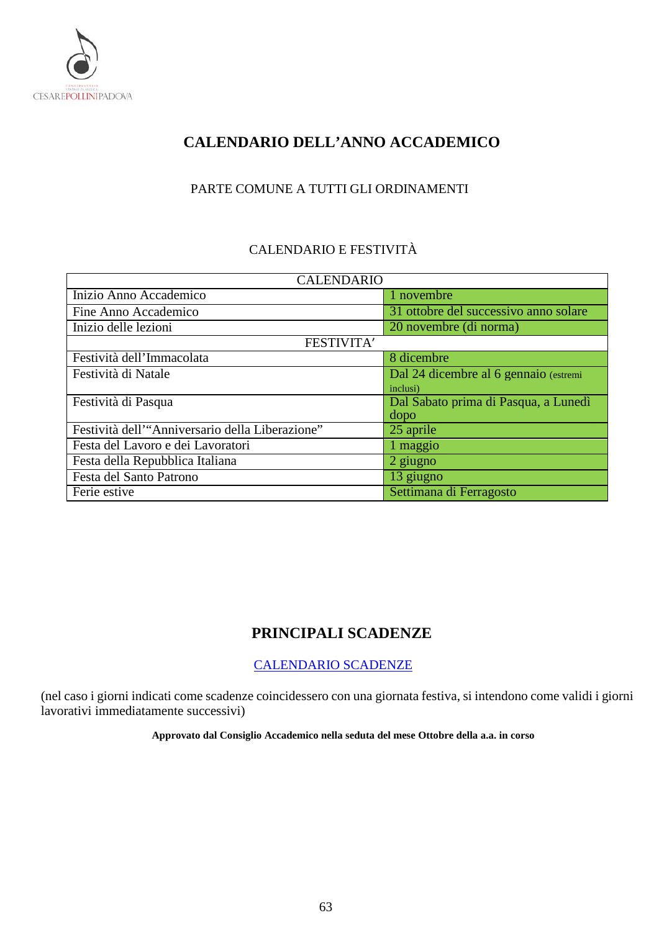

# <span id="page-62-0"></span>**CALENDARIO DELL'ANNO ACCADEMICO**

## PARTE COMUNE A TUTTI GLI ORDINAMENTI

## CALENDARIO E FESTIVITÀ

| <b>CALENDARIO</b>                               |                                       |  |  |
|-------------------------------------------------|---------------------------------------|--|--|
| Inizio Anno Accademico                          | 1 novembre                            |  |  |
| Fine Anno Accademico                            | 31 ottobre del successivo anno solare |  |  |
| Inizio delle lezioni                            | 20 novembre (di norma)                |  |  |
| FESTIVITA'                                      |                                       |  |  |
| Festività dell'Immacolata                       | 8 dicembre                            |  |  |
| Festività di Natale                             | Dal 24 dicembre al 6 gennaio (estremi |  |  |
|                                                 | inclusi)                              |  |  |
| Festività di Pasqua                             | Dal Sabato prima di Pasqua, a Lunedì  |  |  |
|                                                 | dopo                                  |  |  |
| Festività dell'"Anniversario della Liberazione" | 25 aprile                             |  |  |
| Festa del Lavoro e dei Lavoratori               | 1 maggio                              |  |  |
| Festa della Repubblica Italiana                 | 2 giugno                              |  |  |
| Festa del Santo Patrono                         | 13 giugno                             |  |  |
| Ferie estive                                    | Settimana di Ferragosto               |  |  |

# **PRINCIPALI SCADENZE**

## [CALENDARIO SCADENZE](https://www.conservatoriopollini.it/site/it/didattica-scadenziario/)

<span id="page-62-1"></span>(nel caso i giorni indicati come scadenze coincidessero con una giornata festiva, si intendono come validi i giorni lavorativi immediatamente successivi)

**Approvato dal Consiglio Accademico nella seduta del mese Ottobre della a.a. in corso**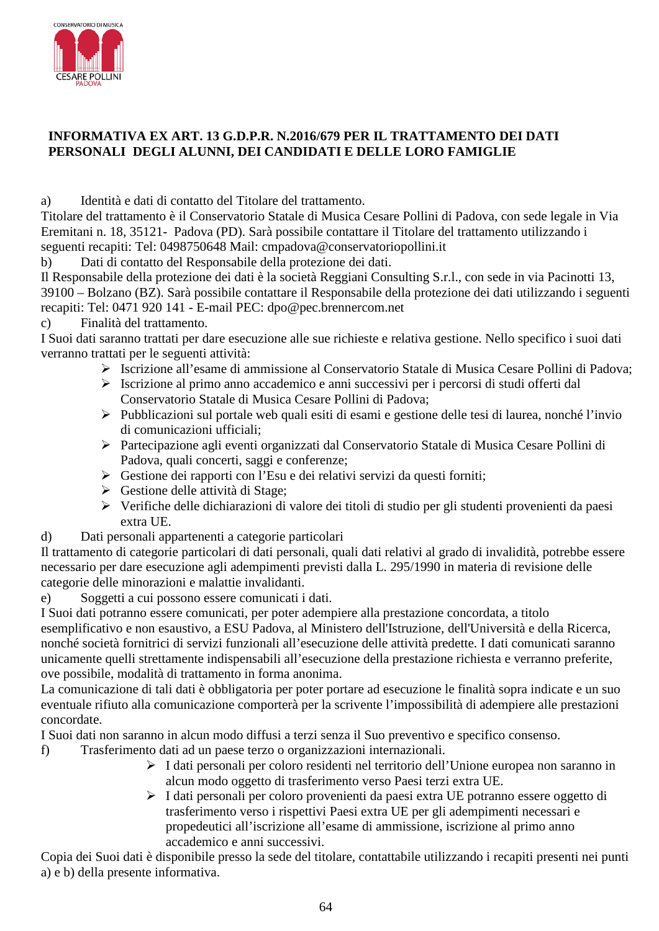

## <span id="page-63-0"></span>**INFORMATIVA EX ART. 13 G.D.P.R. N.2016/679 PER IL TRATTAMENTO DEI DATI PERSONALI DEGLI ALUNNI, DEI CANDIDATI E DELLE LORO FAMIGLIE**

a) Identità e dati di contatto del Titolare del trattamento.

Titolare del trattamento è il Conservatorio Statale di Musica Cesare Pollini di Padova, con sede legale in Via Eremitani n. 18, 35121- Padova (PD). Sarà possibile contattare il Titolare del trattamento utilizzando i seguenti recapiti: Tel: 0498750648 Mail: cmpadova@conservatoriopollini.it

b) Dati di contatto del Responsabile della protezione dei dati.

Il Responsabile della protezione dei dati è la società Reggiani Consulting S.r.l., con sede in via Pacinotti 13, 39100 – Bolzano (BZ). Sarà possibile contattare il Responsabile della protezione dei dati utilizzando i seguenti recapiti: Tel: 0471 920 141 - E-mail PEC: dpo@pec.brennercom.net

c) Finalità del trattamento.

I Suoi dati saranno trattati per dare esecuzione alle sue richieste e relativa gestione. Nello specifico i suoi dati verranno trattati per le seguenti attività:

- Iscrizione all'esame di ammissione al Conservatorio Statale di Musica Cesare Pollini di Padova;
- Iscrizione al primo anno accademico e anni successivi per i percorsi di studi offerti dal Conservatorio Statale di Musica Cesare Pollini di Padova;
- Pubblicazioni sul portale web quali esiti di esami e gestione delle tesi di laurea, nonché l'invio di comunicazioni ufficiali;
- Partecipazione agli eventi organizzati dal Conservatorio Statale di Musica Cesare Pollini di Padova, quali concerti, saggi e conferenze;
- $\triangleright$  Gestione dei rapporti con l'Esu e dei relativi servizi da questi forniti;
- Gestione delle attività di Stage;
- Verifiche delle dichiarazioni di valore dei titoli di studio per gli studenti provenienti da paesi extra UE.
- d) Dati personali appartenenti a categorie particolari

Il trattamento di categorie particolari di dati personali, quali dati relativi al grado di invalidità, potrebbe essere necessario per dare esecuzione agli adempimenti previsti dalla L. 295/1990 in materia di revisione delle categorie delle minorazioni e malattie invalidanti.

e) Soggetti a cui possono essere comunicati i dati.

I Suoi dati potranno essere comunicati, per poter adempiere alla prestazione concordata, a titolo esemplificativo e non esaustivo, a ESU Padova, al Ministero dell'Istruzione, dell'Università e della Ricerca, nonché società fornitrici di servizi funzionali all'esecuzione delle attività predette. I dati comunicati saranno unicamente quelli strettamente indispensabili all'esecuzione della prestazione richiesta e verranno preferite, ove possibile, modalità di trattamento in forma anonima.

La comunicazione di tali dati è obbligatoria per poter portare ad esecuzione le finalità sopra indicate e un suo eventuale rifiuto alla comunicazione comporterà per la scrivente l'impossibilità di adempiere alle prestazioni concordate.

I Suoi dati non saranno in alcun modo diffusi a terzi senza il Suo preventivo e specifico consenso.

- f) Trasferimento dati ad un paese terzo o organizzazioni internazionali.
	- I dati personali per coloro residenti nel territorio dell'Unione europea non saranno in alcun modo oggetto di trasferimento verso Paesi terzi extra UE.
	- I dati personali per coloro provenienti da paesi extra UE potranno essere oggetto di trasferimento verso i rispettivi Paesi extra UE per gli adempimenti necessari e propedeutici all'iscrizione all'esame di ammissione, iscrizione al primo anno accademico e anni successivi.

Copia dei Suoi dati è disponibile presso la sede del titolare, contattabile utilizzando i recapiti presenti nei punti a) e b) della presente informativa.